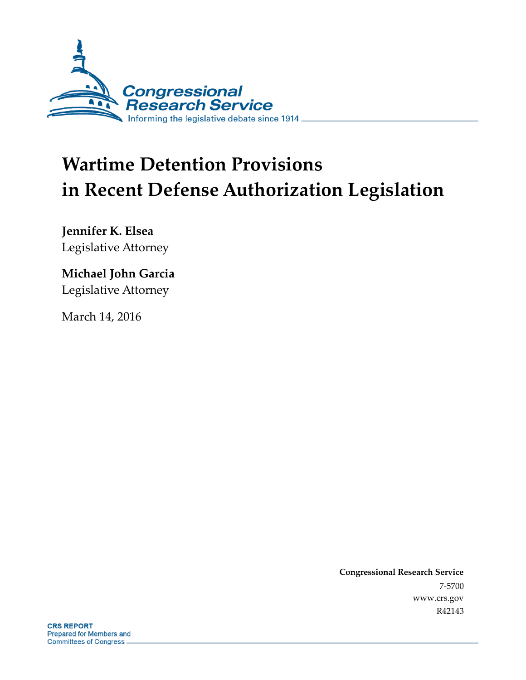

# **Wartime Detention Provisions in Recent Defense Authorization Legislation**

**Jennifer K. Elsea** Legislative Attorney

### **Michael John Garcia**

Legislative Attorney

March 14, 2016

**Congressional Research Service** 7-5700 www.crs.gov R42143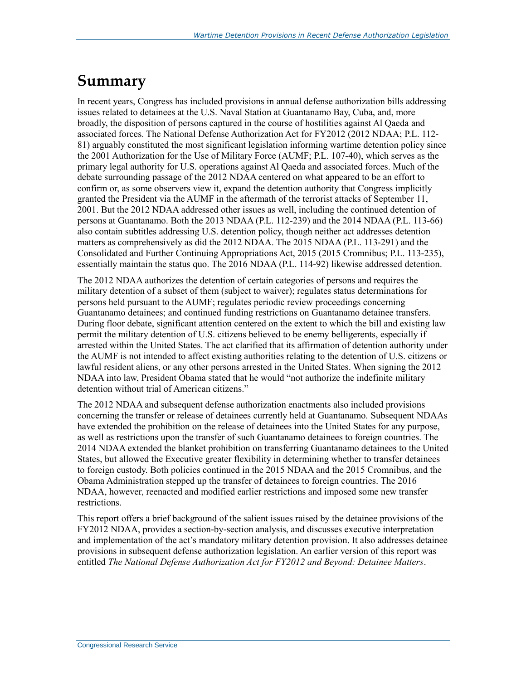### **Summary**

In recent years, Congress has included provisions in annual defense authorization bills addressing issues related to detainees at the U.S. Naval Station at Guantanamo Bay, Cuba, and, more broadly, the disposition of persons captured in the course of hostilities against Al Qaeda and associated forces. The National Defense Authorization Act for FY2012 (2012 NDAA; P.L. 112- 81) arguably constituted the most significant legislation informing wartime detention policy since the 2001 Authorization for the Use of Military Force (AUMF; P.L. 107-40), which serves as the primary legal authority for U.S. operations against Al Qaeda and associated forces. Much of the debate surrounding passage of the 2012 NDAA centered on what appeared to be an effort to confirm or, as some observers view it, expand the detention authority that Congress implicitly granted the President via the AUMF in the aftermath of the terrorist attacks of September 11, 2001. But the 2012 NDAA addressed other issues as well, including the continued detention of persons at Guantanamo. Both the 2013 NDAA (P.L. 112-239) and the 2014 NDAA (P.L. 113-66) also contain subtitles addressing U.S. detention policy, though neither act addresses detention matters as comprehensively as did the 2012 NDAA. The 2015 NDAA (P.L. 113-291) and the Consolidated and Further Continuing Appropriations Act, 2015 (2015 Cromnibus; P.L. 113-235), essentially maintain the status quo. The 2016 NDAA (P.L. 114-92) likewise addressed detention.

The 2012 NDAA authorizes the detention of certain categories of persons and requires the military detention of a subset of them (subject to waiver); regulates status determinations for persons held pursuant to the AUMF; regulates periodic review proceedings concerning Guantanamo detainees; and continued funding restrictions on Guantanamo detainee transfers. During floor debate, significant attention centered on the extent to which the bill and existing law permit the military detention of U.S. citizens believed to be enemy belligerents, especially if arrested within the United States. The act clarified that its affirmation of detention authority under the AUMF is not intended to affect existing authorities relating to the detention of U.S. citizens or lawful resident aliens, or any other persons arrested in the United States. When signing the 2012 NDAA into law, President Obama stated that he would "not authorize the indefinite military detention without trial of American citizens."

The 2012 NDAA and subsequent defense authorization enactments also included provisions concerning the transfer or release of detainees currently held at Guantanamo. Subsequent NDAAs have extended the prohibition on the release of detainees into the United States for any purpose, as well as restrictions upon the transfer of such Guantanamo detainees to foreign countries. The 2014 NDAA extended the blanket prohibition on transferring Guantanamo detainees to the United States, but allowed the Executive greater flexibility in determining whether to transfer detainees to foreign custody. Both policies continued in the 2015 NDAA and the 2015 Cromnibus, and the Obama Administration stepped up the transfer of detainees to foreign countries. The 2016 NDAA, however, reenacted and modified earlier restrictions and imposed some new transfer restrictions.

This report offers a brief background of the salient issues raised by the detainee provisions of the FY2012 NDAA, provides a section-by-section analysis, and discusses executive interpretation and implementation of the act's mandatory military detention provision. It also addresses detainee provisions in subsequent defense authorization legislation. An earlier version of this report was entitled *The National Defense Authorization Act for FY2012 and Beyond: Detainee Matters*.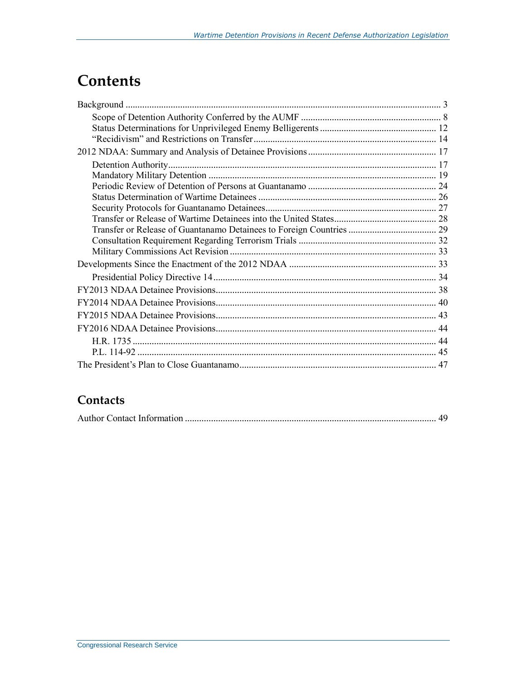### **Contents**

#### **Contacts**

|--|--|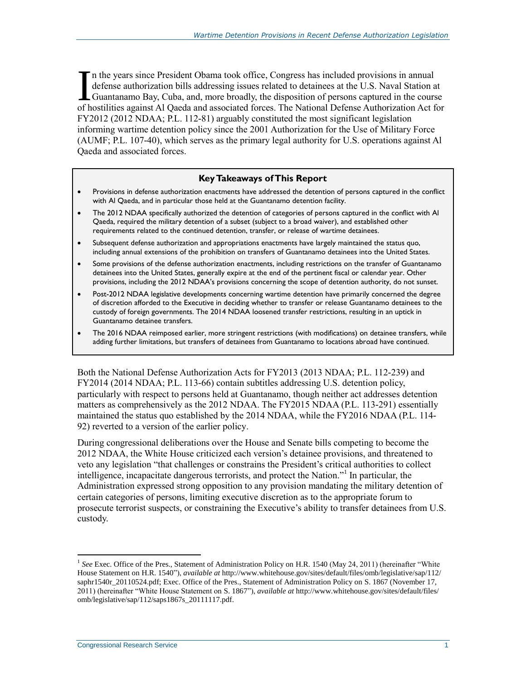n the years since President Obama took office, Congress has included provisions in annual defense authorization bills addressing issues related to detainees at the U.S. Naval Station at Guantanamo Bay, Cuba, and, more broadly, the disposition of persons captured in the course In the years since President Obama took office, Congress has included provisions in annual defense authorization bills addressing issues related to detainees at the U.S. Naval Station at Guantanamo Bay, Cuba, and, more bro FY2012 (2012 NDAA; P.L. 112-81) arguably constituted the most significant legislation informing wartime detention policy since the 2001 Authorization for the Use of Military Force (AUMF; P.L. 107-40), which serves as the primary legal authority for U.S. operations against Al Qaeda and associated forces.

#### **Key Takeaways of This Report**

- Provisions in defense authorization enactments have addressed the detention of persons captured in the conflict with Al Qaeda, and in particular those held at the Guantanamo detention facility.
- The 2012 NDAA specifically authorized the detention of categories of persons captured in the conflict with Al Qaeda, required the military detention of a subset (subject to a broad waiver), and established other requirements related to the continued detention, transfer, or release of wartime detainees.
- Subsequent defense authorization and appropriations enactments have largely maintained the status quo, including annual extensions of the prohibition on transfers of Guantanamo detainees into the United States.
- Some provisions of the defense authorization enactments, including restrictions on the transfer of Guantanamo detainees into the United States, generally expire at the end of the pertinent fiscal or calendar year. Other provisions, including the 2012 NDAA's provisions concerning the scope of detention authority, do not sunset.
- Post-2012 NDAA legislative developments concerning wartime detention have primarily concerned the degree of discretion afforded to the Executive in deciding whether to transfer or release Guantanamo detainees to the custody of foreign governments. The 2014 NDAA loosened transfer restrictions, resulting in an uptick in Guantanamo detainee transfers.
- The 2016 NDAA reimposed earlier, more stringent restrictions (with modifications) on detainee transfers, while adding further limitations, but transfers of detainees from Guantanamo to locations abroad have continued.

Both the National Defense Authorization Acts for FY2013 (2013 NDAA; P.L. 112-239) and FY2014 (2014 NDAA; P.L. 113-66) contain subtitles addressing U.S. detention policy, particularly with respect to persons held at Guantanamo, though neither act addresses detention matters as comprehensively as the 2012 NDAA. The FY2015 NDAA (P.L. 113-291) essentially maintained the status quo established by the 2014 NDAA, while the FY2016 NDAA (P.L. 114- 92) reverted to a version of the earlier policy.

<span id="page-3-0"></span>During congressional deliberations over the House and Senate bills competing to become the 2012 NDAA, the White House criticized each version's detainee provisions, and threatened to veto any legislation "that challenges or constrains the President's critical authorities to collect intelligence, incapacitate dangerous terrorists, and protect the Nation."<sup>1</sup> In particular, the Administration expressed strong opposition to any provision mandating the military detention of certain categories of persons, limiting executive discretion as to the appropriate forum to prosecute terrorist suspects, or constraining the Executive's ability to transfer detainees from U.S. custody.

<sup>&</sup>lt;sup>1</sup> See Exec. Office of the Pres., Statement of Administration Policy on H.R. 1540 (May 24, 2011) (hereinafter "White House Statement on H.R. 1540"), *available at* http://www.whitehouse.gov/sites/default/files/omb/legislative/sap/112/ saphr1540r\_20110524.pdf; Exec. Office of the Pres., Statement of Administration Policy on S. 1867 (November 17, 2011) (hereinafter "White House Statement on S. 1867"), *available at* http://www.whitehouse.gov/sites/default/files/ omb/legislative/sap/112/saps1867s\_20111117.pdf.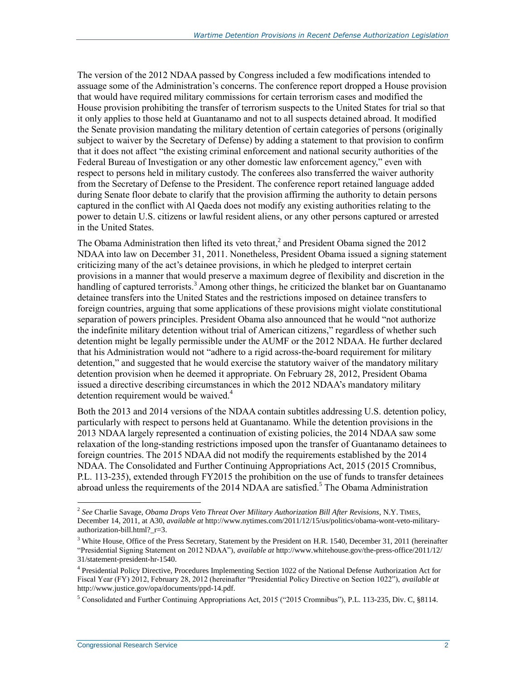The version of the 2012 NDAA passed by Congress included a few modifications intended to assuage some of the Administration's concerns. The conference report dropped a House provision that would have required military commissions for certain terrorism cases and modified the House provision prohibiting the transfer of terrorism suspects to the United States for trial so that it only applies to those held at Guantanamo and not to all suspects detained abroad. It modified the Senate provision mandating the military detention of certain categories of persons (originally subject to waiver by the Secretary of Defense) by adding a statement to that provision to confirm that it does not affect "the existing criminal enforcement and national security authorities of the Federal Bureau of Investigation or any other domestic law enforcement agency," even with respect to persons held in military custody. The conferees also transferred the waiver authority from the Secretary of Defense to the President. The conference report retained language added during Senate floor debate to clarify that the provision affirming the authority to detain persons captured in the conflict with Al Qaeda does not modify any existing authorities relating to the power to detain U.S. citizens or lawful resident aliens, or any other persons captured or arrested in the United States.

<span id="page-4-0"></span>The Obama Administration then lifted its veto threat,<sup>2</sup> and President Obama signed the 2012 NDAA into law on December 31, 2011. Nonetheless, President Obama issued a signing statement criticizing many of the act's detainee provisions, in which he pledged to interpret certain provisions in a manner that would preserve a maximum degree of flexibility and discretion in the handling of captured terrorists.<sup>3</sup> Among other things, he criticized the blanket bar on Guantanamo detainee transfers into the United States and the restrictions imposed on detainee transfers to foreign countries, arguing that some applications of these provisions might violate constitutional separation of powers principles. President Obama also announced that he would "not authorize the indefinite military detention without trial of American citizens," regardless of whether such detention might be legally permissible under the AUMF or the 2012 NDAA. He further declared that his Administration would not "adhere to a rigid across-the-board requirement for military detention," and suggested that he would exercise the statutory waiver of the mandatory military detention provision when he deemed it appropriate. On February 28, 2012, President Obama issued a directive describing circumstances in which the 2012 NDAA's mandatory military detention requirement would be waived.<sup>4</sup>

<span id="page-4-1"></span>Both the 2013 and 2014 versions of the NDAA contain subtitles addressing U.S. detention policy, particularly with respect to persons held at Guantanamo. While the detention provisions in the 2013 NDAA largely represented a continuation of existing policies, the 2014 NDAA saw some relaxation of the long-standing restrictions imposed upon the transfer of Guantanamo detainees to foreign countries. The 2015 NDAA did not modify the requirements established by the 2014 NDAA. The Consolidated and Further Continuing Appropriations Act, 2015 (2015 Cromnibus, P.L. 113-235), extended through FY2015 the prohibition on the use of funds to transfer detainees abroad unless the requirements of the 2014 NDAA are satisfied.<sup>5</sup> The Obama Administration

<sup>2</sup> *See* Charlie Savage, *Obama Drops Veto Threat Over Military Authorization Bill After Revisions*, N.Y. TIMES, December 14, 2011, at A30, *available at* http://www.nytimes.com/2011/12/15/us/politics/obama-wont-veto-militaryauthorization-bill.html?\_r=3.

<sup>&</sup>lt;sup>3</sup> White House, Office of the Press Secretary, Statement by the President on H.R. 1540, December 31, 2011 (hereinafter "Presidential Signing Statement on 2012 NDAA"), *available at* http://www.whitehouse.gov/the-press-office/2011/12/ 31/statement-president-hr-1540.

<sup>4</sup> Presidential Policy Directive, Procedures Implementing Section 1022 of the National Defense Authorization Act for Fiscal Year (FY) 2012, February 28, 2012 (hereinafter "Presidential Policy Directive on Section 1022"), *available at*  http://www.justice.gov/opa/documents/ppd-14.pdf.

<sup>5</sup> Consolidated and Further Continuing Appropriations Act, 2015 ("2015 Cromnibus"), P.L. 113-235, Div. C, §8114.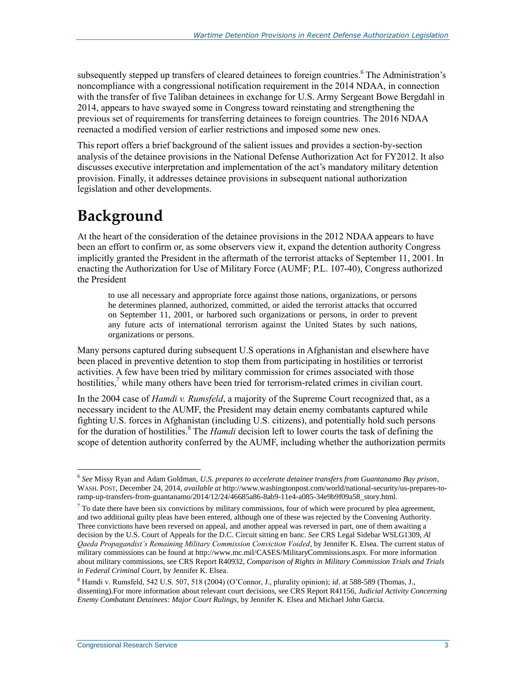subsequently stepped up transfers of cleared detainees to foreign countries.<sup>6</sup> The Administration's noncompliance with a congressional notification requirement in the 2014 NDAA, in connection with the transfer of five Taliban detainees in exchange for U.S. Army Sergeant Bowe Bergdahl in 2014, appears to have swayed some in Congress toward reinstating and strengthening the previous set of requirements for transferring detainees to foreign countries. The 2016 NDAA reenacted a modified version of earlier restrictions and imposed some new ones.

This report offers a brief background of the salient issues and provides a section-by-section analysis of the detainee provisions in the National Defense Authorization Act for FY2012. It also discusses executive interpretation and implementation of the act's mandatory military detention provision. Finally, it addresses detainee provisions in subsequent national authorization legislation and other developments.

### **Background**

At the heart of the consideration of the detainee provisions in the 2012 NDAA appears to have been an effort to confirm or, as some observers view it, expand the detention authority Congress implicitly granted the President in the aftermath of the terrorist attacks of September 11, 2001. In enacting the Authorization for Use of Military Force (AUMF; P.L. 107-40), Congress authorized the President

to use all necessary and appropriate force against those nations, organizations, or persons he determines planned, authorized, committed, or aided the terrorist attacks that occurred on September 11, 2001, or harbored such organizations or persons, in order to prevent any future acts of international terrorism against the United States by such nations, organizations or persons.

Many persons captured during subsequent U.S operations in Afghanistan and elsewhere have been placed in preventive detention to stop them from participating in hostilities or terrorist activities. A few have been tried by military commission for crimes associated with those hostilities.<sup>7</sup> while many others have been tried for terrorism-related crimes in civilian court.

In the 2004 case of *Hamdi v. Rumsfeld*, a majority of the Supreme Court recognized that, as a necessary incident to the AUMF, the President may detain enemy combatants captured while fighting U.S. forces in Afghanistan (including U.S. citizens), and potentially hold such persons for the duration of hostilities.<sup>8</sup> The *Hamdi* decision left to lower courts the task of defining the scope of detention authority conferred by the AUMF, including whether the authorization permits

<sup>6</sup> *See* Missy Ryan and Adam Goldman, *U.S. prepares to accelerate detainee transfers from Guantanamo Bay prison*, WASH. POST, December 24, 2014, *available at* http://www.washingtonpost.com/world/national-security/us-prepares-toramp-up-transfers-from-guantanamo/2014/12/24/46685a86-8ab9-11e4-a085-34e9b9f09a58\_story.html.

 $<sup>7</sup>$  To date there have been six convictions by military commissions, four of which were procured by plea agreement,</sup> and two additional guilty pleas have been entered, although one of these was rejected by the Convening Authority. Three convictions have been reversed on appeal, and another appeal was reversed in part, one of them awaiting a decision by the U.S. Court of Appeals for the D.C. Circuit sitting en banc. *See* CRS Legal Sidebar WSLG1309, *Al Qaeda Propagandist's Remaining Military Commission Conviction Voided*, by Jennifer K. Elsea. The current status of military commissions can be found at http://www.mc.mil/CASES/MilitaryCommissions.aspx. For more information about military commissions, see CRS Report R40932, *Comparison of Rights in Military Commission Trials and Trials in Federal Criminal Court*, by Jennifer K. Elsea.

<sup>8</sup> Hamdi v. Rumsfeld, 542 U.S. 507, 518 (2004) (O'Connor, J., plurality opinion); *id*. at 588-589 (Thomas, J., dissenting).For more information about relevant court decisions, see CRS Report R41156, *Judicial Activity Concerning Enemy Combatant Detainees: Major Court Rulings*, by Jennifer K. Elsea and Michael John Garcia.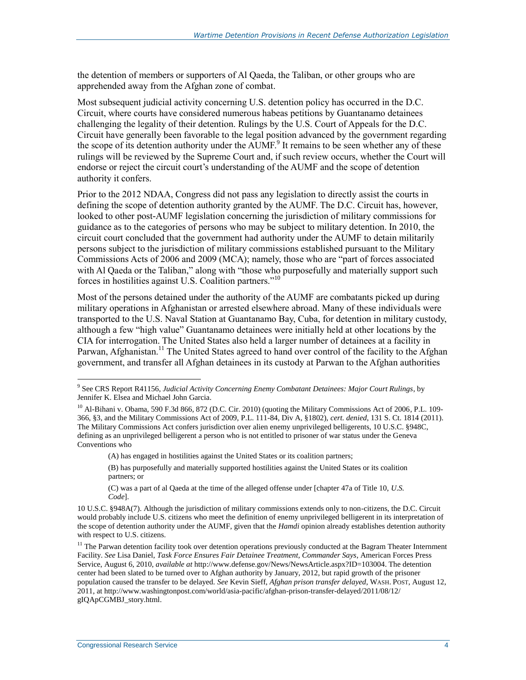the detention of members or supporters of Al Qaeda, the Taliban, or other groups who are apprehended away from the Afghan zone of combat.

Most subsequent judicial activity concerning U.S. detention policy has occurred in the D.C. Circuit, where courts have considered numerous habeas petitions by Guantanamo detainees challenging the legality of their detention. Rulings by the U.S. Court of Appeals for the D.C. Circuit have generally been favorable to the legal position advanced by the government regarding the scope of its detention authority under the AUMF.<sup>9</sup> It remains to be seen whether any of these rulings will be reviewed by the Supreme Court and, if such review occurs, whether the Court will endorse or reject the circuit court's understanding of the AUMF and the scope of detention authority it confers.

Prior to the 2012 NDAA, Congress did not pass any legislation to directly assist the courts in defining the scope of detention authority granted by the AUMF. The D.C. Circuit has, however, looked to other post-AUMF legislation concerning the jurisdiction of military commissions for guidance as to the categories of persons who may be subject to military detention. In 2010, the circuit court concluded that the government had authority under the AUMF to detain militarily persons subject to the jurisdiction of military commissions established pursuant to the Military Commissions Acts of 2006 and 2009 (MCA); namely, those who are "part of forces associated with Al Qaeda or the Taliban," along with "those who purposefully and materially support such forces in hostilities against U.S. Coalition partners."<sup>10</sup>

Most of the persons detained under the authority of the AUMF are combatants picked up during military operations in Afghanistan or arrested elsewhere abroad. Many of these individuals were transported to the U.S. Naval Station at Guantanamo Bay, Cuba, for detention in military custody, although a few "high value" Guantanamo detainees were initially held at other locations by the CIA for interrogation. The United States also held a larger number of detainees at a facility in Parwan, Afghanistan.<sup>11</sup> The United States agreed to hand over control of the facility to the Afghan government, and transfer all Afghan detainees in its custody at Parwan to the Afghan authorities

(A) has engaged in hostilities against the United States or its coalition partners;

(B) has purposefully and materially supported hostilities against the United States or its coalition partners; or

<span id="page-6-0"></span><sup>9</sup> See CRS Report R41156, *Judicial Activity Concerning Enemy Combatant Detainees: Major Court Rulings*, by Jennifer K. Elsea and Michael John Garcia.

<sup>&</sup>lt;sup>10</sup> Al-Bihani v. Obama, 590 F.3d 866, 872 (D.C. Cir. 2010) (quoting the Military Commissions Act of 2006, P.L. 109-366, §3, and the Military Commissions Act of 2009, P.L. 111-84, Div A, §1802), *cert. denied*, 131 S. Ct. 1814 (2011). The Military Commissions Act confers jurisdiction over alien enemy unprivileged belligerents, 10 U.S.C. §948C, defining as an unprivileged belligerent a person who is not entitled to prisoner of war status under the Geneva Conventions who

<sup>(</sup>C) was a part of al Qaeda at the time of the alleged offense under [chapter 47a of Title 10, *U.S. Code*].

<sup>10</sup> U.S.C. §948A(7). Although the jurisdiction of military commissions extends only to non-citizens, the D.C. Circuit would probably include U.S. citizens who meet the definition of enemy unprivileged belligerent in its interpretation of the scope of detention authority under the AUMF, given that the *Hamdi* opinion already establishes detention authority with respect to U.S. citizens.

 $11$  The Parwan detention facility took over detention operations previously conducted at the Bagram Theater Internment Facility. *See* Lisa Daniel, *Task Force Ensures Fair Detainee Treatment, Commander Says*, American Forces Press Service, August 6, 2010, *available at* http://www.defense.gov/News/NewsArticle.aspx?ID=103004. The detention center had been slated to be turned over to Afghan authority by January, 2012, but rapid growth of the prisoner population caused the transfer to be delayed. *See* Kevin Sieff, *Afghan prison transfer delayed*, WASH. POST, August 12, 2011, at http://www.washingtonpost.com/world/asia-pacific/afghan-prison-transfer-delayed/2011/08/12/ gIQApCGMBJ\_story.html.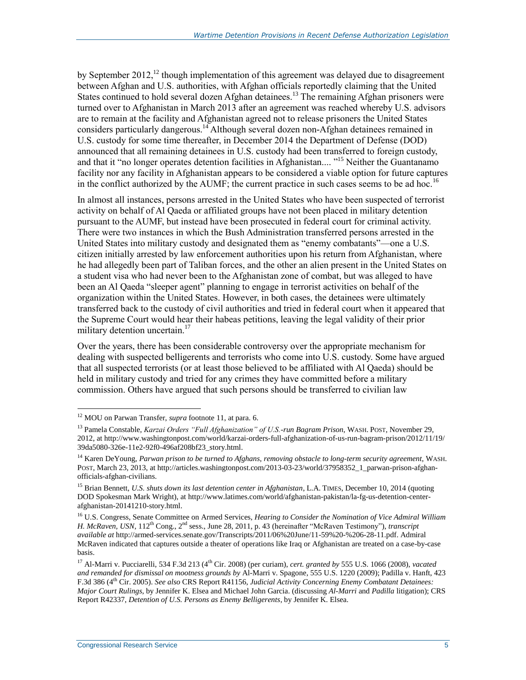by September 2012,<sup>12</sup> though implementation of this agreement was delayed due to disagreement between Afghan and U.S. authorities, with Afghan officials reportedly claiming that the United States continued to hold several dozen Afghan detainees.<sup>13</sup> The remaining Afghan prisoners were turned over to Afghanistan in March 2013 after an agreement was reached whereby U.S. advisors are to remain at the facility and Afghanistan agreed not to release prisoners the United States considers particularly dangerous.<sup>14</sup> Although several dozen non-Afghan detainees remained in U.S. custody for some time thereafter, in December 2014 the Department of Defense (DOD) announced that all remaining detainees in U.S. custody had been transferred to foreign custody, and that it "no longer operates detention facilities in Afghanistan.... "<sup>15</sup> Neither the Guantanamo facility nor any facility in Afghanistan appears to be considered a viable option for future captures in the conflict authorized by the AUMF; the current practice in such cases seems to be ad hoc.<sup>16</sup>

<span id="page-7-0"></span>In almost all instances, persons arrested in the United States who have been suspected of terrorist activity on behalf of Al Qaeda or affiliated groups have not been placed in military detention pursuant to the AUMF, but instead have been prosecuted in federal court for criminal activity. There were two instances in which the Bush Administration transferred persons arrested in the United States into military custody and designated them as "enemy combatants"—one a U.S. citizen initially arrested by law enforcement authorities upon his return from Afghanistan, where he had allegedly been part of Taliban forces, and the other an alien present in the United States on a student visa who had never been to the Afghanistan zone of combat, but was alleged to have been an Al Qaeda "sleeper agent" planning to engage in terrorist activities on behalf of the organization within the United States. However, in both cases, the detainees were ultimately transferred back to the custody of civil authorities and tried in federal court when it appeared that the Supreme Court would hear their habeas petitions, leaving the legal validity of their prior military detention uncertain.<sup>17</sup>

Over the years, there has been considerable controversy over the appropriate mechanism for dealing with suspected belligerents and terrorists who come into U.S. custody. Some have argued that all suspected terrorists (or at least those believed to be affiliated with Al Qaeda) should be held in military custody and tried for any crimes they have committed before a military commission. Others have argued that such persons should be transferred to civilian law

<sup>12</sup> MOU on Parwan Transfer, *supra* footnote [11,](#page-6-0) at para. 6.

<sup>13</sup> Pamela Constable, *Karzai Orders "Full Afghanization" of U.S.-run Bagram Prison*, WASH. POST, November 29, 2012, at http://www.washingtonpost.com/world/karzai-orders-full-afghanization-of-us-run-bagram-prison/2012/11/19/ 39da5080-326e-11e2-92f0-496af208bf23\_story.html.

<sup>&</sup>lt;sup>14</sup> Karen DeYoung, *Parwan prison to be turned to Afghans, removing obstacle to long-term security agreement, WASH.* POST, March 23, 2013, at http://articles.washingtonpost.com/2013-03-23/world/37958352\_1\_parwan-prison-afghanofficials-afghan-civilians.

<sup>&</sup>lt;sup>15</sup> Brian Bennett, *U.S. shuts down its last detention center in Afghanistan*, L.A. TIMES, December 10, 2014 (quoting DOD Spokesman Mark Wright), at http://www.latimes.com/world/afghanistan-pakistan/la-fg-us-detention-centerafghanistan-20141210-story.html.

<sup>16</sup> U.S. Congress, Senate Committee on Armed Services, *Hearing to Consider the Nomination of Vice Admiral William H. McRaven, USN, 112<sup>th</sup> Cong., 2<sup>nd</sup> sess., June 28, 2011, p. 43 (hereinafter "McRaven Testimony"), <i>transcript available at* http://armed-services.senate.gov/Transcripts/2011/06%20June/11-59%20-%206-28-11.pdf. Admiral McRaven indicated that captures outside a theater of operations like Iraq or Afghanistan are treated on a case-by-case basis.

 $^{17}$  Al-Marri v. Pucciarelli, 534 F.3d 213 (4<sup>th</sup> Cir. 2008) (per curiam), *cert. granted by* 555 U.S. 1066 (2008), *vacated and remanded for dismissal on mootness grounds by* Al-Marri v. Spagone, 555 U.S. 1220 (2009); Padilla v. Hanft, 423 F.3d 386 (4th Cir. 2005). *See also* CRS Report R41156, *Judicial Activity Concerning Enemy Combatant Detainees: Major Court Rulings*, by Jennifer K. Elsea and Michael John Garcia. (discussing *Al-Marri* and *Padilla* litigation); CRS Report R42337, *Detention of U.S. Persons as Enemy Belligerents*, by Jennifer K. Elsea.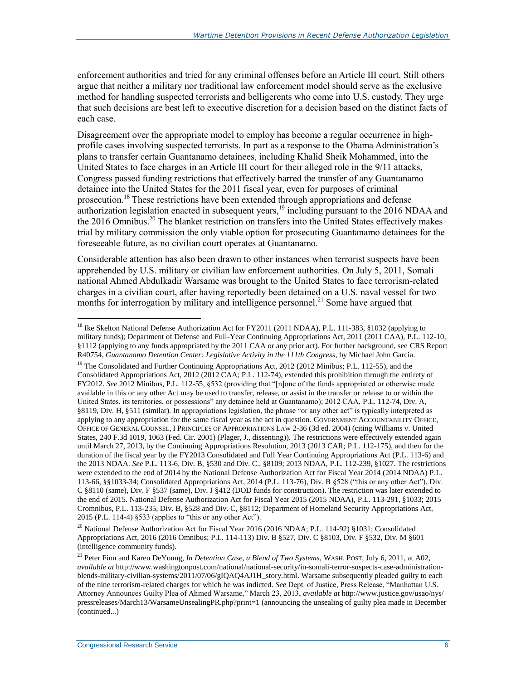enforcement authorities and tried for any criminal offenses before an Article III court. Still others argue that neither a military nor traditional law enforcement model should serve as the exclusive method for handling suspected terrorists and belligerents who come into U.S. custody. They urge that such decisions are best left to executive discretion for a decision based on the distinct facts of each case.

Disagreement over the appropriate model to employ has become a regular occurrence in highprofile cases involving suspected terrorists. In part as a response to the Obama Administration's plans to transfer certain Guantanamo detainees, including Khalid Sheik Mohammed, into the United States to face charges in an Article III court for their alleged role in the 9/11 attacks, Congress passed funding restrictions that effectively barred the transfer of any Guantanamo detainee into the United States for the 2011 fiscal year, even for purposes of criminal prosecution.<sup>18</sup> These restrictions have been extended through appropriations and defense authorization legislation enacted in subsequent years,<sup>19</sup> including pursuant to the 2016 NDAA and the 2016 Omnibus.<sup>20</sup> The blanket restriction on transfers into the United States effectively makes trial by military commission the only viable option for prosecuting Guantanamo detainees for the foreseeable future, as no civilian court operates at Guantanamo.

Considerable attention has also been drawn to other instances when terrorist suspects have been apprehended by U.S. military or civilian law enforcement authorities. On July 5, 2011, Somali national Ahmed Abdulkadir Warsame was brought to the United States to face terrorism-related charges in a civilian court, after having reportedly been detained on a U.S. naval vessel for two months for interrogation by military and intelligence personnel.<sup>21</sup> Some have argued that

<sup>20</sup> National Defense Authorization Act for Fiscal Year 2016 (2016 NDAA; P.L. 114-92) §1031; Consolidated Appropriations Act, 2016 (2016 Omnibus; P.L. 114-113) Div. B §527, Div. C §8103, Div. F §532, Div. M §601 (intelligence community funds).

<span id="page-8-0"></span><sup>&</sup>lt;sup>18</sup> Ike Skelton National Defense Authorization Act for FY2011 (2011 NDAA), P.L. 111-383, §1032 (applying to military funds); Department of Defense and Full-Year Continuing Appropriations Act, 2011 (2011 CAA), P.L. 112-10, §1112 (applying to any funds appropriated by the 2011 CAA or any prior act). For further background, see CRS Report R40754, *Guantanamo Detention Center: Legislative Activity in the 111th Congress*, by Michael John Garcia.

<sup>&</sup>lt;sup>19</sup> The Consolidated and Further Continuing Appropriations Act, 2012 (2012 Minibus; P.L. 112-55), and the Consolidated Appropriations Act, 2012 (2012 CAA; P.L. 112-74), extended this prohibition through the entirety of FY2012. *See* 2012 Minibus, P.L. 112-55, §532 (providing that "[n]one of the funds appropriated or otherwise made available in this or any other Act may be used to transfer, release, or assist in the transfer or release to or within the United States, its territories, or possessions" any detainee held at Guantanamo); 2012 CAA, P.L. 112-74, Div. A, §8119, Div. H, §511 (similar). In appropriations legislation, the phrase "or any other act" is typically interpreted as applying to any appropriation for the same fiscal year as the act in question. GOVERNMENT ACCOUNTABILITY OFFICE, OFFICE OF GENERAL COUNSEL, I PRINCIPLES OF APPROPRIATIONS LAW 2-36 (3d ed. 2004) (citing Williams v. United States, 240 F.3d 1019, 1063 (Fed. Cir. 2001) (Plager, J., dissenting)). The restrictions were effectively extended again until March 27, 2013, by the Continuing Appropriations Resolution, 2013 (2013 CAR; P.L. 112-175), and then for the duration of the fiscal year by the FY2013 Consolidated and Full Year Continuing Appropriations Act (P.L. 113-6) and the 2013 NDAA. *See* P.L. 113-6, Div. B, §530 and Div. C., §8109; 2013 NDAA, P.L. 112-239, §1027. The restrictions were extended to the end of 2014 by the National Defense Authorization Act for Fiscal Year 2014 (2014 NDAA) P.L. 113-66, §§1033-34; Consolidated Appropriations Act, 2014 (P.L. 113-76), Div. B §528 ("this or any other Act"), Div. C §8110 (same), Div. F §537 (same), Div. J §412 (DOD funds for construction). The restriction was later extended to the end of 2015. National Defense Authorization Act for Fiscal Year 2015 (2015 NDAA), P.L. 113-291, §1033; 2015 Cromnibus, P.L. 113-235, Div. B, §528 and Div. C, §8112; Department of Homeland Security Appropriations Act, 2015 (P.L. 114-4) §533 (applies to "this or any other Act").

<sup>21</sup> Peter Finn and Karen DeYoung, *In Detention Case, a Blend of Two Systems*, WASH. POST, July 6, 2011, at A02, *available at* http://www.washingtonpost.com/national/national-security/in-somali-terror-suspects-case-administrationblends-military-civilian-systems/2011/07/06/gIQAQ4AJ1H\_story.html. Warsame subsequently pleaded guilty to each of the nine terrorism-related charges for which he was indicted. *See* Dept. of Justice, Press Release, "Manhattan U.S. Attorney Announces Guilty Plea of Ahmed Warsame," March 23, 2013, *available at* http://www.justice.gov/usao/nys/ pressreleases/March13/WarsameUnsealingPR.php?print=1 (announcing the unsealing of guilty plea made in December (continued...)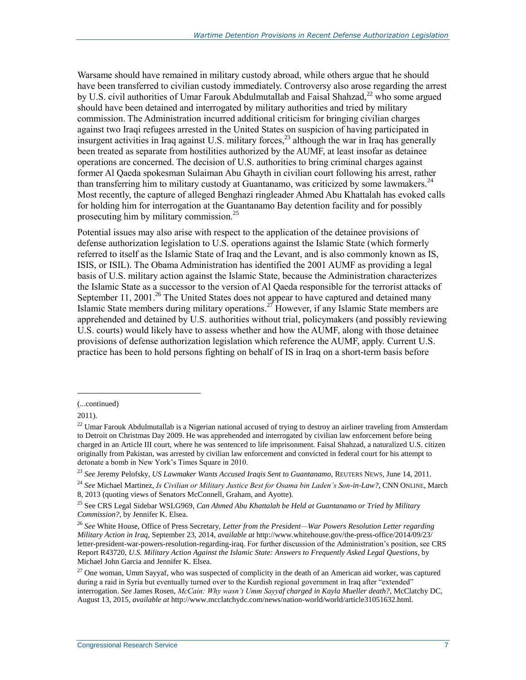Warsame should have remained in military custody abroad, while others argue that he should have been transferred to civilian custody immediately. Controversy also arose regarding the arrest by U.S. civil authorities of Umar Farouk Abdulmutallab and Faisal Shahzad,<sup>22</sup> who some argued should have been detained and interrogated by military authorities and tried by military commission. The Administration incurred additional criticism for bringing civilian charges against two Iraqi refugees arrested in the United States on suspicion of having participated in insurgent activities in Iraq against U.S. military forces,<sup>23</sup> although the war in Iraq has generally been treated as separate from hostilities authorized by the AUMF, at least insofar as detainee operations are concerned. The decision of U.S. authorities to bring criminal charges against former Al Qaeda spokesman Sulaiman Abu Ghayth in civilian court following his arrest, rather than transferring him to military custody at Guantanamo, was criticized by some lawmakers.<sup>24</sup> Most recently, the capture of alleged Benghazi ringleader Ahmed Abu Khattalah has evoked calls for holding him for interrogation at the Guantanamo Bay detention facility and for possibly prosecuting him by military commission.<sup>25</sup>

Potential issues may also arise with respect to the application of the detainee provisions of defense authorization legislation to U.S. operations against the Islamic State (which formerly referred to itself as the Islamic State of Iraq and the Levant, and is also commonly known as IS, ISIS, or ISIL). The Obama Administration has identified the 2001 AUMF as providing a legal basis of U.S. military action against the Islamic State, because the Administration characterizes the Islamic State as a successor to the version of Al Qaeda responsible for the terrorist attacks of September 11, 2001.<sup>26</sup> The United States does not appear to have captured and detained many Islamic State members during military operations.<sup>27</sup> However, if any Islamic State members are apprehended and detained by U.S. authorities without trial, policymakers (and possibly reviewing U.S. courts) would likely have to assess whether and how the AUMF, along with those detainee provisions of defense authorization legislation which reference the AUMF, apply. Current U.S. practice has been to hold persons fighting on behalf of IS in Iraq on a short-term basis before

l

<sup>(...</sup>continued)

<sup>2011).</sup>

 $22$  Umar Farouk Abdulmutallab is a Nigerian national accused of trying to destroy an airliner traveling from Amsterdam to Detroit on Christmas Day 2009. He was apprehended and interrogated by civilian law enforcement before being charged in an Article III court, where he was sentenced to life imprisonment. Faisal Shahzad, a naturalized U.S. citizen originally from Pakistan, was arrested by civilian law enforcement and convicted in federal court for his attempt to detonate a bomb in New York's Times Square in 2010.

<sup>23</sup> *See* Jeremy Pelofsky, *US Lawmaker Wants Accused Iraqis Sent to Guantanamo*, REUTERS NEWS, June 14, 2011.

<sup>24</sup> *See* Michael Martinez, *Is Civilian or Military Justice Best for Osama bin Laden's Son-in-Law?*, CNN ONLINE, March 8, 2013 (quoting views of Senators McConnell, Graham, and Ayotte).

<sup>25</sup> See CRS Legal Sidebar WSLG969, *Can Ahmed Abu Khattalah be Held at Guantanamo or Tried by Military Commission?*, by Jennifer K. Elsea.

<sup>26</sup> *See* White House, Office of Press Secretary, *Letter from the President—War Powers Resolution Letter regarding Military Action in Iraq*, September 23, 2014, *available at* http://www.whitehouse.gov/the-press-office/2014/09/23/ letter-president-war-powers-resolution-regarding-iraq. For further discussion of the Administration's position, see CRS Report R43720, *U.S. Military Action Against the Islamic State: Answers to Frequently Asked Legal Questions*, by Michael John Garcia and Jennifer K. Elsea.

<sup>&</sup>lt;sup>27</sup> One woman, Umm Sayyaf, who was suspected of complicity in the death of an American aid worker, was captured during a raid in Syria but eventually turned over to the Kurdish regional government in Iraq after "extended" interrogation. *See* James Rosen, *McCain: Why wasn't Umm Sayyaf charged in Kayla Mueller death?*, McClatchy DC, August 13, 2015, *available at* http://www.mcclatchydc.com/news/nation-world/world/article31051632.html.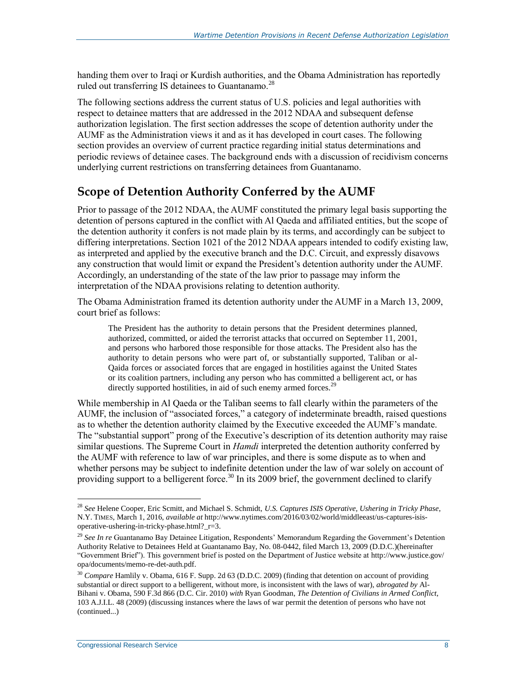handing them over to Iraqi or Kurdish authorities, and the Obama Administration has reportedly ruled out transferring IS detainees to Guantanamo.<sup>28</sup>

The following sections address the current status of U.S. policies and legal authorities with respect to detainee matters that are addressed in the 2012 NDAA and subsequent defense authorization legislation. The first section addresses the scope of detention authority under the AUMF as the Administration views it and as it has developed in court cases. The following section provides an overview of current practice regarding initial status determinations and periodic reviews of detainee cases. The background ends with a discussion of recidivism concerns underlying current restrictions on transferring detainees from Guantanamo.

#### <span id="page-10-1"></span>**Scope of Detention Authority Conferred by the AUMF**

Prior to passage of the 2012 NDAA, the AUMF constituted the primary legal basis supporting the detention of persons captured in the conflict with Al Qaeda and affiliated entities, but the scope of the detention authority it confers is not made plain by its terms, and accordingly can be subject to differing interpretations. Section 1021 of the 2012 NDAA appears intended to codify existing law, as interpreted and applied by the executive branch and the D.C. Circuit, and expressly disavows any construction that would limit or expand the President's detention authority under the AUMF. Accordingly, an understanding of the state of the law prior to passage may inform the interpretation of the NDAA provisions relating to detention authority.

The Obama Administration framed its detention authority under the AUMF in a March 13, 2009, court brief as follows:

<span id="page-10-0"></span>The President has the authority to detain persons that the President determines planned, authorized, committed, or aided the terrorist attacks that occurred on September 11, 2001, and persons who harbored those responsible for those attacks. The President also has the authority to detain persons who were part of, or substantially supported, Taliban or al-Qaida forces or associated forces that are engaged in hostilities against the United States or its coalition partners, including any person who has committed a belligerent act, or has directly supported hostilities, in aid of such enemy armed forces.<sup>29</sup>

While membership in Al Qaeda or the Taliban seems to fall clearly within the parameters of the AUMF, the inclusion of "associated forces," a category of indeterminate breadth, raised questions as to whether the detention authority claimed by the Executive exceeded the AUMF's mandate. The "substantial support" prong of the Executive's description of its detention authority may raise similar questions. The Supreme Court in *Hamdi* interpreted the detention authority conferred by the AUMF with reference to law of war principles, and there is some dispute as to when and whether persons may be subject to indefinite detention under the law of war solely on account of providing support to a belligerent force.<sup>30</sup> In its 2009 brief, the government declined to clarify

<sup>28</sup> *See* Helene Cooper, Eric Scmitt, and Michael S. Schmidt, *U.S. Captures ISIS Operative, Ushering in Tricky Phase*, N.Y. TIMES, March 1, 2016, *available at* http://www.nytimes.com/2016/03/02/world/middleeast/us-captures-isisoperative-ushering-in-tricky-phase.html?\_r=3.

<sup>29</sup> *See In re* Guantanamo Bay Detainee Litigation, Respondents' Memorandum Regarding the Government's Detention Authority Relative to Detainees Held at Guantanamo Bay, No. 08-0442, filed March 13, 2009 (D.D.C.)(hereinafter "Government Brief"). This government brief is posted on the Department of Justice website at http://www.justice.gov/ opa/documents/memo-re-det-auth.pdf.

<sup>30</sup> *Compare* Hamlily v. Obama*,* 616 F. Supp. 2d 63 (D.D.C. 2009) (finding that detention on account of providing substantial or direct support to a belligerent, without more, is inconsistent with the laws of war), *abrogated by* Al-Bihani v. Obama, 590 F.3d 866 (D.C. Cir. 2010) *with* Ryan Goodman, *The Detention of Civilians in Armed Conflict*, 103 A.J.I.L. 48 (2009) (discussing instances where the laws of war permit the detention of persons who have not (continued...)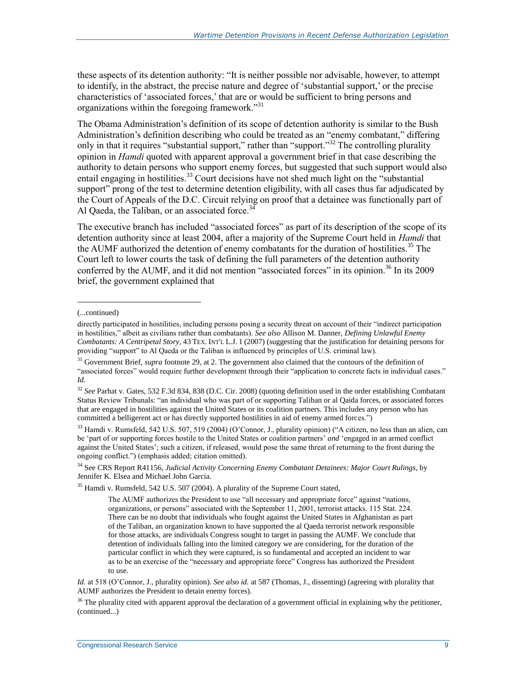these aspects of its detention authority: "It is neither possible nor advisable, however, to attempt to identify, in the abstract, the precise nature and degree of 'substantial support,' or the precise characteristics of 'associated forces,' that are or would be sufficient to bring persons and organizations within the foregoing framework.<sup>31</sup>

The Obama Administration's definition of its scope of detention authority is similar to the Bush Administration's definition describing who could be treated as an "enemy combatant," differing only in that it requires "substantial support," rather than "support."<sup>32</sup> The controlling plurality opinion in *Hamdi* quoted with apparent approval a government brief in that case describing the authority to detain persons who support enemy forces, but suggested that such support would also entail engaging in hostilities.<sup>33</sup> Court decisions have not shed much light on the "substantial" support" prong of the test to determine detention eligibility, with all cases thus far adjudicated by the Court of Appeals of the D.C. Circuit relying on proof that a detainee was functionally part of Al Oaeda, the Taliban, or an associated force. $34$ 

The executive branch has included "associated forces" as part of its description of the scope of its detention authority since at least 2004, after a majority of the Supreme Court held in *Hamdi* that the AUMF authorized the detention of enemy combatants for the duration of hostilities.<sup>35</sup> The Court left to lower courts the task of defining the full parameters of the detention authority conferred by the AUMF, and it did not mention "associated forces" in its opinion.<sup>36</sup> In its 2009 brief, the government explained that

l

<sup>(...</sup>continued)

directly participated in hostilities, including persons posing a security threat on account of their "indirect participation in hostilities," albeit as civilians rather than combatants). *See also* Allison M. Danner, *Defining Unlawful Enemy Combatants: A Centripetal Story*, 43 TEX. INT'L L.J. 1 (2007) (suggesting that the justification for detaining persons for providing "support" to Al Qaeda or the Taliban is influenced by principles of U.S. criminal law).

<sup>31</sup> Government Brief, *supra* footnot[e 29,](#page-10-0) at 2. The government also claimed that the contours of the definition of "associated forces" would require further development through their "application to concrete facts in individual cases." *Id.*

<sup>32</sup> *See* Parhat v. Gates, 532 F.3d 834, 838 (D.C. Cir. 2008) (quoting definition used in the order establishing Combatant Status Review Tribunals: "an individual who was part of or supporting Taliban or al Qaida forces, or associated forces that are engaged in hostilities against the United States or its coalition partners. This includes any person who has committed a belligerent act or has directly supported hostilities in aid of enemy armed forces.")

 $33$  Hamdi v. Rumsfeld, 542 U.S. 507, 519 (2004) (O'Connor, J., plurality opinion) ("A citizen, no less than an alien, can be 'part of or supporting forces hostile to the United States or coalition partners' *and* 'engaged in an armed conflict against the United States'; such a citizen, if released, would pose the same threat of returning to the front during the ongoing conflict.") (emphasis added; citation omitted).

<sup>34</sup> See CRS Report R41156, *Judicial Activity Concerning Enemy Combatant Detainees: Major Court Rulings*, by Jennifer K. Elsea and Michael John Garcia.

<sup>&</sup>lt;sup>35</sup> Hamdi v. Rumsfeld, 542 U.S. 507 (2004). A plurality of the Supreme Court stated,

The AUMF authorizes the President to use "all necessary and appropriate force" against "nations, organizations, or persons" associated with the September 11, 2001, terrorist attacks. 115 Stat. 224. There can be no doubt that individuals who fought against the United States in Afghanistan as part of the Taliban, an organization known to have supported the al Qaeda terrorist network responsible for those attacks, are individuals Congress sought to target in passing the AUMF. We conclude that detention of individuals falling into the limited category we are considering, for the duration of the particular conflict in which they were captured, is so fundamental and accepted an incident to war as to be an exercise of the "necessary and appropriate force" Congress has authorized the President to use.

*Id.* at 518 (O'Connor, J., plurality opinion). *See also id.* at 587 (Thomas, J., dissenting) (agreeing with plurality that AUMF authorizes the President to detain enemy forces).

 $36$  The plurality cited with apparent approval the declaration of a government official in explaining why the petitioner, (continued...)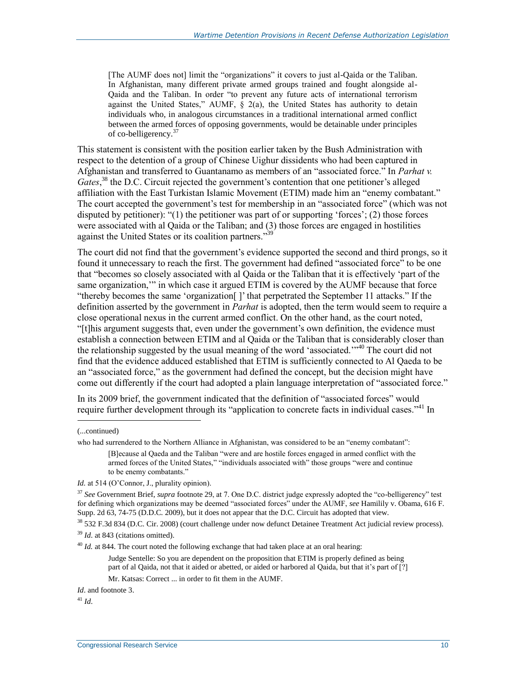[The AUMF does not] limit the "organizations" it covers to just al-Qaida or the Taliban. In Afghanistan, many different private armed groups trained and fought alongside al-Qaida and the Taliban. In order "to prevent any future acts of international terrorism against the United States," AUMF,  $\hat{\S}$  2(a), the United States has authority to detain individuals who, in analogous circumstances in a traditional international armed conflict between the armed forces of opposing governments, would be detainable under principles of co-belligerency.<sup>37</sup>

This statement is consistent with the position earlier taken by the Bush Administration with respect to the detention of a group of Chinese Uighur dissidents who had been captured in Afghanistan and transferred to Guantanamo as members of an "associated force." In *Parhat v. Gates*, <sup>38</sup> the D.C. Circuit rejected the government's contention that one petitioner's alleged affiliation with the East Turkistan Islamic Movement (ETIM) made him an "enemy combatant." The court accepted the government's test for membership in an "associated force" (which was not disputed by petitioner): "(1) the petitioner was part of or supporting 'forces'; (2) those forces were associated with al Qaida or the Taliban; and (3) those forces are engaged in hostilities against the United States or its coalition partners."<sup>3</sup>

The court did not find that the government's evidence supported the second and third prongs, so it found it unnecessary to reach the first. The government had defined "associated force" to be one that "becomes so closely associated with al Qaida or the Taliban that it is effectively 'part of the same organization,'" in which case it argued ETIM is covered by the AUMF because that force "thereby becomes the same 'organization[ ]' that perpetrated the September 11 attacks." If the definition asserted by the government in *Parhat* is adopted, then the term would seem to require a close operational nexus in the current armed conflict. On the other hand, as the court noted, "[t]his argument suggests that, even under the government's own definition, the evidence must establish a connection between ETIM and al Qaida or the Taliban that is considerably closer than the relationship suggested by the usual meaning of the word 'associated.'"<sup>40</sup> The court did not find that the evidence adduced established that ETIM is sufficiently connected to Al Qaeda to be an "associated force," as the government had defined the concept, but the decision might have come out differently if the court had adopted a plain language interpretation of "associated force."

In its 2009 brief, the government indicated that the definition of "associated forces" would require further development through its "application to concrete facts in individual cases."<sup>41</sup> In

 $\overline{a}$ 

[B]ecause al Qaeda and the Taliban "were and are hostile forces engaged in armed conflict with the armed forces of the United States," "individuals associated with" those groups "were and continue to be enemy combatants."

 $^{40}$  *Id.* at 844. The court noted the following exchange that had taken place at an oral hearing:

Judge Sentelle: So you are dependent on the proposition that ETIM is properly defined as being part of al Qaida, not that it aided or abetted, or aided or harbored al Qaida, but that it's part of [?]

Mr. Katsas: Correct ... in order to fit them in the AUMF.

<sup>41</sup> *Id*.

<sup>(...</sup>continued)

who had surrendered to the Northern Alliance in Afghanistan, was considered to be an "enemy combatant":

*Id.* at 514 (O'Connor, J., plurality opinion).

<sup>37</sup> *See* Government Brief, *supra* footnot[e 29,](#page-10-0) at 7. One D.C. district judge expressly adopted the "co-belligerency" test for defining which organizations may be deemed "associated forces" under the AUMF, *see* Hamilily v. Obama, 616 F. Supp. 2d 63, 74-75 (D.D.C. 2009), but it does not appear that the D.C. Circuit has adopted that view.

<sup>38</sup> 532 F.3d 834 (D.C. Cir. 2008) (court challenge under now defunct Detainee Treatment Act judicial review process). <sup>39</sup> *Id*. at 843 (citations omitted).

*Id*. and footnot[e 3.](#page-4-0)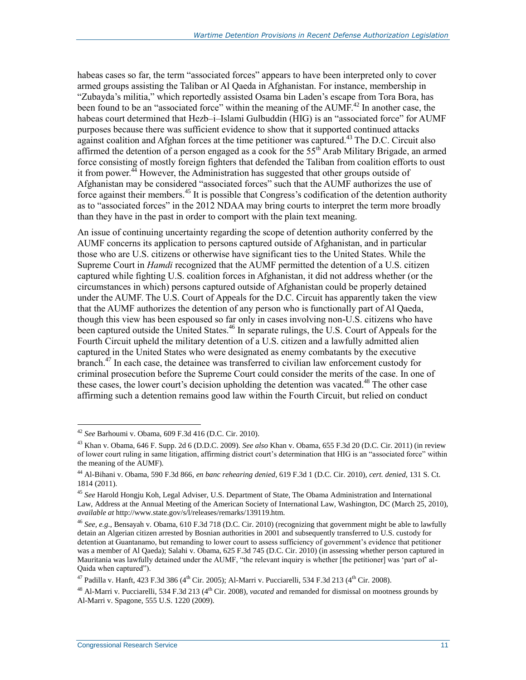habeas cases so far, the term "associated forces" appears to have been interpreted only to cover armed groups assisting the Taliban or Al Qaeda in Afghanistan. For instance, membership in "Zubayda's militia," which reportedly assisted Osama bin Laden's escape from Tora Bora, has been found to be an "associated force" within the meaning of the AUMF.<sup>42</sup> In another case, the habeas court determined that Hezb–i–Islami Gulbuddin (HIG) is an "associated force" for AUMF purposes because there was sufficient evidence to show that it supported continued attacks against coalition and Afghan forces at the time petitioner was captured.<sup>43</sup> The D.C. Circuit also affirmed the detention of a person engaged as a cook for the  $55<sup>th</sup>$  Arab Military Brigade, an armed force consisting of mostly foreign fighters that defended the Taliban from coalition efforts to oust it from power.<sup>44</sup> However, the Administration has suggested that other groups outside of Afghanistan may be considered "associated forces" such that the AUMF authorizes the use of force against their members.<sup>45</sup> It is possible that Congress's codification of the detention authority as to "associated forces" in the 2012 NDAA may bring courts to interpret the term more broadly than they have in the past in order to comport with the plain text meaning.

An issue of continuing uncertainty regarding the scope of detention authority conferred by the AUMF concerns its application to persons captured outside of Afghanistan, and in particular those who are U.S. citizens or otherwise have significant ties to the United States. While the Supreme Court in *Hamdi* recognized that the AUMF permitted the detention of a U.S. citizen captured while fighting U.S. coalition forces in Afghanistan, it did not address whether (or the circumstances in which) persons captured outside of Afghanistan could be properly detained under the AUMF. The U.S. Court of Appeals for the D.C. Circuit has apparently taken the view that the AUMF authorizes the detention of any person who is functionally part of Al Qaeda, though this view has been espoused so far only in cases involving non-U.S. citizens who have been captured outside the United States.<sup>46</sup> In separate rulings, the U.S. Court of Appeals for the Fourth Circuit upheld the military detention of a U.S. citizen and a lawfully admitted alien captured in the United States who were designated as enemy combatants by the executive branch.<sup>47</sup> In each case, the detainee was transferred to civilian law enforcement custody for criminal prosecution before the Supreme Court could consider the merits of the case. In one of these cases, the lower court's decision upholding the detention was vacated.<sup>48</sup> The other case affirming such a detention remains good law within the Fourth Circuit, but relied on conduct

<sup>42</sup> *See* Barhoumi v. Obama, 609 F.3d 416 (D.C. Cir. 2010).

<sup>43</sup> Khan v. Obama, 646 F. Supp. 2d 6 (D.D.C. 2009). *See also* Khan v. Obama, 655 F.3d 20 (D.C. Cir. 2011) (in review of lower court ruling in same litigation, affirming district court's determination that HIG is an "associated force" within the meaning of the AUMF).

<sup>44</sup> Al-Bihani v. Obama, 590 F.3d 866, *en banc rehearing denied*, 619 F.3d 1 (D.C. Cir. 2010), *cert. denied*, 131 S. Ct. 1814 (2011).

<sup>45</sup> *See* Harold Hongju Koh, Legal Adviser, U.S. Department of State, The Obama Administration and International Law, Address at the Annual Meeting of the American Society of International Law, Washington, DC (March 25, 2010), *available at* http://www.state.gov/s/l/releases/remarks/139119.htm.

<sup>46</sup> *See, e.g.*, Bensayah v. Obama, 610 F.3d 718 (D.C. Cir. 2010) (recognizing that government might be able to lawfully detain an Algerian citizen arrested by Bosnian authorities in 2001 and subsequently transferred to U.S. custody for detention at Guantanamo, but remanding to lower court to assess sufficiency of government's evidence that petitioner was a member of Al Qaeda); Salahi v. Obama, 625 F.3d 745 (D.C. Cir. 2010) (in assessing whether person captured in Mauritania was lawfully detained under the AUMF, "the relevant inquiry is whether [the petitioner] was 'part of' al-Qaida when captured").

<sup>&</sup>lt;sup>47</sup> Padilla v. Hanft, 423 F.3d 386 (4<sup>th</sup> Cir. 2005); Al-Marri v. Pucciarelli, 534 F.3d 213 (4<sup>th</sup> Cir. 2008).

<sup>&</sup>lt;sup>48</sup> Al-Marri v. Pucciarelli, 534 F.3d 213 (4<sup>th</sup> Cir. 2008), *vacated* and remanded for dismissal on mootness grounds by Al-Marri v. Spagone, 555 U.S. 1220 (2009).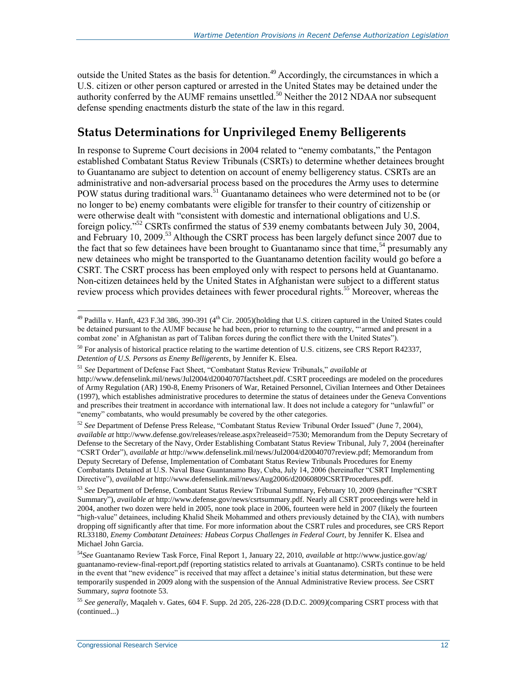outside the United States as the basis for detention.<sup>49</sup> Accordingly, the circumstances in which a U.S. citizen or other person captured or arrested in the United States may be detained under the authority conferred by the AUMF remains unsettled.<sup>50</sup> Neither the 2012 NDAA nor subsequent defense spending enactments disturb the state of the law in this regard.

#### <span id="page-14-1"></span>**Status Determinations for Unprivileged Enemy Belligerents**

In response to Supreme Court decisions in 2004 related to "enemy combatants," the Pentagon established Combatant Status Review Tribunals (CSRTs) to determine whether detainees brought to Guantanamo are subject to detention on account of enemy belligerency status. CSRTs are an administrative and non-adversarial process based on the procedures the Army uses to determine POW status during traditional wars.<sup>51</sup> Guantanamo detainees who were determined not to be (or no longer to be) enemy combatants were eligible for transfer to their country of citizenship or were otherwise dealt with "consistent with domestic and international obligations and U.S. foreign policy."<sup>52</sup> CSRTs confirmed the status of 539 enemy combatants between July 30, 2004, and February 10, 2009.<sup>53</sup> Although the CSRT process has been largely defunct since 2007 due to the fact that so few detainees have been brought to Guantanamo since that time.<sup>54</sup> presumably any new detainees who might be transported to the Guantanamo detention facility would go before a CSRT. The CSRT process has been employed only with respect to persons held at Guantanamo. Non-citizen detainees held by the United States in Afghanistan were subject to a different status review process which provides detainees with fewer procedural rights.<sup>55</sup> Moreover, whereas the

<span id="page-14-0"></span> $\overline{a}$ <sup>49</sup> Padilla v. Hanft, 423 F.3d 386, 390-391 (4<sup>th</sup> Cir. 2005)(holding that U.S. citizen captured in the United States could be detained pursuant to the AUMF because he had been, prior to returning to the country, "'armed and present in a combat zone' in Afghanistan as part of Taliban forces during the conflict there with the United States").

 $50$  For analysis of historical practice relating to the wartime detention of U.S. citizens, see CRS Report R42337, *Detention of U.S. Persons as Enemy Belligerents*, by Jennifer K. Elsea.

<sup>51</sup> *See* Department of Defense Fact Sheet, "Combatant Status Review Tribunals," *available at*

http://www.defenselink.mil/news/Jul2004/d20040707factsheet.pdf. CSRT proceedings are modeled on the procedures of Army Regulation (AR) 190-8, Enemy Prisoners of War, Retained Personnel, Civilian Internees and Other Detainees (1997), which establishes administrative procedures to determine the status of detainees under the Geneva Conventions and prescribes their treatment in accordance with international law. It does not include a category for "unlawful" or "enemy" combatants, who would presumably be covered by the other categories.

<sup>52</sup> *See* Department of Defense Press Release, "Combatant Status Review Tribunal Order Issued" (June 7, 2004), *available at* http://www.defense.gov/releases/release.aspx?releaseid=7530; Memorandum from the Deputy Secretary of Defense to the Secretary of the Navy, Order Establishing Combatant Status Review Tribunal, July 7, 2004 (hereinafter "CSRT Order"), *available at* http://www.defenselink.mil/news/Jul2004/d20040707review.pdf; Memorandum from Deputy Secretary of Defense, Implementation of Combatant Status Review Tribunals Procedures for Enemy Combatants Detained at U.S. Naval Base Guantanamo Bay, Cuba, July 14, 2006 (hereinafter "CSRT Implementing Directive"), *available at* http://www.defenselink.mil/news/Aug2006/d20060809CSRTProcedures.pdf.

<sup>53</sup> *See* Department of Defense, Combatant Status Review Tribunal Summary, February 10, 2009 (hereinafter "CSRT Summary"), *available at* http://www.defense.gov/news/csrtsummary.pdf. Nearly all CSRT proceedings were held in 2004, another two dozen were held in 2005, none took place in 2006, fourteen were held in 2007 (likely the fourteen "high-value" detainees, including Khalid Sheik Mohammed and others previously detained by the CIA), with numbers dropping off significantly after that time. For more information about the CSRT rules and procedures, see CRS Report RL33180, *Enemy Combatant Detainees: Habeas Corpus Challenges in Federal Court*, by Jennifer K. Elsea and Michael John Garcia.

<sup>54</sup>*See* Guantanamo Review Task Force, Final Report 1, January 22, 2010, *available at* http://www.justice.gov/ag/ guantanamo-review-final-report.pdf (reporting statistics related to arrivals at Guantanamo). CSRTs continue to be held in the event that "new evidence" is received that may affect a detainee's initial status determination, but these were temporarily suspended in 2009 along with the suspension of the Annual Administrative Review process. *See* CSRT Summary, *supra* footnot[e 53.](#page-14-0)

<sup>55</sup> *See generally*, Maqaleh v. Gates, 604 F. Supp. 2d 205, 226-228 (D.D.C. 2009*)*(comparing CSRT process with that (continued...)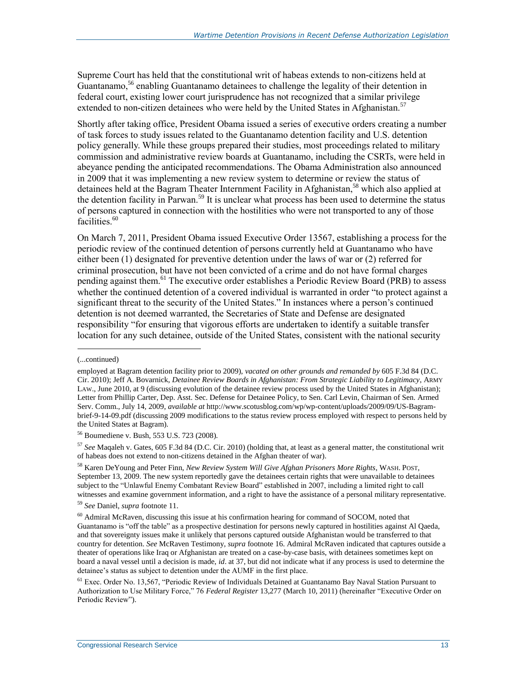Supreme Court has held that the constitutional writ of habeas extends to non-citizens held at Guantanamo,<sup>56</sup> enabling Guantanamo detainees to challenge the legality of their detention in federal court, existing lower court jurisprudence has not recognized that a similar privilege extended to non-citizen detainees who were held by the United States in Afghanistan.<sup>57</sup>

Shortly after taking office, President Obama issued a series of executive orders creating a number of task forces to study issues related to the Guantanamo detention facility and U.S. detention policy generally. While these groups prepared their studies, most proceedings related to military commission and administrative review boards at Guantanamo, including the CSRTs, were held in abeyance pending the anticipated recommendations. The Obama Administration also announced in 2009 that it was implementing a new review system to determine or review the status of detainees held at the Bagram Theater Internment Facility in Afghanistan,<sup>58</sup> which also applied at the detention facility in Parwan.<sup>59</sup> It is unclear what process has been used to determine the status of persons captured in connection with the hostilities who were not transported to any of those facilities.<sup>60</sup>

On March 7, 2011, President Obama issued Executive Order 13567, establishing a process for the periodic review of the continued detention of persons currently held at Guantanamo who have either been (1) designated for preventive detention under the laws of war or (2) referred for criminal prosecution, but have not been convicted of a crime and do not have formal charges pending against them.<sup>61</sup> The executive order establishes a Periodic Review Board (PRB) to assess whether the continued detention of a covered individual is warranted in order "to protect against a significant threat to the security of the United States." In instances where a person's continued detention is not deemed warranted, the Secretaries of State and Defense are designated responsibility "for ensuring that vigorous efforts are undertaken to identify a suitable transfer location for any such detainee, outside of the United States, consistent with the national security

l

<sup>57</sup> *See* Maqaleh v. Gates, 605 F.3d 84 (D.C. Cir. 2010) (holding that, at least as a general matter, the constitutional writ of habeas does not extend to non-citizens detained in the Afghan theater of war).

<sup>(...</sup>continued)

employed at Bagram detention facility prior to 2009), *vacated on other grounds and remanded by* 605 F.3d 84 (D.C. Cir. 2010); Jeff A. Bovarnick, *Detainee Review Boards in Afghanistan: From Strategic Liability to Legitimacy*, ARMY LAW., June 2010, at 9 (discussing evolution of the detainee review process used by the United States in Afghanistan); Letter from Phillip Carter, Dep. Asst. Sec. Defense for Detainee Policy, to Sen. Carl Levin, Chairman of Sen. Armed Serv. Comm., July 14, 2009, *available at* http://www.scotusblog.com/wp/wp-content/uploads/2009/09/US-Bagrambrief-9-14-09.pdf (discussing 2009 modifications to the status review process employed with respect to persons held by the United States at Bagram).

<sup>56</sup> Boumediene v. Bush, 553 U.S. 723 (2008).

<sup>58</sup> Karen DeYoung and Peter Finn, *New Review System Will Give Afghan Prisoners More Rights*, WASH. POST, September 13, 2009. The new system reportedly gave the detainees certain rights that were unavailable to detainees subject to the "Unlawful Enemy Combatant Review Board" established in 2007, including a limited right to call witnesses and examine government information, and a right to have the assistance of a personal military representative.

<sup>59</sup> *See* Daniel, *supra* footnot[e 11.](#page-6-0)

<sup>60</sup> Admiral McRaven, discussing this issue at his confirmation hearing for command of SOCOM, noted that Guantanamo is "off the table" as a prospective destination for persons newly captured in hostilities against Al Qaeda, and that sovereignty issues make it unlikely that persons captured outside Afghanistan would be transferred to that country for detention. *See* McRaven Testimony, *supra* footnot[e 16.](#page-7-0) Admiral McRaven indicated that captures outside a theater of operations like Iraq or Afghanistan are treated on a case-by-case basis, with detainees sometimes kept on board a naval vessel until a decision is made, *id*. at 37, but did not indicate what if any process is used to determine the detainee's status as subject to detention under the AUMF in the first place.

<sup>&</sup>lt;sup>61</sup> Exec. Order No. 13,567, "Periodic Review of Individuals Detained at Guantanamo Bay Naval Station Pursuant to Authorization to Use Military Force," 76 *Federal Register* 13,277 (March 10, 2011) (hereinafter "Executive Order on Periodic Review").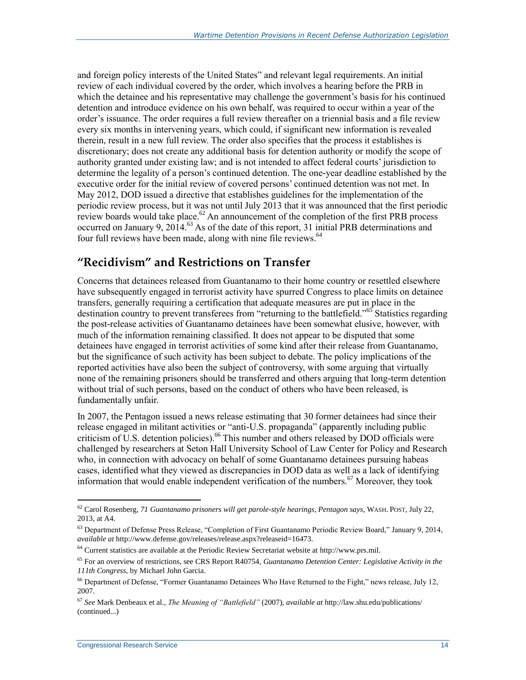and foreign policy interests of the United States" and relevant legal requirements. An initial review of each individual covered by the order, which involves a hearing before the PRB in which the detainee and his representative may challenge the government's basis for his continued detention and introduce evidence on his own behalf, was required to occur within a year of the order's issuance. The order requires a full review thereafter on a triennial basis and a file review every six months in intervening years, which could, if significant new information is revealed therein, result in a new full review. The order also specifies that the process it establishes is discretionary; does not create any additional basis for detention authority or modify the scope of authority granted under existing law; and is not intended to affect federal courts' jurisdiction to determine the legality of a person's continued detention. The one-year deadline established by the executive order for the initial review of covered persons' continued detention was not met. In May 2012, DOD issued a directive that establishes guidelines for the implementation of the periodic review process, but it was not until July 2013 that it was announced that the first periodic review boards would take place. $62$  An announcement of the completion of the first PRB process occurred on January 9, 2014.<sup>63</sup> As of the date of this report, 31 initial PRB determinations and four full reviews have been made, along with nine file reviews.<sup>64</sup>

#### <span id="page-16-2"></span><span id="page-16-1"></span><span id="page-16-0"></span>**"Recidivism" and Restrictions on Transfer**

Concerns that detainees released from Guantanamo to their home country or resettled elsewhere have subsequently engaged in terrorist activity have spurred Congress to place limits on detainee transfers, generally requiring a certification that adequate measures are put in place in the destination country to prevent transferees from "returning to the battlefield."<sup>65</sup> Statistics regarding the post-release activities of Guantanamo detainees have been somewhat elusive, however, with much of the information remaining classified. It does not appear to be disputed that some detainees have engaged in terrorist activities of some kind after their release from Guantanamo, but the significance of such activity has been subject to debate. The policy implications of the reported activities have also been the subject of controversy, with some arguing that virtually none of the remaining prisoners should be transferred and others arguing that long-term detention without trial of such persons, based on the conduct of others who have been released, is fundamentally unfair.

In 2007, the Pentagon issued a news release estimating that 30 former detainees had since their release engaged in militant activities or "anti-U.S. propaganda" (apparently including public criticism of U.S. detention policies).<sup>66</sup> This number and others released by DOD officials were challenged by researchers at Seton Hall University School of Law Center for Policy and Research who, in connection with advocacy on behalf of some Guantanamo detainees pursuing habeas cases, identified what they viewed as discrepancies in DOD data as well as a lack of identifying information that would enable independent verification of the numbers.<sup>67</sup> Moreover, they took

<sup>62</sup> Carol Rosenberg, *71 Guantanamo prisoners will get parole-style hearings, Pentagon says*, WASH. POST, July 22, 2013, at A4.

<sup>&</sup>lt;sup>63</sup> Department of Defense Press Release, "Completion of First Guantanamo Periodic Review Board," January 9, 2014, *available at* http://www.defense.gov/releases/release.aspx?releaseid=16473.

<sup>64</sup> Current statistics are available at the Periodic Review Secretariat website at http://www.prs.mil.

<sup>65</sup> For an overview of restrictions, see CRS Report R40754, *Guantanamo Detention Center: Legislative Activity in the 111th Congress*, by Michael John Garcia.

<sup>66</sup> Department of Defense, "Former Guantanamo Detainees Who Have Returned to the Fight," news release, July 12, 2007.

<sup>67</sup> *See* Mark Denbeaux et al., *The Meaning of "Battlefield"* (2007), *available at* http://law.shu.edu/publications/ (continued...)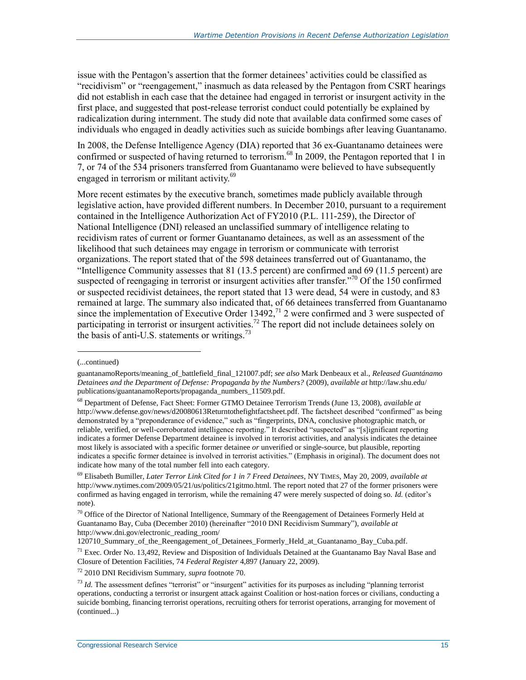issue with the Pentagon's assertion that the former detainees' activities could be classified as "recidivism" or "reengagement," inasmuch as data released by the Pentagon from CSRT hearings did not establish in each case that the detainee had engaged in terrorist or insurgent activity in the first place, and suggested that post-release terrorist conduct could potentially be explained by radicalization during internment. The study did note that available data confirmed some cases of individuals who engaged in deadly activities such as suicide bombings after leaving Guantanamo.

In 2008, the Defense Intelligence Agency (DIA) reported that 36 ex-Guantanamo detainees were confirmed or suspected of having returned to terrorism.<sup>68</sup> In 2009, the Pentagon reported that 1 in 7, or 74 of the 534 prisoners transferred from Guantanamo were believed to have subsequently engaged in terrorism or militant activity.<sup>69</sup>

More recent estimates by the executive branch, sometimes made publicly available through legislative action, have provided different numbers. In December 2010, pursuant to a requirement contained in the Intelligence Authorization Act of FY2010 (P.L. 111-259), the Director of National Intelligence (DNI) released an unclassified summary of intelligence relating to recidivism rates of current or former Guantanamo detainees, as well as an assessment of the likelihood that such detainees may engage in terrorism or communicate with terrorist organizations. The report stated that of the 598 detainees transferred out of Guantanamo, the "Intelligence Community assesses that 81 (13.5 percent) are confirmed and 69 (11.5 percent) are suspected of reengaging in terrorist or insurgent activities after transfer."<sup>70</sup> Of the 150 confirmed or suspected recidivist detainees, the report stated that 13 were dead, 54 were in custody, and 83 remained at large. The summary also indicated that, of 66 detainees transferred from Guantanamo since the implementation of Executive Order  $13492$ ,<sup>71</sup> 2 were confirmed and 3 were suspected of participating in terrorist or insurgent activities.<sup>72</sup> The report did not include detainees solely on the basis of anti-U.S. statements or writings.<sup>73</sup>

<span id="page-17-0"></span>l

<sup>(...</sup>continued)

guantanamoReports/meaning\_of\_battlefield\_final\_121007.pdf; *see also* Mark Denbeaux et al., *Released Guantánamo Detainees and the Department of Defense: Propaganda by the Numbers?* (2009), *available at* http://law.shu.edu/ publications/guantanamoReports/propaganda\_numbers\_11509.pdf.

<sup>68</sup> Department of Defense, Fact Sheet: Former GTMO Detainee Terrorism Trends (June 13, 2008), *available at*  http://www.defense.gov/news/d20080613Returntothefightfactsheet.pdf. The factsheet described "confirmed" as being demonstrated by a "preponderance of evidence," such as "fingerprints, DNA, conclusive photographic match, or reliable, verified, or well-corroborated intelligence reporting." It described "suspected" as "[s]ignificant reporting indicates a former Defense Department detainee is involved in terrorist activities, and analysis indicates the detainee most likely is associated with a specific former detainee *or* unverified or single-source, but plausible, reporting indicates a specific former detainee is involved in terrorist activities." (Emphasis in original). The document does not indicate how many of the total number fell into each category.

<sup>69</sup> Elisabeth Bumiller, *Later Terror Link Cited for 1 in 7 Freed Detainees*, NY TIMES, May 20, 2009, *available at*  http://www.nytimes.com/2009/05/21/us/politics/21gitmo.html. The report noted that 27 of the former prisoners were confirmed as having engaged in terrorism, while the remaining 47 were merely suspected of doing so. *Id.* (editor's note).

<sup>&</sup>lt;sup>70</sup> Office of the Director of National Intelligence, Summary of the Reengagement of Detainees Formerly Held at Guantanamo Bay, Cuba (December 2010) (hereinafter "2010 DNI Recidivism Summary"), *available at* http://www.dni.gov/electronic\_reading\_room/

<sup>120710</sup>\_Summary\_of\_the\_Reengagement\_of\_Detainees\_Formerly\_Held\_at\_Guantanamo\_Bay\_Cuba.pdf.

 $71$  Exec. Order No. 13,492, Review and Disposition of Individuals Detained at the Guantanamo Bay Naval Base and Closure of Detention Facilities, 74 *Federal Register* 4,897 (January 22, 2009).

<sup>72</sup> 2010 DNI Recidivism Summary, *supra* footnot[e 70.](#page-17-0)

<sup>73</sup> *Id.* The assessment defines "terrorist" or "insurgent" activities for its purposes as including "planning terrorist operations, conducting a terrorist or insurgent attack against Coalition or host-nation forces or civilians, conducting a suicide bombing, financing terrorist operations, recruiting others for terrorist operations, arranging for movement of (continued...)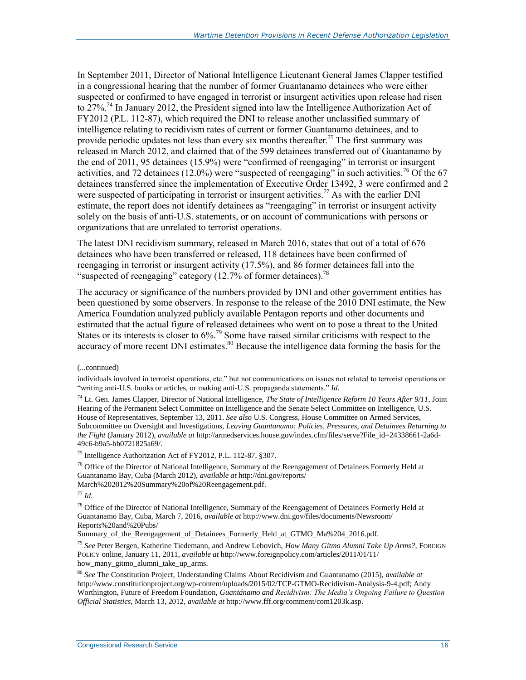In September 2011, Director of National Intelligence Lieutenant General James Clapper testified in a congressional hearing that the number of former Guantanamo detainees who were either suspected or confirmed to have engaged in terrorist or insurgent activities upon release had risen to 27%<sup>74</sup> In January 2012, the President signed into law the Intelligence Authorization Act of FY2012 (P.L. 112-87), which required the DNI to release another unclassified summary of intelligence relating to recidivism rates of current or former Guantanamo detainees, and to provide periodic updates not less than every six months thereafter.<sup>75</sup> The first summary was released in March 2012, and claimed that of the 599 detainees transferred out of Guantanamo by the end of 2011, 95 detainees (15.9%) were "confirmed of reengaging" in terrorist or insurgent activities, and 72 detainees (12.0%) were "suspected of reengaging" in such activities.<sup>76</sup> Of the 67 detainees transferred since the implementation of Executive Order 13492, 3 were confirmed and 2 were suspected of participating in terrorist or insurgent activities.<sup>77</sup> As with the earlier DNI estimate, the report does not identify detainees as "reengaging" in terrorist or insurgent activity solely on the basis of anti-U.S. statements, or on account of communications with persons or organizations that are unrelated to terrorist operations.

The latest DNI recidivism summary, released in March 2016, states that out of a total of 676 detainees who have been transferred or released, 118 detainees have been confirmed of reengaging in terrorist or insurgent activity (17.5%), and 86 former detainees fall into the "suspected of reengaging" category  $(12.7\%$  of former detainees).<sup>78</sup>

The accuracy or significance of the numbers provided by DNI and other government entities has been questioned by some observers. In response to the release of the 2010 DNI estimate, the New America Foundation analyzed publicly available Pentagon reports and other documents and estimated that the actual figure of released detainees who went on to pose a threat to the United States or its interests is closer to  $6\%$ .<sup>79</sup> Some have raised similar criticisms with respect to the accuracy of more recent DNI estimates.<sup>80</sup> Because the intelligence data forming the basis for the

l

<sup>77</sup> *Id.*

Summary\_of\_the\_Reengagement\_of\_Detainees\_Formerly\_Held\_at\_GTMO\_Ma%204\_2016.pdf.

<sup>79</sup> *See* Peter Bergen, Katherine Tiedemann, and Andrew Lebovich, *How Many Gitmo Alumni Take Up Arms?*, FOREIGN POLICY online, January 11, 2011, *available at* http://www.foreignpolicy.com/articles/2011/01/11/ how\_many\_gitmo\_alumni\_take\_up\_arms.

<sup>(...</sup>continued)

individuals involved in terrorist operations, etc." but not communications on issues not related to terrorist operations or "writing anti-U.S. books or articles, or making anti-U.S. propaganda statements." *Id*.

<sup>74</sup> Lt. Gen. James Clapper, Director of National Intelligence, *The State of Intelligence Reform 10 Years After 9/11*, Joint Hearing of the Permanent Select Committee on Intelligence and the Senate Select Committee on Intelligence, U.S. House of Representatives, September 13, 2011. *See also* U.S. Congress, House Committee on Armed Services, Subcommittee on Oversight and Investigations, *Leaving Guantanamo: Policies, Pressures, and Detainees Returning to the Fight* (January 2012), *available at* http://armedservices.house.gov/index.cfm/files/serve?File\_id=24338661-2a6d-49c6-b9a5-bb0721825a69/.

<sup>75</sup> Intelligence Authorization Act of FY2012, P.L. 112-87, §307.

 $^{76}$  Office of the Director of National Intelligence, Summary of the Reengagement of Detainees Formerly Held at Guantanamo Bay, Cuba (March 2012), *available at* http://dni.gov/reports/ March%202012%20Summary%20of%20Reengagement.pdf.

<sup>&</sup>lt;sup>78</sup> Office of the Director of National Intelligence, Summary of the Reengagement of Detainees Formerly Held at Guantanamo Bay, Cuba, March 7, 2016, *available at* http://www.dni.gov/files/documents/Newsroom/ Reports%20and%20Pubs/

<sup>80</sup> *See* The Constitution Project, Understanding Claims About Recidivism and Guantanamo (2015), *available at* http://www.constitutionproject.org/wp-content/uploads/2015/02/TCP-GTMO-Recidivism-Analysis-9-4.pdf; Andy Worthington, Future of Freedom Foundation, *Guantánamo and Recidivism: The Media's Ongoing Failure to Question Official Statistics*, March 13, 2012, *available at* http://www.fff.org/comment/com1203k.asp.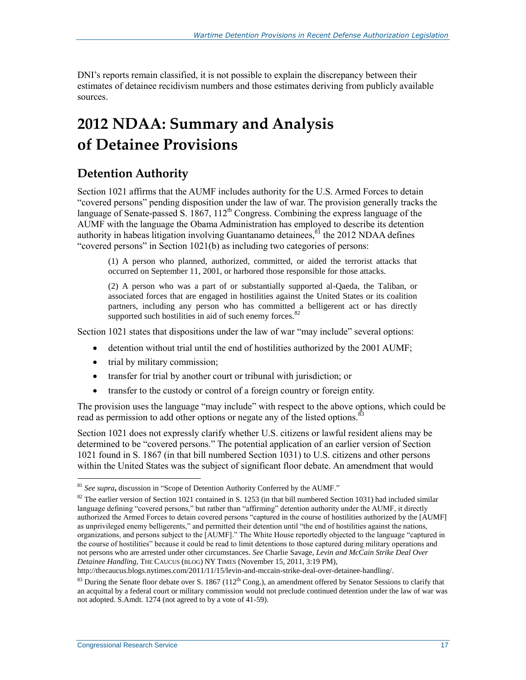DNI's reports remain classified, it is not possible to explain the discrepancy between their estimates of detainee recidivism numbers and those estimates deriving from publicly available sources.

## **2012 NDAA: Summary and Analysis of Detainee Provisions**

#### **Detention Authority**

Section 1021 affirms that the AUMF includes authority for the U.S. Armed Forces to detain "covered persons" pending disposition under the law of war. The provision generally tracks the language of Senate-passed S.  $1867$ ,  $112<sup>th</sup>$  Congress. Combining the express language of the AUMF with the language the Obama Administration has employed to describe its detention authority in habeas litigation involving Guantanamo detainees, ${}^{81}$  the 2012 NDAA defines "covered persons" in Section 1021(b) as including two categories of persons:

(1) A person who planned, authorized, committed, or aided the terrorist attacks that occurred on September 11, 2001, or harbored those responsible for those attacks.

(2) A person who was a part of or substantially supported al-Qaeda, the Taliban, or associated forces that are engaged in hostilities against the United States or its coalition partners, including any person who has committed a belligerent act or has directly supported such hostilities in aid of such enemy forces.<sup>82</sup>

Section 1021 states that dispositions under the law of war "may include" several options:

- detention without trial until the end of hostilities authorized by the 2001 AUMF;
- trial by military commission;
- transfer for trial by another court or tribunal with jurisdiction; or
- transfer to the custody or control of a foreign country or foreign entity.

The provision uses the language "may include" with respect to the above options, which could be read as permission to add other options or negate any of the listed options.<sup>8</sup>

Section 1021 does not expressly clarify whether U.S. citizens or lawful resident aliens may be determined to be "covered persons." The potential application of an earlier version of Section 1021 found in S. 1867 (in that bill numbered Section 1031) to U.S. citizens and other persons within the United States was the subject of significant floor debate. An amendment that would

http://thecaucus.blogs.nytimes.com/2011/11/15/levin-and-mccain-strike-deal-over-detainee-handling/.

<sup>81</sup> *See supra***,** discussion in ["Scope of Detention Authority Conferred by the AUMF.](#page-10-1)"

<sup>&</sup>lt;sup>82</sup> The earlier version of Section 1021 contained in S. 1253 (in that bill numbered Section 1031) had included similar language defining "covered persons," but rather than "affirming" detention authority under the AUMF, it directly authorized the Armed Forces to detain covered persons "captured in the course of hostilities authorized by the [AUMF] as unprivileged enemy belligerents," and permitted their detention until "the end of hostilities against the nations, organizations, and persons subject to the [AUMF]." The White House reportedly objected to the language "captured in the course of hostilities" because it could be read to limit detentions to those captured during military operations and not persons who are arrested under other circumstances. *See* Charlie Savage, *Levin and McCain Strike Deal Over Detainee Handling*, THE CAUCUS (BLOG) NY TIMES (November 15, 2011, 3:19 PM),

 $83$  During the Senate floor debate over S. 1867 (112<sup>th</sup> Cong.), an amendment offered by Senator Sessions to clarify that an acquittal by a federal court or military commission would not preclude continued detention under the law of war was not adopted. S.Amdt. 1274 (not agreed to by a vote of 41-59).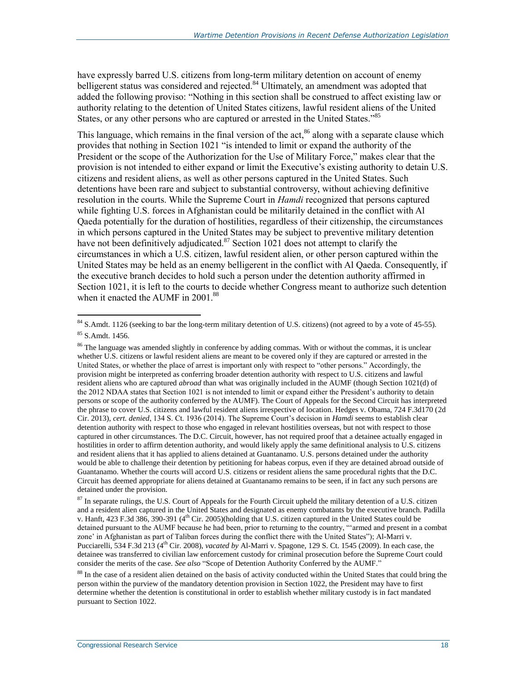have expressly barred U.S. citizens from long-term military detention on account of enemy belligerent status was considered and rejected.<sup>84</sup> Ultimately, an amendment was adopted that added the following proviso: "Nothing in this section shall be construed to affect existing law or authority relating to the detention of United States citizens, lawful resident aliens of the United States, or any other persons who are captured or arrested in the United States."<sup>85</sup>

This language, which remains in the final version of the act,  $86$  along with a separate clause which provides that nothing in Section 1021 "is intended to limit or expand the authority of the President or the scope of the Authorization for the Use of Military Force," makes clear that the provision is not intended to either expand or limit the Executive's existing authority to detain U.S. citizens and resident aliens, as well as other persons captured in the United States. Such detentions have been rare and subject to substantial controversy, without achieving definitive resolution in the courts. While the Supreme Court in *Hamdi* recognized that persons captured while fighting U.S. forces in Afghanistan could be militarily detained in the conflict with Al Qaeda potentially for the duration of hostilities, regardless of their citizenship, the circumstances in which persons captured in the United States may be subject to preventive military detention have not been definitively adjudicated.<sup>87</sup> Section 1021 does not attempt to clarify the circumstances in which a U.S. citizen, lawful resident alien, or other person captured within the United States may be held as an enemy belligerent in the conflict with Al Qaeda. Consequently, if the executive branch decides to hold such a person under the detention authority affirmed in Section 1021, it is left to the courts to decide whether Congress meant to authorize such detention when it enacted the AUMF in 2001.<sup>88</sup>

<sup>&</sup>lt;sup>84</sup> S.Amdt. 1126 (seeking to bar the long-term military detention of U.S. citizens) (not agreed to by a vote of 45-55). <sup>85</sup> S.Amdt. 1456.

<sup>&</sup>lt;sup>86</sup> The language was amended slightly in conference by adding commas. With or without the commas, it is unclear whether U.S. citizens or lawful resident aliens are meant to be covered only if they are captured or arrested in the United States, or whether the place of arrest is important only with respect to "other persons." Accordingly, the provision might be interpreted as conferring broader detention authority with respect to U.S. citizens and lawful resident aliens who are captured *abroad* than what was originally included in the AUMF (though Section 1021(d) of the 2012 NDAA states that Section 1021 is not intended to limit or expand either the President's authority to detain persons or scope of the authority conferred by the AUMF). The Court of Appeals for the Second Circuit has interpreted the phrase to cover U.S. citizens and lawful resident aliens irrespective of location. Hedges v. Obama, 724 F.3d170 (2d Cir. 2013), *cert. denied*, 134 S. Ct. 1936 (2014). The Supreme Court's decision in *Hamdi* seems to establish clear detention authority with respect to those who engaged in relevant hostilities overseas, but not with respect to those captured in other circumstances. The D.C. Circuit, however, has not required proof that a detainee actually engaged in hostilities in order to affirm detention authority, and would likely apply the same definitional analysis to U.S. citizens and resident aliens that it has applied to aliens detained at Guantanamo. U.S. persons detained under the authority would be able to challenge their detention by petitioning for habeas corpus, even if they are detained abroad outside of Guantanamo. Whether the courts will accord U.S. citizens or resident aliens the same procedural rights that the D.C. Circuit has deemed appropriate for aliens detained at Guantanamo remains to be seen, if in fact any such persons are detained under the provision.

 $87$  In separate rulings, the U.S. Court of Appeals for the Fourth Circuit upheld the military detention of a U.S. citizen and a resident alien captured in the United States and designated as enemy combatants by the executive branch. Padilla v. Hanft, 423 F.3d 386, 390-391 ( $4<sup>th</sup>$  Cir. 2005)(holding that U.S. citizen captured in the United States could be detained pursuant to the AUMF because he had been, prior to returning to the country, "'armed and present in a combat zone' in Afghanistan as part of Taliban forces during the conflict there with the United States"); Al-Marri v. Pucciarelli, 534 F.3d 213 (4th Cir. 2008), *vacated by* Al-Marri v. Spagone, 129 S. Ct. 1545 (2009). In each case, the detainee was transferred to civilian law enforcement custody for criminal prosecution before the Supreme Court could consider the merits of the case. *See also* ["Scope of Detention Authority Conferred by the AUMF.](#page-10-1)"

<sup>&</sup>lt;sup>88</sup> In the case of a resident alien detained on the basis of activity conducted within the United States that could bring the person within the purview of the mandatory detention provision in Section 1022, the President may have to first determine whether the detention is constitutional in order to establish whether military custody is in fact mandated pursuant to Section 1022.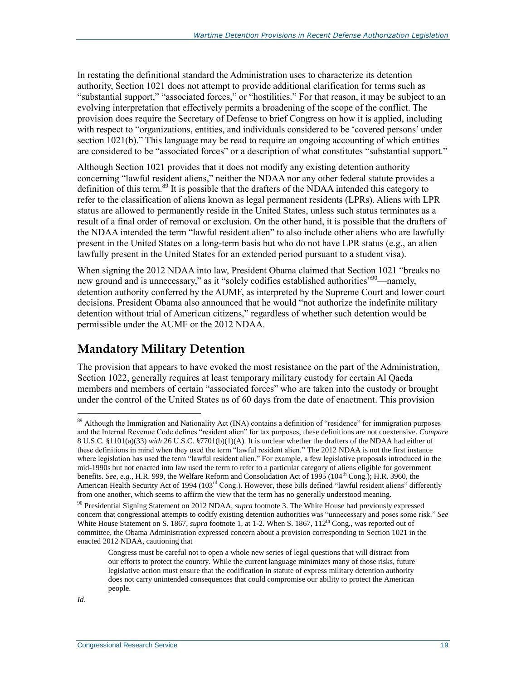In restating the definitional standard the Administration uses to characterize its detention authority, Section 1021 does not attempt to provide additional clarification for terms such as "substantial support," "associated forces," or "hostilities." For that reason, it may be subject to an evolving interpretation that effectively permits a broadening of the scope of the conflict. The provision does require the Secretary of Defense to brief Congress on how it is applied, including with respect to "organizations, entities, and individuals considered to be 'covered persons' under section 1021(b)." This language may be read to require an ongoing accounting of which entities are considered to be "associated forces" or a description of what constitutes "substantial support."

Although Section 1021 provides that it does not modify any existing detention authority concerning "lawful resident aliens," neither the NDAA nor any other federal statute provides a definition of this term.<sup>89</sup> It is possible that the drafters of the NDAA intended this category to refer to the classification of aliens known as legal permanent residents (LPRs). Aliens with LPR status are allowed to permanently reside in the United States, unless such status terminates as a result of a final order of removal or exclusion. On the other hand, it is possible that the drafters of the NDAA intended the term "lawful resident alien" to also include other aliens who are lawfully present in the United States on a long-term basis but who do not have LPR status (e.g., an alien lawfully present in the United States for an extended period pursuant to a student visa).

When signing the 2012 NDAA into law, President Obama claimed that Section 1021 "breaks no new ground and is unnecessary," as it "solely codifies established authorities"<sup>90</sup>—namely, detention authority conferred by the AUMF, as interpreted by the Supreme Court and lower court decisions. President Obama also announced that he would "not authorize the indefinite military detention without trial of American citizens," regardless of whether such detention would be permissible under the AUMF or the 2012 NDAA.

#### <span id="page-21-0"></span>**Mandatory Military Detention**

The provision that appears to have evoked the most resistance on the part of the Administration, Section 1022, generally requires at least temporary military custody for certain Al Qaeda members and members of certain "associated forces" who are taken into the custody or brought under the control of the United States as of 60 days from the date of enactment. This provision

<sup>&</sup>lt;sup>89</sup> Although the Immigration and Nationality Act (INA) contains a definition of "residence" for immigration purposes and the Internal Revenue Code defines "resident alien" for tax purposes, these definitions are not coextensive. *Compare*  8 U.S.C. §1101(a)(33) *with* 26 U.S.C. §7701(b)(1)(A). It is unclear whether the drafters of the NDAA had either of these definitions in mind when they used the term "lawful resident alien." The 2012 NDAA is not the first instance where legislation has used the term "lawful resident alien." For example, a few legislative proposals introduced in the mid-1990s but not enacted into law used the term to refer to a particular category of aliens eligible for government benefits. *See, e.g.*, H.R. 999, the Welfare Reform and Consolidation Act of 1995 (104<sup>th</sup> Cong.); H.R. 3960, the American Health Security Act of 1994 (103<sup>rd</sup> Cong.). However, these bills defined "lawful resident aliens" differently from one another, which seems to affirm the view that the term has no generally understood meaning.

<sup>90</sup> Presidential Signing Statement on 2012 NDAA, *supra* footnot[e 3.](#page-4-0) The White House had previously expressed concern that congressional attempts to codify existing detention authorities was "unnecessary and poses some risk." *See* White House Statement on S. 1867, *supra* footnote [1,](#page-3-0) at 1-2. When S. 1867, 112<sup>th</sup> Cong., was reported out of committee, the Obama Administration expressed concern about a provision corresponding to Section 1021 in the enacted 2012 NDAA, cautioning that

Congress must be careful not to open a whole new series of legal questions that will distract from our efforts to protect the country. While the current language minimizes many of those risks, future legislative action must ensure that the codification in statute of express military detention authority does not carry unintended consequences that could compromise our ability to protect the American people.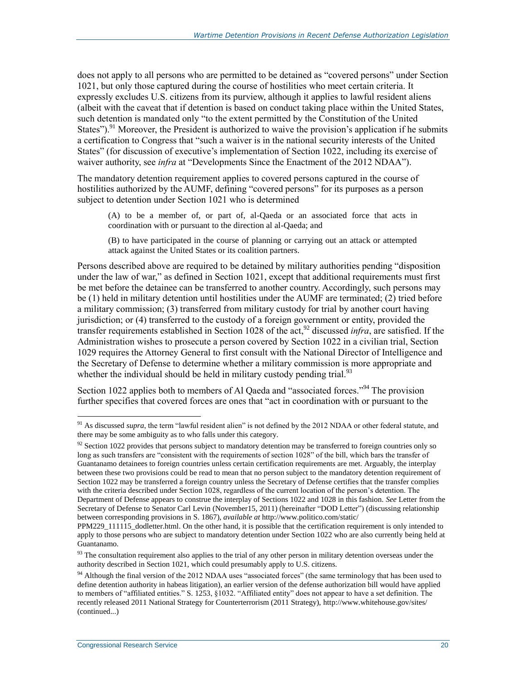does not apply to all persons who are permitted to be detained as "covered persons" under Section 1021, but only those captured during the course of hostilities who meet certain criteria. It expressly excludes U.S. citizens from its purview, although it applies to lawful resident aliens (albeit with the caveat that if detention is based on conduct taking place within the United States, such detention is mandated only "to the extent permitted by the Constitution of the United States").<sup>91</sup> Moreover, the President is authorized to waive the provision's application if he submits a certification to Congress that "such a waiver is in the national security interests of the United States" (for discussion of executive's implementation of Section 1022, including its exercise of waiver authority, see *infra* at ["Developments Since the Enactment of](#page-35-0) the 2012 NDAA").

The mandatory detention requirement applies to covered persons captured in the course of hostilities authorized by the AUMF, defining "covered persons" for its purposes as a person subject to detention under Section 1021 who is determined

(A) to be a member of, or part of, al-Qaeda or an associated force that acts in coordination with or pursuant to the direction al al-Qaeda; and

<span id="page-22-0"></span>(B) to have participated in the course of planning or carrying out an attack or attempted attack against the United States or its coalition partners.

Persons described above are required to be detained by military authorities pending "disposition under the law of war," as defined in Section 1021, except that additional requirements must first be met before the detainee can be transferred to another country. Accordingly, such persons may be (1) held in military detention until hostilities under the AUMF are terminated; (2) tried before a military commission; (3) transferred from military custody for trial by another court having jurisdiction; or (4) transferred to the custody of a foreign government or entity, provided the transfer requirements established in Section 1028 of the act,  $92$  discussed *infra*, are satisfied. If the Administration wishes to prosecute a person covered by Section 1022 in a civilian trial, Section 1029 requires the Attorney General to first consult with the National Director of Intelligence and the Secretary of Defense to determine whether a military commission is more appropriate and whether the individual should be held in military custody pending trial.<sup>93</sup>

Section 1022 applies both to members of Al Qaeda and "associated forces."<sup>94</sup> The provision further specifies that covered forces are ones that "act in coordination with or pursuant to the

<sup>&</sup>lt;sup>91</sup> As discussed *supra*, the term "lawful resident alien" is not defined by the 2012 NDAA or other federal statute, and there may be some ambiguity as to who falls under this category.

<sup>&</sup>lt;sup>92</sup> Section 1022 provides that persons subject to mandatory detention may be transferred to foreign countries only so long as such transfers are "consistent with the requirements of section 1028" of the bill, which bars the transfer of Guantanamo detainees to foreign countries unless certain certification requirements are met. Arguably, the interplay between these two provisions could be read to mean that no person subject to the mandatory detention requirement of Section 1022 may be transferred a foreign country unless the Secretary of Defense certifies that the transfer complies with the criteria described under Section 1028, regardless of the current location of the person's detention. The Department of Defense appears to construe the interplay of Sections 1022 and 1028 in this fashion. *See* Letter from the Secretary of Defense to Senator Carl Levin (November15, 2011) (hereinafter "DOD Letter") (discussing relationship between corresponding provisions in S. 1867), *available at* http://www.politico.com/static/

PPM229 111115 dodletter.html. On the other hand, it is possible that the certification requirement is only intended to apply to those persons who are subject to mandatory detention under Section 1022 who are also currently being held at Guantanamo.

 $93$  The consultation requirement also applies to the trial of any other person in military detention overseas under the authority described in Section 1021, which could presumably apply to U.S. citizens.

<sup>&</sup>lt;sup>94</sup> Although the final version of the 2012 NDAA uses "associated forces" (the same terminology that has been used to define detention authority in habeas litigation), an earlier version of the defense authorization bill would have applied to members of "affiliated entities." S. 1253, §1032. "Affiliated entity" does not appear to have a set definition. The recently released 2011 National Strategy for Counterterrorism (2011 Strategy), http://www.whitehouse.gov/sites/ (continued...)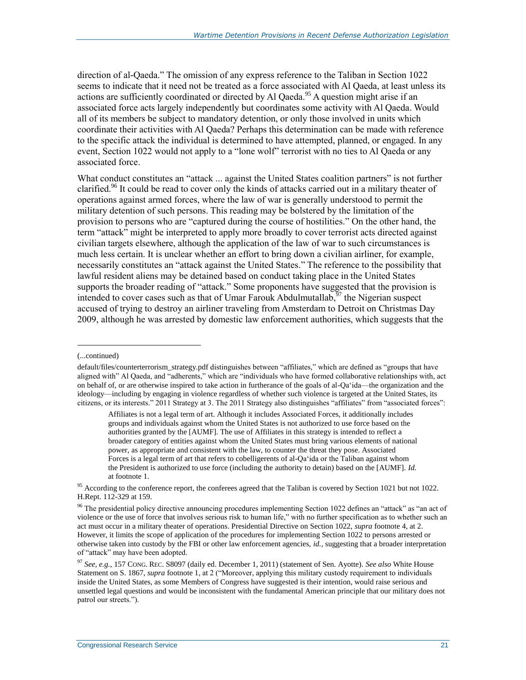direction of al-Qaeda." The omission of any express reference to the Taliban in Section 1022 seems to indicate that it need not be treated as a force associated with Al Qaeda, at least unless its actions are sufficiently coordinated or directed by Al Qaeda.<sup>95</sup> A question might arise if an associated force acts largely independently but coordinates some activity with Al Qaeda. Would all of its members be subject to mandatory detention, or only those involved in units which coordinate their activities with Al Qaeda? Perhaps this determination can be made with reference to the specific attack the individual is determined to have attempted, planned, or engaged. In any event, Section 1022 would not apply to a "lone wolf" terrorist with no ties to Al Qaeda or any associated force.

What conduct constitutes an "attack ... against the United States coalition partners" is not further clarified.<sup>96</sup> It could be read to cover only the kinds of attacks carried out in a military theater of operations against armed forces, where the law of war is generally understood to permit the military detention of such persons. This reading may be bolstered by the limitation of the provision to persons who are "captured during the course of hostilities." On the other hand, the term "attack" might be interpreted to apply more broadly to cover terrorist acts directed against civilian targets elsewhere, although the application of the law of war to such circumstances is much less certain. It is unclear whether an effort to bring down a civilian airliner, for example, necessarily constitutes an "attack against the United States." The reference to the possibility that lawful resident aliens may be detained based on conduct taking place in the United States supports the broader reading of "attack." Some proponents have suggested that the provision is intended to cover cases such as that of Umar Farouk Abdulmutallab,  $\frac{5}{7}$  the Nigerian suspect accused of trying to destroy an airliner traveling from Amsterdam to Detroit on Christmas Day 2009, although he was arrested by domestic law enforcement authorities, which suggests that the

<sup>(...</sup>continued)

default/files/counterterrorism\_strategy.pdf distinguishes between "affiliates," which are defined as "groups that have aligned with" Al Qaeda, and "adherents," which are "individuals who have formed collaborative relationships with, act on behalf of, or are otherwise inspired to take action in furtherance of the goals of al-Qa'ida—the organization and the ideology—including by engaging in violence regardless of whether such violence is targeted at the United States, its citizens, or its interests." 2011 Strategy at 3. The 2011 Strategy also distinguishes "affiliates" from "associated forces":

Affiliates is not a legal term of art. Although it includes Associated Forces, it additionally includes groups and individuals against whom the United States is not authorized to use force based on the authorities granted by the [AUMF]. The use of Affiliates in this strategy is intended to reflect a broader category of entities against whom the United States must bring various elements of national power, as appropriate and consistent with the law, to counter the threat they pose. Associated Forces is a legal term of art that refers to cobelligerents of al-Qa'ida or the Taliban against whom the President is authorized to use force (including the authority to detain) based on the [AUMF]. *Id.* at footnote 1.

<sup>&</sup>lt;sup>95</sup> According to the conference report, the conferees agreed that the Taliban is covered by Section 1021 but not 1022. H.Rept. 112-329 at 159.

<sup>&</sup>lt;sup>96</sup> The presidential policy directive announcing procedures implementing Section 1022 defines an "attack" as "an act of violence or the use of force that involves serious risk to human life," with no further specification as to whether such an act must occur in a military theater of operations. Presidential Directive on Section 1022, *supra* footnote [4,](#page-4-1) at 2. However, it limits the scope of application of the procedures for implementing Section 1022 to persons arrested or otherwise taken into custody by the FBI or other law enforcement agencies, *id.*, suggesting that a broader interpretation of "attack" may have been adopted.

<sup>97</sup> *See, e.g.*, 157 CONG. REC. S8097 (daily ed. December 1, 2011) (statement of Sen. Ayotte). *See also* White House Statement on S. 1867, *supra* footnot[e 1,](#page-3-0) at 2 ("Moreover, applying this military custody requirement to individuals inside the United States, as some Members of Congress have suggested is their intention, would raise serious and unsettled legal questions and would be inconsistent with the fundamental American principle that our military does not patrol our streets.").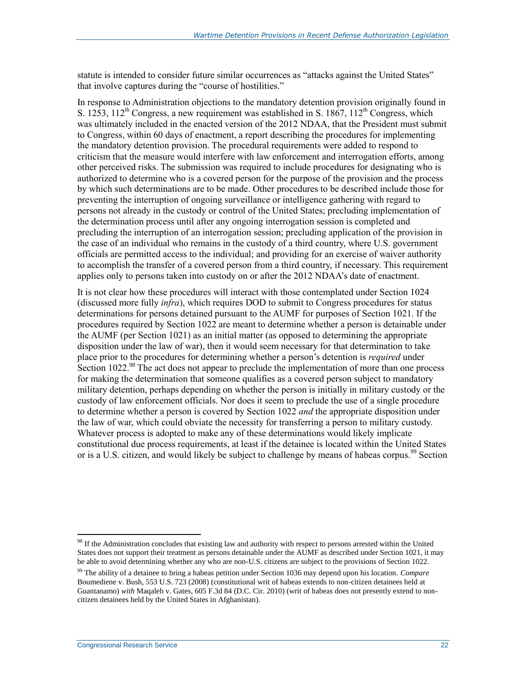statute is intended to consider future similar occurrences as "attacks against the United States" that involve captures during the "course of hostilities."

In response to Administration objections to the mandatory detention provision originally found in S. 1253,  $112^{th}$  Congress, a new requirement was established in S. 1867,  $112^{th}$  Congress, which was ultimately included in the enacted version of the 2012 NDAA, that the President must submit to Congress, within 60 days of enactment, a report describing the procedures for implementing the mandatory detention provision. The procedural requirements were added to respond to criticism that the measure would interfere with law enforcement and interrogation efforts, among other perceived risks. The submission was required to include procedures for designating who is authorized to determine who is a covered person for the purpose of the provision and the process by which such determinations are to be made. Other procedures to be described include those for preventing the interruption of ongoing surveillance or intelligence gathering with regard to persons not already in the custody or control of the United States; precluding implementation of the determination process until after any ongoing interrogation session is completed and precluding the interruption of an interrogation session; precluding application of the provision in the case of an individual who remains in the custody of a third country, where U.S. government officials are permitted access to the individual; and providing for an exercise of waiver authority to accomplish the transfer of a covered person from a third country, if necessary. This requirement applies only to persons taken into custody on or after the 2012 NDAA's date of enactment.

It is not clear how these procedures will interact with those contemplated under Section 1024 (discussed more fully *infra*), which requires DOD to submit to Congress procedures for status determinations for persons detained pursuant to the AUMF for purposes of Section 1021. If the procedures required by Section 1022 are meant to determine whether a person is detainable under the AUMF (per Section 1021) as an initial matter (as opposed to determining the appropriate disposition under the law of war), then it would seem necessary for that determination to take place prior to the procedures for determining whether a person's detention is *required* under Section 1022.<sup>98</sup> The act does not appear to preclude the implementation of more than one process for making the determination that someone qualifies as a covered person subject to mandatory military detention, perhaps depending on whether the person is initially in military custody or the custody of law enforcement officials. Nor does it seem to preclude the use of a single procedure to determine whether a person is covered by Section 1022 *and* the appropriate disposition under the law of war, which could obviate the necessity for transferring a person to military custody. Whatever process is adopted to make any of these determinations would likely implicate constitutional due process requirements, at least if the detainee is located within the United States or is a U.S. citizen, and would likely be subject to challenge by means of habeas corpus.<sup>99</sup> Section

 $98$  If the Administration concludes that existing law and authority with respect to persons arrested within the United States does not support their treatment as persons detainable under the AUMF as described under Section 1021, it may be able to avoid determining whether any who are non-U.S. citizens are subject to the provisions of Section 1022.

<sup>99</sup> The ability of a detainee to bring a habeas petition under Section 1036 may depend upon his location. *Compare*  Boumediene v. Bush, 553 U.S. 723 (2008) (constitutional writ of habeas extends to non-citizen detainees held at Guantanamo) *with* Maqaleh v. Gates, 605 F.3d 84 (D.C. Cir. 2010) (writ of habeas does not presently extend to noncitizen detainees held by the United States in Afghanistan).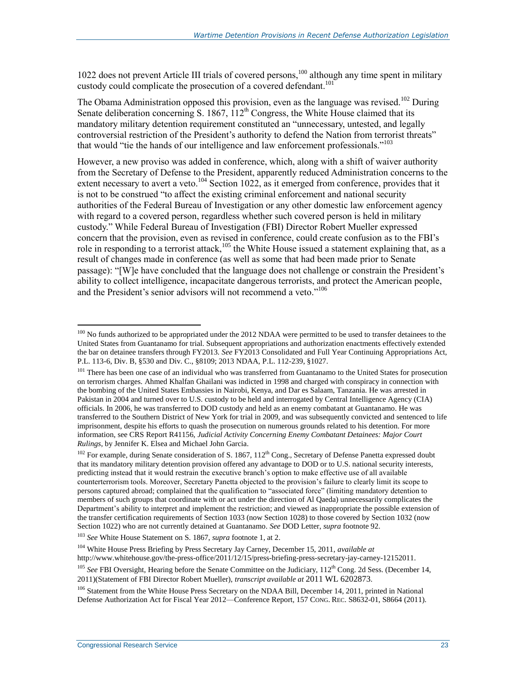1022 does not prevent Article III trials of covered persons,<sup>100</sup> although any time spent in military custody could complicate the prosecution of a covered defendant.<sup>101</sup>

<span id="page-25-0"></span>The Obama Administration opposed this provision, even as the language was revised.<sup>102</sup> During Senate deliberation concerning S. 1867,  $112<sup>th</sup>$  Congress, the White House claimed that its mandatory military detention requirement constituted an "unnecessary, untested, and legally controversial restriction of the President's authority to defend the Nation from terrorist threats" that would "tie the hands of our intelligence and law enforcement professionals."<sup>103</sup>

However, a new proviso was added in conference, which, along with a shift of waiver authority from the Secretary of Defense to the President, apparently reduced Administration concerns to the extent necessary to avert a veto.<sup>104</sup> Section 1022, as it emerged from conference, provides that it is not to be construed "to affect the existing criminal enforcement and national security authorities of the Federal Bureau of Investigation or any other domestic law enforcement agency with regard to a covered person, regardless whether such covered person is held in military custody." While Federal Bureau of Investigation (FBI) Director Robert Mueller expressed concern that the provision, even as revised in conference, could create confusion as to the FBI's role in responding to a terrorist attack,<sup>105</sup> the White House issued a statement explaining that, as a result of changes made in conference (as well as some that had been made prior to Senate passage): "[W]e have concluded that the language does not challenge or constrain the President's ability to collect intelligence, incapacitate dangerous terrorists, and protect the American people, and the President's senior advisors will not recommend a veto."<sup>106</sup>

<sup>103</sup> *See* White House Statement on S. 1867, *supra* footnote [1,](#page-3-0) at 2.

<sup>104</sup> White House Press Briefing by Press Secretary Jay Carney, December 15, 2011, *available at* http://www.whitehouse.gov/the-press-office/2011/12/15/press-briefing-press-secretary-jay-carney-12152011.

<sup>106</sup> Statement from the White House Press Secretary on the NDAA Bill, December 14, 2011, printed in National Defense Authorization Act for Fiscal Year 2012—Conference Report, 157 CONG. REC. S8632-01, S8664 (2011).

<sup>&</sup>lt;sup>100</sup> No funds authorized to be appropriated under the 2012 NDAA were permitted to be used to transfer detainees to the United States from Guantanamo for trial. Subsequent appropriations and authorization enactments effectively extended the bar on detainee transfers through FY2013. *See* FY2013 Consolidated and Full Year Continuing Appropriations Act, P.L. 113-6, Div. B, §530 and Div. C., §8109; 2013 NDAA, P.L. 112-239, §1027.

<sup>&</sup>lt;sup>101</sup> There has been one case of an individual who was transferred from Guantanamo to the United States for prosecution on terrorism charges. Ahmed Khalfan Ghailani was indicted in 1998 and charged with conspiracy in connection with the bombing of the United States Embassies in Nairobi, Kenya, and Dar es Salaam, Tanzania. He was arrested in Pakistan in 2004 and turned over to U.S. custody to be held and interrogated by Central Intelligence Agency (CIA) officials. In 2006, he was transferred to DOD custody and held as an enemy combatant at Guantanamo. He was transferred to the Southern District of New York for trial in 2009, and was subsequently convicted and sentenced to life imprisonment, despite his efforts to quash the prosecution on numerous grounds related to his detention. For more information, see CRS Report R41156, *Judicial Activity Concerning Enemy Combatant Detainees: Major Court Rulings*, by Jennifer K. Elsea and Michael John Garcia.

 $102$  For example, during Senate consideration of S. 1867, 112<sup>th</sup> Cong., Secretary of Defense Panetta expressed doubt that its mandatory military detention provision offered any advantage to DOD or to U.S. national security interests, predicting instead that it would restrain the executive branch's option to make effective use of all available counterterrorism tools. Moreover, Secretary Panetta objected to the provision's failure to clearly limit its scope to persons captured abroad; complained that the qualification to "associated force" (limiting mandatory detention to members of such groups that coordinate with or act under the direction of Al Qaeda) unnecessarily complicates the Department's ability to interpret and implement the restriction; and viewed as inappropriate the possible extension of the transfer certification requirements of Section 1033 (now Section 1028) to those covered by Section 1032 (now Section 1022) who are not currently detained at Guantanamo. *See* DOD Letter, *supra* footnot[e 92.](#page-22-0)

<sup>&</sup>lt;sup>105</sup> *See* FBI Oversight, Hearing before the Senate Committee on the Judiciary, 112<sup>th</sup> Cong. 2d Sess. (December 14, 2011)(Statement of FBI Director Robert Mueller), *transcript available at* 2011 WL 6202873.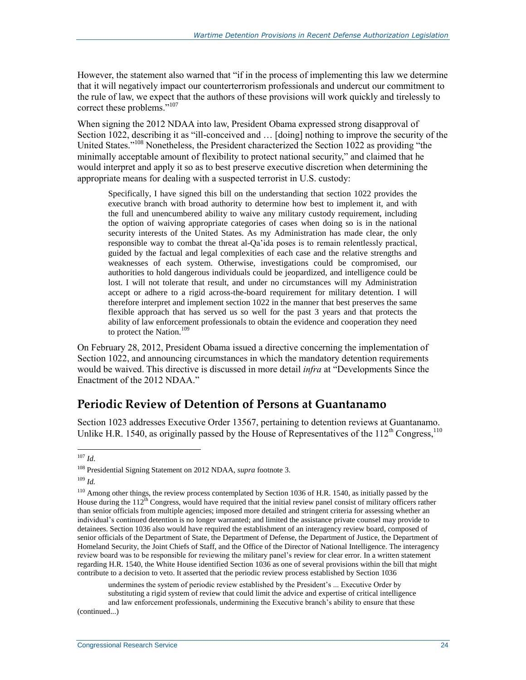However, the statement also warned that "if in the process of implementing this law we determine that it will negatively impact our counterterrorism professionals and undercut our commitment to the rule of law, we expect that the authors of these provisions will work quickly and tirelessly to correct these problems."<sup>107</sup>

When signing the 2012 NDAA into law, President Obama expressed strong disapproval of Section 1022, describing it as "ill-conceived and … [doing] nothing to improve the security of the United States."<sup>108</sup> Nonetheless, the President characterized the Section 1022 as providing "the minimally acceptable amount of flexibility to protect national security," and claimed that he would interpret and apply it so as to best preserve executive discretion when determining the appropriate means for dealing with a suspected terrorist in U.S. custody:

Specifically, I have signed this bill on the understanding that section 1022 provides the executive branch with broad authority to determine how best to implement it, and with the full and unencumbered ability to waive any military custody requirement, including the option of waiving appropriate categories of cases when doing so is in the national security interests of the United States. As my Administration has made clear, the only responsible way to combat the threat al-Qa'ida poses is to remain relentlessly practical, guided by the factual and legal complexities of each case and the relative strengths and weaknesses of each system. Otherwise, investigations could be compromised, our authorities to hold dangerous individuals could be jeopardized, and intelligence could be lost. I will not tolerate that result, and under no circumstances will my Administration accept or adhere to a rigid across-the-board requirement for military detention. I will therefore interpret and implement section 1022 in the manner that best preserves the same flexible approach that has served us so well for the past 3 years and that protects the ability of law enforcement professionals to obtain the evidence and cooperation they need to protect the Nation.<sup>109</sup>

On February 28, 2012, President Obama issued a directive concerning the implementation of Section 1022, and announcing circumstances in which the mandatory detention requirements would be waived. This directive is discussed in more detail *infra* at ["Developments Since the](#page-35-0)  [Enactment of](#page-35-0) the 2012 NDAA<sup>"</sup>

#### **Periodic Review of Detention of Persons at Guantanamo**

Section 1023 addresses Executive Order 13567, pertaining to detention reviews at Guantanamo. Unlike H.R. 1540, as originally passed by the House of Representatives of the  $112<sup>th</sup>$  Congress,<sup>110</sup>

undermines the system of periodic review established by the President's ... Executive Order by substituting a rigid system of review that could limit the advice and expertise of critical intelligence and law enforcement professionals, undermining the Executive branch's ability to ensure that these

(continued...)

 $\overline{a}$ <sup>107</sup> *Id*.

<sup>108</sup> Presidential Signing Statement on 2012 NDAA, *supra* footnot[e 3.](#page-4-0)

<sup>109</sup> *Id.*

<sup>&</sup>lt;sup>110</sup> Among other things, the review process contemplated by Section 1036 of H.R. 1540, as initially passed by the House during the  $112^{th}$  Congress, would have required that the initial review panel consist of military officers rather than senior officials from multiple agencies; imposed more detailed and stringent criteria for assessing whether an individual's continued detention is no longer warranted; and limited the assistance private counsel may provide to detainees. Section 1036 also would have required the establishment of an interagency review board, composed of senior officials of the Department of State, the Department of Defense, the Department of Justice, the Department of Homeland Security, the Joint Chiefs of Staff, and the Office of the Director of National Intelligence. The interagency review board was to be responsible for reviewing the military panel's review for clear error. In a written statement regarding H.R. 1540, the White House identified Section 1036 as one of several provisions within the bill that might contribute to a decision to veto. It asserted that the periodic review process established by Section 1036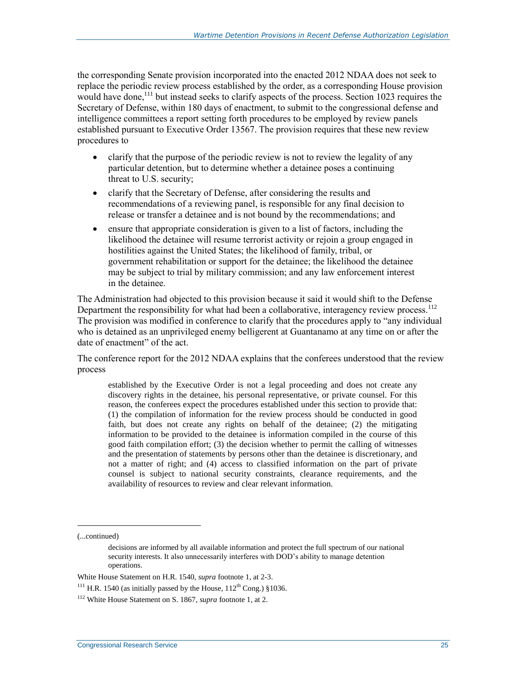the corresponding Senate provision incorporated into the enacted 2012 NDAA does not seek to replace the periodic review process established by the order, as a corresponding House provision would have done,<sup>111</sup> but instead seeks to clarify aspects of the process. Section 1023 requires the Secretary of Defense, within 180 days of enactment, to submit to the congressional defense and intelligence committees a report setting forth procedures to be employed by review panels established pursuant to Executive Order 13567. The provision requires that these new review procedures to

- clarify that the purpose of the periodic review is not to review the legality of any particular detention, but to determine whether a detainee poses a continuing threat to U.S. security;
- clarify that the Secretary of Defense, after considering the results and recommendations of a reviewing panel, is responsible for any final decision to release or transfer a detainee and is not bound by the recommendations; and
- ensure that appropriate consideration is given to a list of factors, including the likelihood the detainee will resume terrorist activity or rejoin a group engaged in hostilities against the United States; the likelihood of family, tribal, or government rehabilitation or support for the detainee; the likelihood the detainee may be subject to trial by military commission; and any law enforcement interest in the detainee.

The Administration had objected to this provision because it said it would shift to the Defense Department the responsibility for what had been a collaborative, interagency review process.<sup>112</sup> The provision was modified in conference to clarify that the procedures apply to "any individual who is detained as an unprivileged enemy belligerent at Guantanamo at any time on or after the date of enactment" of the act.

The conference report for the 2012 NDAA explains that the conferees understood that the review process

established by the Executive Order is not a legal proceeding and does not create any discovery rights in the detainee, his personal representative, or private counsel. For this reason, the conferees expect the procedures established under this section to provide that: (1) the compilation of information for the review process should be conducted in good faith, but does not create any rights on behalf of the detainee; (2) the mitigating information to be provided to the detainee is information compiled in the course of this good faith compilation effort; (3) the decision whether to permit the calling of witnesses and the presentation of statements by persons other than the detainee is discretionary, and not a matter of right; and (4) access to classified information on the part of private counsel is subject to national security constraints, clearance requirements, and the availability of resources to review and clear relevant information.

(...continued)

decisions are informed by all available information and protect the full spectrum of our national security interests. It also unnecessarily interferes with DOD's ability to manage detention operations.

White House Statement on H.R. 1540, *supra* footnot[e 1,](#page-3-0) at 2-3.

<sup>&</sup>lt;sup>111</sup> H.R. 1540 (as initially passed by the House,  $112<sup>th</sup>$  Cong.) §1036.

<sup>112</sup> White House Statement on S. 1867, *supra* footnot[e 1,](#page-3-0) at 2.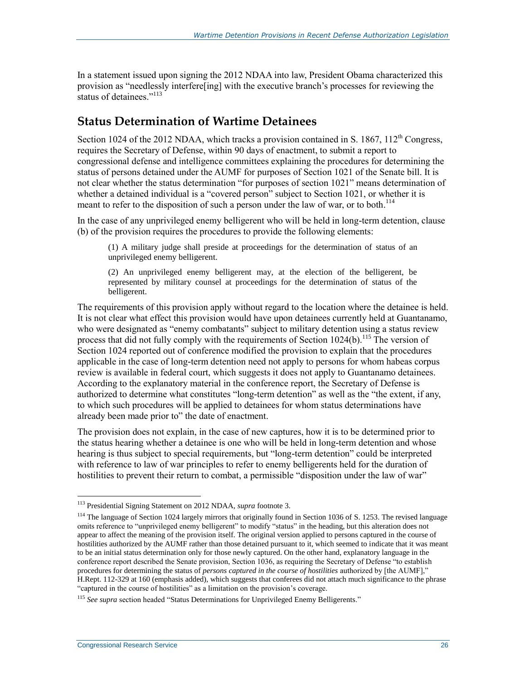In a statement issued upon signing the 2012 NDAA into law, President Obama characterized this provision as "needlessly interfere[ing] with the executive branch's processes for reviewing the status of detainees."<sup>113</sup>

#### **Status Determination of Wartime Detainees**

Section 1024 of the 2012 NDAA, which tracks a provision contained in S. 1867,  $112<sup>th</sup>$  Congress, requires the Secretary of Defense, within 90 days of enactment, to submit a report to congressional defense and intelligence committees explaining the procedures for determining the status of persons detained under the AUMF for purposes of Section 1021 of the Senate bill. It is not clear whether the status determination "for purposes of section 1021" means determination of whether a detained individual is a "covered person" subject to Section 1021, or whether it is meant to refer to the disposition of such a person under the law of war, or to both.<sup>114</sup>

In the case of any unprivileged enemy belligerent who will be held in long-term detention, clause (b) of the provision requires the procedures to provide the following elements:

(1) A military judge shall preside at proceedings for the determination of status of an unprivileged enemy belligerent.

(2) An unprivileged enemy belligerent may, at the election of the belligerent, be represented by military counsel at proceedings for the determination of status of the belligerent.

The requirements of this provision apply without regard to the location where the detainee is held. It is not clear what effect this provision would have upon detainees currently held at Guantanamo, who were designated as "enemy combatants" subject to military detention using a status review process that did not fully comply with the requirements of Section  $1024(b)$ .<sup>115</sup> The version of Section 1024 reported out of conference modified the provision to explain that the procedures applicable in the case of long-term detention need not apply to persons for whom habeas corpus review is available in federal court, which suggests it does not apply to Guantanamo detainees. According to the explanatory material in the conference report, the Secretary of Defense is authorized to determine what constitutes "long-term detention" as well as the "the extent, if any, to which such procedures will be applied to detainees for whom status determinations have already been made prior to" the date of enactment.

The provision does not explain, in the case of new captures, how it is to be determined prior to the status hearing whether a detainee is one who will be held in long-term detention and whose hearing is thus subject to special requirements, but "long-term detention" could be interpreted with reference to law of war principles to refer to enemy belligerents held for the duration of hostilities to prevent their return to combat, a permissible "disposition under the law of war"

<sup>113</sup> Presidential Signing Statement on 2012 NDAA, *supra* footnot[e 3.](#page-4-0)

<sup>&</sup>lt;sup>114</sup> The language of Section 1024 largely mirrors that originally found in Section 1036 of S. 1253. The revised language omits reference to "unprivileged enemy belligerent" to modify "status" in the heading, but this alteration does not appear to affect the meaning of the provision itself. The original version applied to persons captured in the course of hostilities authorized by the AUMF rather than those detained pursuant to it, which seemed to indicate that it was meant to be an initial status determination only for those newly captured. On the other hand, explanatory language in the conference report described the Senate provision, Section 1036, as requiring the Secretary of Defense "to establish procedures for determining the status of *persons captured in the course of hostilities* authorized by [the AUMF]," H.Rept. 112-329 at 160 (emphasis added), which suggests that conferees did not attach much significance to the phrase "captured in the course of hostilities" as a limitation on the provision's coverage.

<sup>115</sup> *See supra* section headed ["Status Determinations for Unprivileged Enemy Belligerents.](#page-14-1)"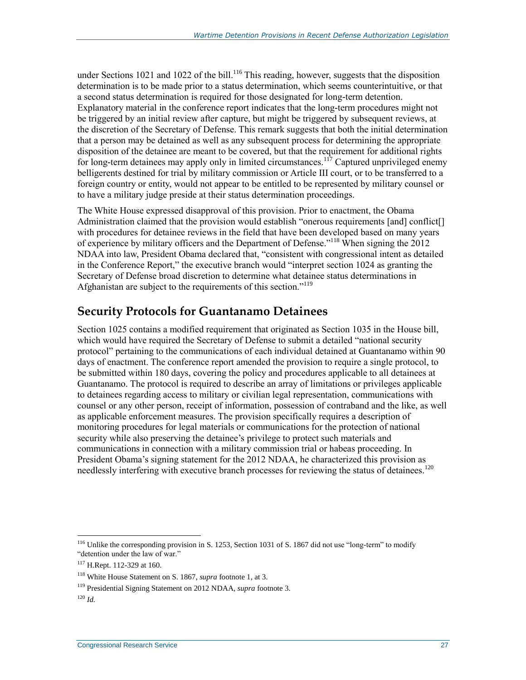under Sections 1021 and 1022 of the bill.<sup>116</sup> This reading, however, suggests that the disposition determination is to be made prior to a status determination, which seems counterintuitive, or that a second status determination is required for those designated for long-term detention. Explanatory material in the conference report indicates that the long-term procedures might not be triggered by an initial review after capture, but might be triggered by subsequent reviews, at the discretion of the Secretary of Defense. This remark suggests that both the initial determination that a person may be detained as well as any subsequent process for determining the appropriate disposition of the detainee are meant to be covered, but that the requirement for additional rights for long-term detainees may apply only in limited circumstances.<sup>117</sup> Captured unprivileged enemy belligerents destined for trial by military commission or Article III court, or to be transferred to a foreign country or entity, would not appear to be entitled to be represented by military counsel or to have a military judge preside at their status determination proceedings.

The White House expressed disapproval of this provision. Prior to enactment, the Obama Administration claimed that the provision would establish "onerous requirements [and] conflict[] with procedures for detainee reviews in the field that have been developed based on many years of experience by military officers and the Department of Defense."<sup>118</sup> When signing the 2012 NDAA into law, President Obama declared that, "consistent with congressional intent as detailed in the Conference Report," the executive branch would "interpret section 1024 as granting the Secretary of Defense broad discretion to determine what detainee status determinations in Afghanistan are subject to the requirements of this section."<sup>119</sup>

#### **Security Protocols for Guantanamo Detainees**

Section 1025 contains a modified requirement that originated as Section 1035 in the House bill, which would have required the Secretary of Defense to submit a detailed "national security protocol" pertaining to the communications of each individual detained at Guantanamo within 90 days of enactment. The conference report amended the provision to require a single protocol, to be submitted within 180 days, covering the policy and procedures applicable to all detainees at Guantanamo. The protocol is required to describe an array of limitations or privileges applicable to detainees regarding access to military or civilian legal representation, communications with counsel or any other person, receipt of information, possession of contraband and the like, as well as applicable enforcement measures. The provision specifically requires a description of monitoring procedures for legal materials or communications for the protection of national security while also preserving the detainee's privilege to protect such materials and communications in connection with a military commission trial or habeas proceeding. In President Obama's signing statement for the 2012 NDAA, he characterized this provision as needlessly interfering with executive branch processes for reviewing the status of detainees.<sup>120</sup>

<sup>&</sup>lt;sup>116</sup> Unlike the corresponding provision in S. 1253, Section 1031 of S. 1867 did not use "long-term" to modify "detention under the law of war."

<sup>117</sup> H.Rept. 112-329 at 160.

<sup>118</sup> White House Statement on S. 1867, *supra* footnot[e 1,](#page-3-0) at 3.

<sup>119</sup> Presidential Signing Statement on 2012 NDAA, *supra* footnot[e 3.](#page-4-0)

<sup>120</sup> *Id.*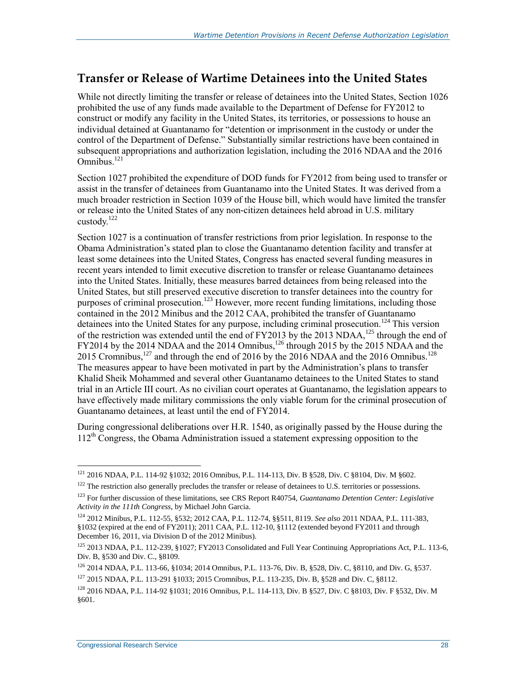#### **Transfer or Release of Wartime Detainees into the United States**

While not directly limiting the transfer or release of detainees into the United States, Section 1026 prohibited the use of any funds made available to the Department of Defense for FY2012 to construct or modify any facility in the United States, its territories, or possessions to house an individual detained at Guantanamo for "detention or imprisonment in the custody or under the control of the Department of Defense." Substantially similar restrictions have been contained in subsequent appropriations and authorization legislation, including the 2016 NDAA and the 2016 Omnibus. 121

Section 1027 prohibited the expenditure of DOD funds for FY2012 from being used to transfer or assist in the transfer of detainees from Guantanamo into the United States. It was derived from a much broader restriction in Section 1039 of the House bill, which would have limited the transfer or release into the United States of any non-citizen detainees held abroad in U.S. military custody. $^{122}$ 

Section 1027 is a continuation of transfer restrictions from prior legislation. In response to the Obama Administration's stated plan to close the Guantanamo detention facility and transfer at least some detainees into the United States, Congress has enacted several funding measures in recent years intended to limit executive discretion to transfer or release Guantanamo detainees into the United States. Initially, these measures barred detainees from being released into the United States, but still preserved executive discretion to transfer detainees into the country for purposes of criminal prosecution.<sup>123</sup> However, more recent funding limitations, including those contained in the 2012 Minibus and the 2012 CAA, prohibited the transfer of Guantanamo detainees into the United States for any purpose, including criminal prosecution.<sup>124</sup> This version of the restriction was extended until the end of FY2013 by the 2013 NDAA,<sup>125</sup> through the end of FY2014 by the 2014 NDAA and the 2014 Omnibus,<sup>126</sup> through 2015 by the 2015 NDAA and the 2015 Cromnibus,<sup>127</sup> and through the end of 2016 by the 2016 NDAA and the 2016 Omnibus.<sup>128</sup> The measures appear to have been motivated in part by the Administration's plans to transfer Khalid Sheik Mohammed and several other Guantanamo detainees to the United States to stand trial in an Article III court. As no civilian court operates at Guantanamo, the legislation appears to have effectively made military commissions the only viable forum for the criminal prosecution of Guantanamo detainees, at least until the end of FY2014.

During congressional deliberations over H.R. 1540, as originally passed by the House during the  $112<sup>th</sup>$  Congress, the Obama Administration issued a statement expressing opposition to the

<sup>121</sup> 2016 NDAA, P.L. 114-92 §1032; 2016 Omnibus, P.L. 114-113, Div. B §528, Div. C §8104, Div. M §602.

<sup>&</sup>lt;sup>122</sup> The restriction also generally precludes the transfer or release of detainees to U.S. territories or possessions.

<sup>123</sup> For further discussion of these limitations, see CRS Report R40754, *Guantanamo Detention Center: Legislative Activity in the 111th Congress*, by Michael John Garcia.

<sup>124</sup> 2012 Minibus, P.L. 112-55, §532; 2012 CAA, P.L. 112-74, §§511, 8119. *See also* 2011 NDAA, P.L. 111-383, §1032 (expired at the end of FY2011); 2011 CAA, P.L. 112-10, §1112 (extended beyond FY2011 and through December 16, 2011, via Division D of the 2012 Minibus).

 $125$  2013 NDAA, P.L. 112-239, §1027; FY2013 Consolidated and Full Year Continuing Appropriations Act, P.L. 113-6, Div. B, §530 and Div. C., §8109.

<sup>126</sup> 2014 NDAA, P.L. 113-66, §1034; 2014 Omnibus, P.L. 113-76, Div. B, §528, Div. C, §8110, and Div. G, §537.

<sup>127</sup> 2015 NDAA, P.L. 113-291 §1033; 2015 Cromnibus, P.L. 113-235, Div. B, §528 and Div. C, §8112.

<sup>128</sup> 2016 NDAA, P.L. 114-92 §1031; 2016 Omnibus, P.L. 114-113, Div. B §527, Div. C §8103, Div. F §532, Div. M §601.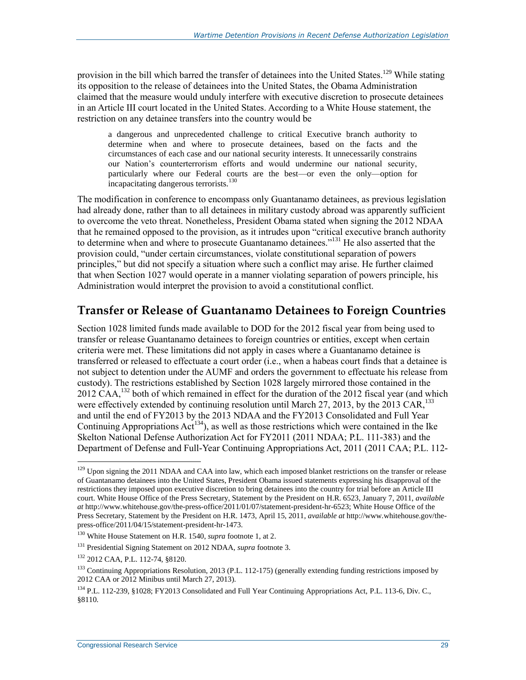provision in the bill which barred the transfer of detainees into the United States.<sup>129</sup> While stating its opposition to the release of detainees into the United States, the Obama Administration claimed that the measure would unduly interfere with executive discretion to prosecute detainees in an Article III court located in the United States. According to a White House statement, the restriction on any detainee transfers into the country would be

a dangerous and unprecedented challenge to critical Executive branch authority to determine when and where to prosecute detainees, based on the facts and the circumstances of each case and our national security interests. It unnecessarily constrains our Nation's counterterrorism efforts and would undermine our national security, particularly where our Federal courts are the best—or even the only—option for incapacitating dangerous terrorists.<sup>130</sup>

The modification in conference to encompass only Guantanamo detainees, as previous legislation had already done, rather than to all detainees in military custody abroad was apparently sufficient to overcome the veto threat. Nonetheless, President Obama stated when signing the 2012 NDAA that he remained opposed to the provision, as it intrudes upon "critical executive branch authority to determine when and where to prosecute Guantanamo detainees."<sup>131</sup> He also asserted that the provision could, "under certain circumstances, violate constitutional separation of powers principles," but did not specify a situation where such a conflict may arise. He further claimed that when Section 1027 would operate in a manner violating separation of powers principle, his Administration would interpret the provision to avoid a constitutional conflict.

#### **Transfer or Release of Guantanamo Detainees to Foreign Countries**

Section 1028 limited funds made available to DOD for the 2012 fiscal year from being used to transfer or release Guantanamo detainees to foreign countries or entities, except when certain criteria were met. These limitations did not apply in cases where a Guantanamo detainee is transferred or released to effectuate a court order (i.e., when a habeas court finds that a detainee is not subject to detention under the AUMF and orders the government to effectuate his release from custody). The restrictions established by Section 1028 largely mirrored those contained in the 2012 CAA,<sup>132</sup> both of which remained in effect for the duration of the 2012 fiscal year (and which were effectively extended by continuing resolution until March 27, 2013, by the 2013 CAR,<sup>133</sup> and until the end of FY2013 by the 2013 NDAA and the FY2013 Consolidated and Full Year Continuing Appropriations  $Act^{134}$ , as well as those restrictions which were contained in the Ike Skelton National Defense Authorization Act for FY2011 (2011 NDAA; P.L. 111-383) and the Department of Defense and Full-Year Continuing Appropriations Act, 2011 (2011 CAA; P.L. 112-

<sup>&</sup>lt;sup>129</sup> Upon signing the 2011 NDAA and CAA into law, which each imposed blanket restrictions on the transfer or release of Guantanamo detainees into the United States, President Obama issued statements expressing his disapproval of the restrictions they imposed upon executive discretion to bring detainees into the country for trial before an Article III court. White House Office of the Press Secretary, Statement by the President on H.R. 6523, January 7, 2011, *available at* http://www.whitehouse.gov/the-press-office/2011/01/07/statement-president-hr-6523; White House Office of the Press Secretary, Statement by the President on H.R. 1473, April 15, 2011, *available at* http://www.whitehouse.gov/thepress-office/2011/04/15/statement-president-hr-1473.

<sup>130</sup> White House Statement on H.R. 1540, *supra* footnote [1,](#page-3-0) at 2.

<sup>131</sup> Presidential Signing Statement on 2012 NDAA, *supra* footnot[e 3.](#page-4-0)

<sup>132</sup> 2012 CAA, P.L. 112-74, §8120.

 $133$  Continuing Appropriations Resolution, 2013 (P.L. 112-175) (generally extending funding restrictions imposed by 2012 CAA or 2012 Minibus until March 27, 2013).

<sup>134</sup> P.L. 112-239, §1028; FY2013 Consolidated and Full Year Continuing Appropriations Act, P.L. 113-6, Div. C., §8110.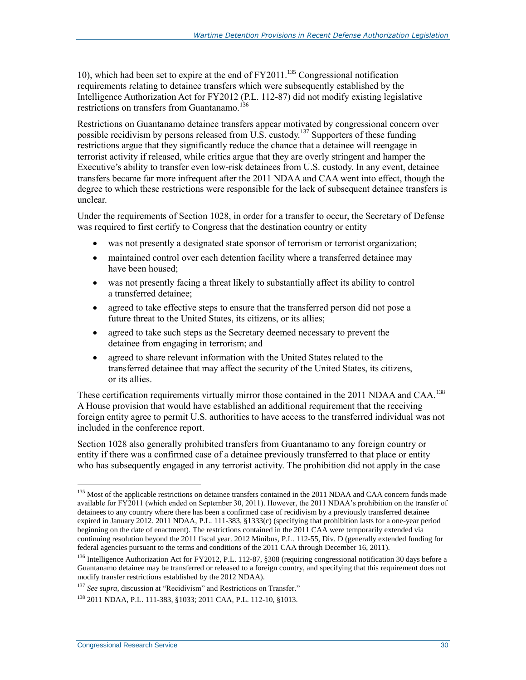10), which had been set to expire at the end of  $FY2011$ .<sup>135</sup> Congressional notification requirements relating to detainee transfers which were subsequently established by the Intelligence Authorization Act for FY2012 (P.L. 112-87) did not modify existing legislative restrictions on transfers from Guantanamo.<sup>136</sup>

Restrictions on Guantanamo detainee transfers appear motivated by congressional concern over possible recidivism by persons released from U.S. custody.<sup>137</sup> Supporters of these funding restrictions argue that they significantly reduce the chance that a detainee will reengage in terrorist activity if released, while critics argue that they are overly stringent and hamper the Executive's ability to transfer even low-risk detainees from U.S. custody. In any event, detainee transfers became far more infrequent after the 2011 NDAA and CAA went into effect, though the degree to which these restrictions were responsible for the lack of subsequent detainee transfers is unclear.

Under the requirements of Section 1028, in order for a transfer to occur, the Secretary of Defense was required to first certify to Congress that the destination country or entity

- was not presently a designated state sponsor of terrorism or terrorist organization;
- maintained control over each detention facility where a transferred detainee may have been housed;
- was not presently facing a threat likely to substantially affect its ability to control a transferred detainee;
- agreed to take effective steps to ensure that the transferred person did not pose a future threat to the United States, its citizens, or its allies;
- agreed to take such steps as the Secretary deemed necessary to prevent the detainee from engaging in terrorism; and
- agreed to share relevant information with the United States related to the transferred detainee that may affect the security of the United States, its citizens, or its allies.

These certification requirements virtually mirror those contained in the 2011 NDAA and CAA.<sup>138</sup> A House provision that would have established an additional requirement that the receiving foreign entity agree to permit U.S. authorities to have access to the transferred individual was not included in the conference report.

Section 1028 also generally prohibited transfers from Guantanamo to any foreign country or entity if there was a confirmed case of a detainee previously transferred to that place or entity who has subsequently engaged in any terrorist activity. The prohibition did not apply in the case

<sup>&</sup>lt;sup>135</sup> Most of the applicable restrictions on detainee transfers contained in the 2011 NDAA and CAA concern funds made available for FY2011 (which ended on September 30, 2011). However, the 2011 NDAA's prohibition on the transfer of detainees to any country where there has been a confirmed case of recidivism by a previously transferred detainee expired in January 2012. 2011 NDAA, P.L. 111-383, §1333(c) (specifying that prohibition lasts for a one-year period beginning on the date of enactment). The restrictions contained in the 2011 CAA were temporarily extended via continuing resolution beyond the 2011 fiscal year. 2012 Minibus, P.L. 112-55, Div. D (generally extended funding for federal agencies pursuant to the terms and conditions of the 2011 CAA through December 16, 2011).

<sup>&</sup>lt;sup>136</sup> Intelligence Authorization Act for FY2012, P.L. 112-87, §308 (requiring congressional notification 30 days before a Guantanamo detainee may be transferred or released to a foreign country, and specifying that this requirement does not modify transfer restrictions established by the 2012 NDAA).

<sup>&</sup>lt;sup>137</sup> See supra, discussion a[t "Recidivism" and Restrictions on Transfer.](#page-16-0)"

<sup>138</sup> 2011 NDAA, P.L. 111-383, §1033; 2011 CAA, P.L. 112-10, §1013.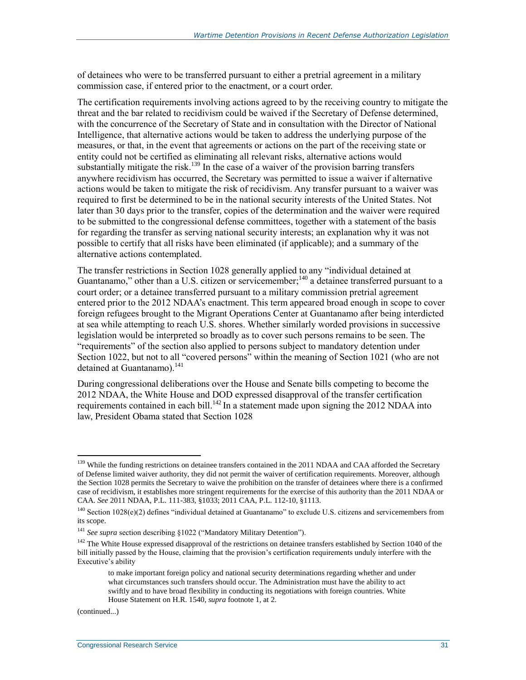of detainees who were to be transferred pursuant to either a pretrial agreement in a military commission case, if entered prior to the enactment, or a court order.

The certification requirements involving actions agreed to by the receiving country to mitigate the threat and the bar related to recidivism could be waived if the Secretary of Defense determined, with the concurrence of the Secretary of State and in consultation with the Director of National Intelligence, that alternative actions would be taken to address the underlying purpose of the measures, or that, in the event that agreements or actions on the part of the receiving state or entity could not be certified as eliminating all relevant risks, alternative actions would substantially mitigate the risk.<sup>139</sup> In the case of a waiver of the provision barring transfers anywhere recidivism has occurred, the Secretary was permitted to issue a waiver if alternative actions would be taken to mitigate the risk of recidivism. Any transfer pursuant to a waiver was required to first be determined to be in the national security interests of the United States. Not later than 30 days prior to the transfer, copies of the determination and the waiver were required to be submitted to the congressional defense committees, together with a statement of the basis for regarding the transfer as serving national security interests; an explanation why it was not possible to certify that all risks have been eliminated (if applicable); and a summary of the alternative actions contemplated.

The transfer restrictions in Section 1028 generally applied to any "individual detained at Guantanamo," other than a U.S. citizen or servicemember;<sup>140</sup> a detainee transferred pursuant to a court order; or a detainee transferred pursuant to a military commission pretrial agreement entered prior to the 2012 NDAA's enactment. This term appeared broad enough in scope to cover foreign refugees brought to the Migrant Operations Center at Guantanamo after being interdicted at sea while attempting to reach U.S. shores. Whether similarly worded provisions in successive legislation would be interpreted so broadly as to cover such persons remains to be seen. The "requirements" of the section also applied to persons subject to mandatory detention under Section 1022, but not to all "covered persons" within the meaning of Section 1021 (who are not detained at Guantanamo). $^{141}$ 

During congressional deliberations over the House and Senate bills competing to become the 2012 NDAA, the White House and DOD expressed disapproval of the transfer certification requirements contained in each bill.<sup>142</sup> In a statement made upon signing the 2012 NDAA into law, President Obama stated that Section 1028

(continued...)

<sup>&</sup>lt;sup>139</sup> While the funding restrictions on detainee transfers contained in the 2011 NDAA and CAA afforded the Secretary of Defense limited waiver authority, they did not permit the waiver of certification requirements. Moreover, although the Section 1028 permits the Secretary to waive the prohibition on the transfer of detainees where there is a confirmed case of recidivism, it establishes more stringent requirements for the exercise of this authority than the 2011 NDAA or CAA. *See* 2011 NDAA, P.L. 111-383, §1033; 2011 CAA, P.L. 112-10, §1113.

 $140$  Section 1028(e)(2) defines "individual detained at Guantanamo" to exclude U.S. citizens and servicemembers from its scope.

<sup>&</sup>lt;sup>141</sup> See supra section describing §1022 (["Mandatory Military Detention"](#page-21-0)).

<sup>&</sup>lt;sup>142</sup> The White House expressed disapproval of the restrictions on detainee transfers established by Section 1040 of the bill initially passed by the House, claiming that the provision's certification requirements unduly interfere with the Executive's ability

to make important foreign policy and national security determinations regarding whether and under what circumstances such transfers should occur. The Administration must have the ability to act swiftly and to have broad flexibility in conducting its negotiations with foreign countries. White House Statement on H.R. 1540, *supra* footnot[e 1,](#page-3-0) at 2.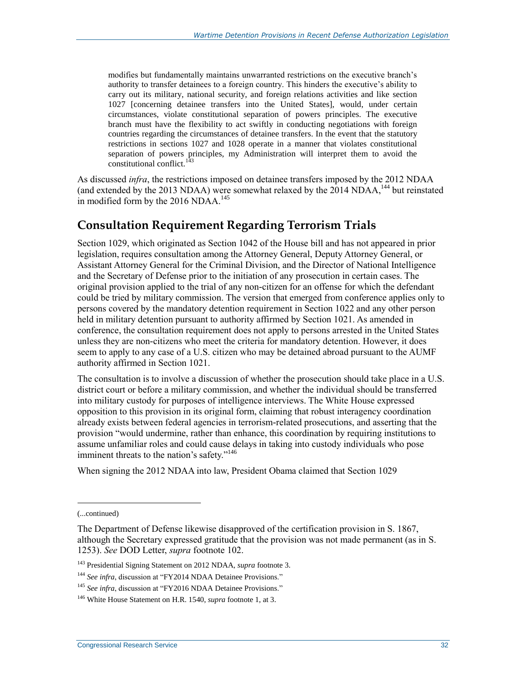modifies but fundamentally maintains unwarranted restrictions on the executive branch's authority to transfer detainees to a foreign country. This hinders the executive's ability to carry out its military, national security, and foreign relations activities and like section 1027 [concerning detainee transfers into the United States], would, under certain circumstances, violate constitutional separation of powers principles. The executive branch must have the flexibility to act swiftly in conducting negotiations with foreign countries regarding the circumstances of detainee transfers. In the event that the statutory restrictions in sections 1027 and 1028 operate in a manner that violates constitutional separation of powers principles, my Administration will interpret them to avoid the constitutional conflict.<sup>143</sup>

As discussed *infra*, the restrictions imposed on detainee transfers imposed by the 2012 NDAA (and extended by the 2013 NDAA) were somewhat relaxed by the  $2014$  NDAA,<sup>144</sup> but reinstated in modified form by the 2016 NDAA.<sup>145</sup>

#### **Consultation Requirement Regarding Terrorism Trials**

Section 1029, which originated as Section 1042 of the House bill and has not appeared in prior legislation, requires consultation among the Attorney General, Deputy Attorney General, or Assistant Attorney General for the Criminal Division, and the Director of National Intelligence and the Secretary of Defense prior to the initiation of any prosecution in certain cases. The original provision applied to the trial of any non-citizen for an offense for which the defendant could be tried by military commission. The version that emerged from conference applies only to persons covered by the mandatory detention requirement in Section 1022 and any other person held in military detention pursuant to authority affirmed by Section 1021. As amended in conference, the consultation requirement does not apply to persons arrested in the United States unless they are non-citizens who meet the criteria for mandatory detention. However, it does seem to apply to any case of a U.S. citizen who may be detained abroad pursuant to the AUMF authority affirmed in Section 1021.

The consultation is to involve a discussion of whether the prosecution should take place in a U.S. district court or before a military commission, and whether the individual should be transferred into military custody for purposes of intelligence interviews. The White House expressed opposition to this provision in its original form, claiming that robust interagency coordination already exists between federal agencies in terrorism-related prosecutions, and asserting that the provision "would undermine, rather than enhance, this coordination by requiring institutions to assume unfamiliar roles and could cause delays in taking into custody individuals who pose imminent threats to the nation's safety."<sup>146</sup>

When signing the 2012 NDAA into law, President Obama claimed that Section 1029

<sup>(...</sup>continued)

The Department of Defense likewise disapproved of the certification provision in S. 1867, although the Secretary expressed gratitude that the provision was not made permanent (as in S. 1253). *See* DOD Letter, *supra* footnote [102.](#page-25-0)

<sup>143</sup> Presidential Signing Statement on 2012 NDAA, *supra* footnot[e 3.](#page-4-0)

<sup>&</sup>lt;sup>144</sup> See infra, discussion at ["FY2014 NDAA Detainee Provisions.](#page-42-0)"

<sup>&</sup>lt;sup>145</sup> See infra, discussion at ["FY2016 NDAA Detainee Provisions.](#page-46-0)"

<sup>146</sup> White House Statement on H.R. 1540, *supra* footnote [1,](#page-3-0) at 3.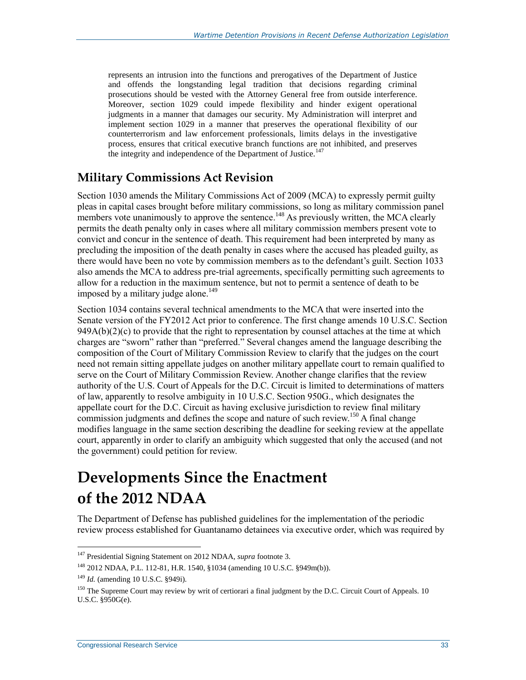represents an intrusion into the functions and prerogatives of the Department of Justice and offends the longstanding legal tradition that decisions regarding criminal prosecutions should be vested with the Attorney General free from outside interference. Moreover, section 1029 could impede flexibility and hinder exigent operational judgments in a manner that damages our security. My Administration will interpret and implement section 1029 in a manner that preserves the operational flexibility of our counterterrorism and law enforcement professionals, limits delays in the investigative process, ensures that critical executive branch functions are not inhibited, and preserves the integrity and independence of the Department of Justice.<sup>147</sup>

#### **Military Commissions Act Revision**

Section 1030 amends the Military Commissions Act of 2009 (MCA) to expressly permit guilty pleas in capital cases brought before military commissions, so long as military commission panel members vote unanimously to approve the sentence.<sup>148</sup> As previously written, the MCA clearly permits the death penalty only in cases where all military commission members present vote to convict and concur in the sentence of death. This requirement had been interpreted by many as precluding the imposition of the death penalty in cases where the accused has pleaded guilty, as there would have been no vote by commission members as to the defendant's guilt. Section 1033 also amends the MCA to address pre-trial agreements, specifically permitting such agreements to allow for a reduction in the maximum sentence, but not to permit a sentence of death to be imposed by a military judge alone.<sup>149</sup>

Section 1034 contains several technical amendments to the MCA that were inserted into the Senate version of the FY2012 Act prior to conference. The first change amends 10 U.S.C. Section 949A(b)(2)(c) to provide that the right to representation by counsel attaches at the time at which charges are "sworn" rather than "preferred." Several changes amend the language describing the composition of the Court of Military Commission Review to clarify that the judges on the court need not remain sitting appellate judges on another military appellate court to remain qualified to serve on the Court of Military Commission Review. Another change clarifies that the review authority of the U.S. Court of Appeals for the D.C. Circuit is limited to determinations of matters of law, apparently to resolve ambiguity in 10 U.S.C. Section 950G., which designates the appellate court for the D.C. Circuit as having exclusive jurisdiction to review final military commission judgments and defines the scope and nature of such review.<sup>150</sup> A final change modifies language in the same section describing the deadline for seeking review at the appellate court, apparently in order to clarify an ambiguity which suggested that only the accused (and not the government) could petition for review.

## <span id="page-35-0"></span>**Developments Since the Enactment of the 2012 NDAA**

The Department of Defense has published guidelines for the implementation of the periodic review process established for Guantanamo detainees via executive order, which was required by

<sup>147</sup> Presidential Signing Statement on 2012 NDAA, *supra* footnot[e 3.](#page-4-0)

<sup>148</sup> 2012 NDAA, P.L. 112-81, H.R. 1540, §1034 (amending 10 U.S.C. §949m(b)).

<sup>149</sup> *Id.* (amending 10 U.S.C. §949i).

<sup>&</sup>lt;sup>150</sup> The Supreme Court may review by writ of certiorari a final judgment by the D.C. Circuit Court of Appeals. 10 U.S.C. §950G(e).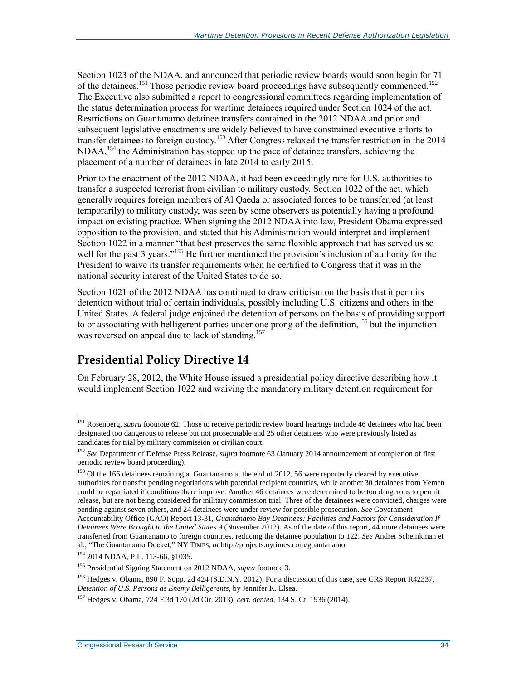Section 1023 of the NDAA, and announced that periodic review boards would soon begin for 71 of the detainees.<sup>151</sup> Those periodic review board proceedings have subsequently commenced.<sup>152</sup> The Executive also submitted a report to congressional committees regarding implementation of the status determination process for wartime detainees required under Section 1024 of the act. Restrictions on Guantanamo detainee transfers contained in the 2012 NDAA and prior and subsequent legislative enactments are widely believed to have constrained executive efforts to transfer detainees to foreign custody.<sup>153</sup> After Congress relaxed the transfer restriction in the 2014  $NDAA$ ,<sup>154</sup>, the Administration has stepped up the pace of detainee transfers, achieving the placement of a number of detainees in late 2014 to early 2015.

Prior to the enactment of the 2012 NDAA, it had been exceedingly rare for U.S. authorities to transfer a suspected terrorist from civilian to military custody. Section 1022 of the act, which generally requires foreign members of Al Qaeda or associated forces to be transferred (at least temporarily) to military custody, was seen by some observers as potentially having a profound impact on existing practice. When signing the 2012 NDAA into law, President Obama expressed opposition to the provision, and stated that his Administration would interpret and implement Section 1022 in a manner "that best preserves the same flexible approach that has served us so well for the past 3 years."<sup>155</sup> He further mentioned the provision's inclusion of authority for the President to waive its transfer requirements when he certified to Congress that it was in the national security interest of the United States to do so.

Section 1021 of the 2012 NDAA has continued to draw criticism on the basis that it permits detention without trial of certain individuals, possibly including U.S. citizens and others in the United States. A federal judge enjoined the detention of persons on the basis of providing support to or associating with belligerent parties under one prong of the definition,<sup>156</sup> but the injunction was reversed on appeal due to lack of standing.<sup>157</sup>

#### **Presidential Policy Directive 14**

On February 28, 2012, the White House issued a presidential policy directive describing how it would implement Section 1022 and waiving the mandatory military detention requirement for

<sup>&</sup>lt;sup>151</sup> Rosenberg, *supra* footnot[e 62.](#page-16-1) Those to receive periodic review board hearings include 46 detainees who had been designated too dangerous to release but not prosecutable and 25 other detainees who were previously listed as candidates for trial by military commission or civilian court.

<sup>152</sup> *See* Department of Defense Press Release, *supra* footnote [63](#page-16-2) (January 2014 announcement of completion of first periodic review board proceeding).

<sup>&</sup>lt;sup>153</sup> Of the 166 detainees remaining at Guantanamo at the end of 2012, 56 were reportedly cleared by executive authorities for transfer pending negotiations with potential recipient countries, while another 30 detainees from Yemen could be repatriated if conditions there improve. Another 46 detainees were determined to be too dangerous to permit release, but are not being considered for military commission trial. Three of the detainees were convicted, charges were pending against seven others, and 24 detainees were under review for possible prosecution. *See* Government Accountability Office (GAO) Report 13-31, *Guantánamo Bay Detainees: Facilities and Factors for Consideration If Detainees Were Brought to the United States* 9 (November 2012). As of the date of this report, 44 more detainees were transferred from Guantanamo to foreign countries, reducing the detainee population to 122. *See* Andrei Scheinkman et

al., "The Guantanamo Docket," NY TIMES, *at* http://projects.nytimes.com/guantanamo.

<sup>154</sup> 2014 NDAA, P.L. 113-66, §1035.

<sup>155</sup> Presidential Signing Statement on 2012 NDAA, *supra* footnot[e 3.](#page-4-0)

<sup>156</sup> Hedges v. Obama, 890 F. Supp. 2d 424 (S.D.N.Y. 2012). For a discussion of this case, see CRS Report R42337, *Detention of U.S. Persons as Enemy Belligerents*, by Jennifer K. Elsea.

<sup>157</sup> Hedges v. Obama, 724 F.3d 170 (2d Cir. 2013), *cert. denied*, 134 S. Ct. 1936 (2014).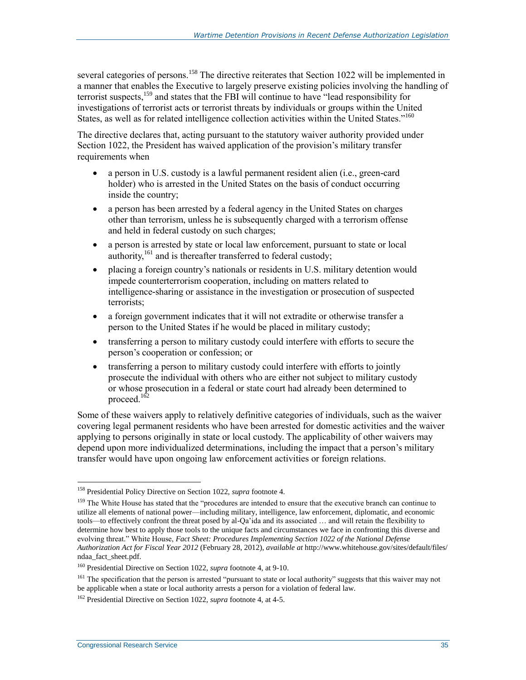several categories of persons.<sup>158</sup> The directive reiterates that Section 1022 will be implemented in a manner that enables the Executive to largely preserve existing policies involving the handling of terrorist suspects,<sup>159</sup> and states that the FBI will continue to have "lead responsibility for investigations of terrorist acts or terrorist threats by individuals or groups within the United States, as well as for related intelligence collection activities within the United States."<sup>160</sup>

The directive declares that, acting pursuant to the statutory waiver authority provided under Section 1022, the President has waived application of the provision's military transfer requirements when

- a person in U.S. custody is a lawful permanent resident alien (i.e., green-card holder) who is arrested in the United States on the basis of conduct occurring inside the country;
- a person has been arrested by a federal agency in the United States on charges other than terrorism, unless he is subsequently charged with a terrorism offense and held in federal custody on such charges;
- a person is arrested by state or local law enforcement, pursuant to state or local authority,<sup>161</sup> and is thereafter transferred to federal custody;
- placing a foreign country's nationals or residents in U.S. military detention would impede counterterrorism cooperation, including on matters related to intelligence-sharing or assistance in the investigation or prosecution of suspected terrorists;
- a foreign government indicates that it will not extradite or otherwise transfer a person to the United States if he would be placed in military custody;
- transferring a person to military custody could interfere with efforts to secure the person's cooperation or confession; or
- transferring a person to military custody could interfere with efforts to jointly prosecute the individual with others who are either not subject to military custody or whose prosecution in a federal or state court had already been determined to proceed.<sup>162</sup>

Some of these waivers apply to relatively definitive categories of individuals, such as the waiver covering legal permanent residents who have been arrested for domestic activities and the waiver applying to persons originally in state or local custody. The applicability of other waivers may depend upon more individualized determinations, including the impact that a person's military transfer would have upon ongoing law enforcement activities or foreign relations.

<sup>158</sup> Presidential Policy Directive on Section 1022, *supra* footnote [4.](#page-4-1)

<sup>&</sup>lt;sup>159</sup> The White House has stated that the "procedures are intended to ensure that the executive branch can continue to utilize all elements of national power—including military, intelligence, law enforcement, diplomatic, and economic tools—to effectively confront the threat posed by al-Qa'ida and its associated … and will retain the flexibility to determine how best to apply those tools to the unique facts and circumstances we face in confronting this diverse and evolving threat." White House, *Fact Sheet: Procedures Implementing Section 1022 of the National Defense Authorization Act for Fiscal Year 2012* (February 28, 2012), *available at* http://www.whitehouse.gov/sites/default/files/ ndaa\_fact\_sheet.pdf.

<sup>160</sup> Presidential Directive on Section 1022, *supra* footnot[e 4,](#page-4-1) at 9-10.

<sup>&</sup>lt;sup>161</sup> The specification that the person is arrested "pursuant to state or local authority" suggests that this waiver may not be applicable when a state or local authority arrests a person for a violation of federal law.

<sup>162</sup> Presidential Directive on Section 1022, *supra* footnot[e 4,](#page-4-1) at 4-5.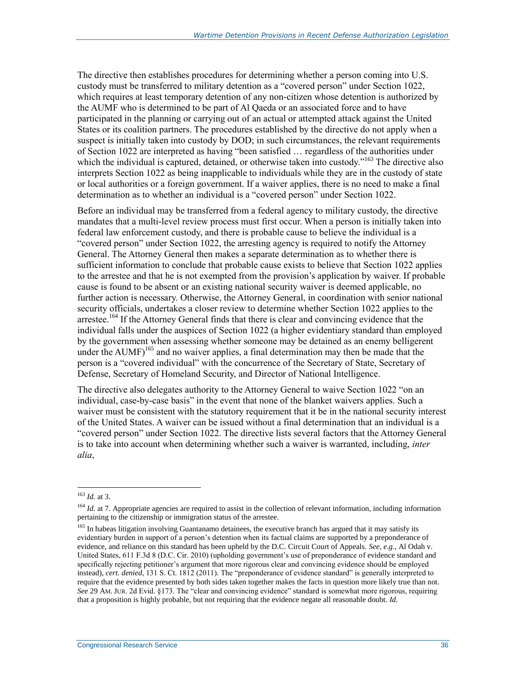The directive then establishes procedures for determining whether a person coming into U.S. custody must be transferred to military detention as a "covered person" under Section 1022, which requires at least temporary detention of any non-citizen whose detention is authorized by the AUMF who is determined to be part of Al Qaeda or an associated force and to have participated in the planning or carrying out of an actual or attempted attack against the United States or its coalition partners. The procedures established by the directive do not apply when a suspect is initially taken into custody by DOD; in such circumstances, the relevant requirements of Section 1022 are interpreted as having "been satisfied … regardless of the authorities under which the individual is captured, detained, or otherwise taken into custody."<sup>163</sup> The directive also interprets Section 1022 as being inapplicable to individuals while they are in the custody of state or local authorities or a foreign government. If a waiver applies, there is no need to make a final determination as to whether an individual is a "covered person" under Section 1022.

Before an individual may be transferred from a federal agency to military custody, the directive mandates that a multi-level review process must first occur. When a person is initially taken into federal law enforcement custody, and there is probable cause to believe the individual is a "covered person" under Section 1022, the arresting agency is required to notify the Attorney General. The Attorney General then makes a separate determination as to whether there is sufficient information to conclude that probable cause exists to believe that Section 1022 applies to the arrestee and that he is not exempted from the provision's application by waiver. If probable cause is found to be absent or an existing national security waiver is deemed applicable, no further action is necessary. Otherwise, the Attorney General, in coordination with senior national security officials, undertakes a closer review to determine whether Section 1022 applies to the arrestee.<sup>164</sup> If the Attorney General finds that there is clear and convincing evidence that the individual falls under the auspices of Section 1022 (a higher evidentiary standard than employed by the government when assessing whether someone may be detained as an enemy belligerent under the  $\text{AUMF}$ <sup>165</sup> and no waiver applies, a final determination may then be made that the person is a "covered individual" with the concurrence of the Secretary of State, Secretary of Defense, Secretary of Homeland Security, and Director of National Intelligence.

<span id="page-38-0"></span>The directive also delegates authority to the Attorney General to waive Section 1022 "on an individual, case-by-case basis" in the event that none of the blanket waivers applies. Such a waiver must be consistent with the statutory requirement that it be in the national security interest of the United States. A waiver can be issued without a final determination that an individual is a "covered person" under Section 1022. The directive lists several factors that the Attorney General is to take into account when determining whether such a waiver is warranted, including, *inter alia*,

<sup>163</sup> *Id.* at 3.

<sup>&</sup>lt;sup>164</sup> *Id.* at 7. Appropriate agencies are required to assist in the collection of relevant information, including information pertaining to the citizenship or immigration status of the arrestee.

<sup>&</sup>lt;sup>165</sup> In habeas litigation involving Guantanamo detainees, the executive branch has argued that it may satisfy its evidentiary burden in support of a person's detention when its factual claims are supported by a preponderance of evidence, and reliance on this standard has been upheld by the D.C. Circuit Court of Appeals. *See, e.g.*, Al Odah v. United States, 611 F.3d 8 (D.C. Cir. 2010) (upholding government's use of preponderance of evidence standard and specifically rejecting petitioner's argument that more rigorous clear and convincing evidence should be employed instead), *cert. denied*, 131 S. Ct. 1812 (2011). The "preponderance of evidence standard" is generally interpreted to require that the evidence presented by both sides taken together makes the facts in question more likely true than not. *See* 29 AM. JUR. 2d Evid. §173. The "clear and convincing evidence" standard is somewhat more rigorous, requiring that a proposition is highly probable, but not requiring that the evidence negate all reasonable doubt. *Id.*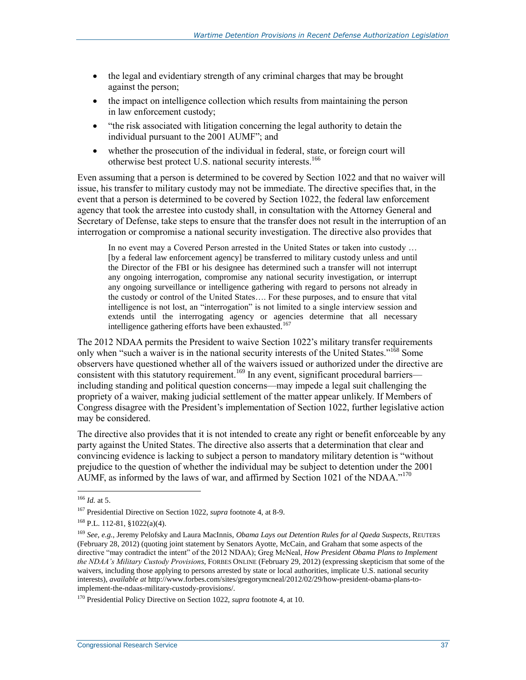- the legal and evidentiary strength of any criminal charges that may be brought against the person;
- the impact on intelligence collection which results from maintaining the person in law enforcement custody;
- "the risk associated with litigation concerning the legal authority to detain the individual pursuant to the 2001 AUMF"; and
- whether the prosecution of the individual in federal, state, or foreign court will otherwise best protect U.S. national security interests.<sup>166</sup>

Even assuming that a person is determined to be covered by Section 1022 and that no waiver will issue, his transfer to military custody may not be immediate. The directive specifies that, in the event that a person is determined to be covered by Section 1022, the federal law enforcement agency that took the arrestee into custody shall, in consultation with the Attorney General and Secretary of Defense, take steps to ensure that the transfer does not result in the interruption of an interrogation or compromise a national security investigation. The directive also provides that

In no event may a Covered Person arrested in the United States or taken into custody … [by a federal law enforcement agency] be transferred to military custody unless and until the Director of the FBI or his designee has determined such a transfer will not interrupt any ongoing interrogation, compromise any national security investigation, or interrupt any ongoing surveillance or intelligence gathering with regard to persons not already in the custody or control of the United States…. For these purposes, and to ensure that vital intelligence is not lost, an "interrogation" is not limited to a single interview session and extends until the interrogating agency or agencies determine that all necessary intelligence gathering efforts have been exhausted.<sup>167</sup>

The 2012 NDAA permits the President to waive Section 1022's military transfer requirements only when "such a waiver is in the national security interests of the United States."<sup>168</sup> Some observers have questioned whether all of the waivers issued or authorized under the directive are consistent with this statutory requirement.<sup>169</sup> In any event, significant procedural barriers including standing and political question concerns—may impede a legal suit challenging the propriety of a waiver, making judicial settlement of the matter appear unlikely. If Members of Congress disagree with the President's implementation of Section 1022, further legislative action may be considered.

The directive also provides that it is not intended to create any right or benefit enforceable by any party against the United States. The directive also asserts that a determination that clear and convincing evidence is lacking to subject a person to mandatory military detention is "without prejudice to the question of whether the individual may be subject to detention under the 2001 AUMF, as informed by the laws of war, and affirmed by Section 1021 of the NDAA."<sup>170</sup>

<sup>166</sup> *Id.* at 5.

<sup>167</sup> Presidential Directive on Section 1022, *supra* footnot[e 4,](#page-4-1) at 8-9.

<sup>168</sup> P.L. 112-81, §1022(a)(4).

<sup>169</sup> *See, e.g.*, Jeremy Pelofsky and Laura MacInnis, *Obama Lays out Detention Rules for al Qaeda Suspects*, REUTERS (February 28, 2012) (quoting joint statement by Senators Ayotte, McCain, and Graham that some aspects of the directive "may contradict the intent" of the 2012 NDAA); Greg McNeal, *How President Obama Plans to Implement the NDAA's Military Custody Provisions*, FORBES ONLINE (February 29, 2012) (expressing skepticism that some of the waivers, including those applying to persons arrested by state or local authorities, implicate U.S. national security interests), *available at* http://www.forbes.com/sites/gregorymcneal/2012/02/29/how-president-obama-plans-toimplement-the-ndaas-military-custody-provisions/.

<sup>170</sup> Presidential Policy Directive on Section 1022, *supra* footnote [4,](#page-4-1) at 10.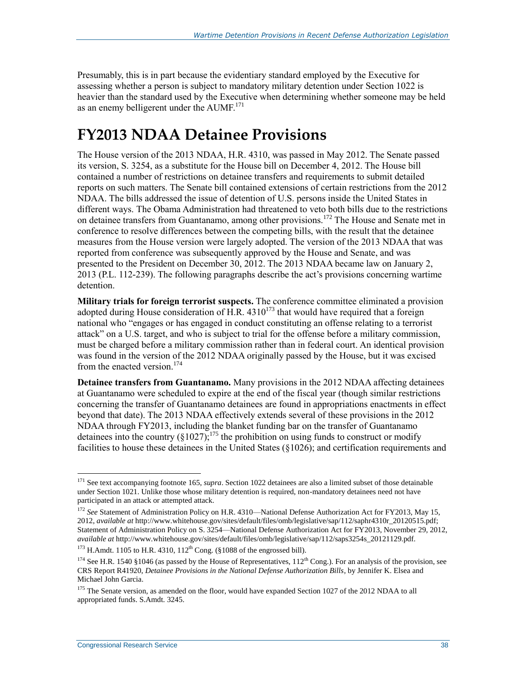Presumably, this is in part because the evidentiary standard employed by the Executive for assessing whether a person is subject to mandatory military detention under Section 1022 is heavier than the standard used by the Executive when determining whether someone may be held as an enemy belligerent under the  $\text{AUMF}^{171}$ .

### **FY2013 NDAA Detainee Provisions**

The House version of the 2013 NDAA, H.R. 4310, was passed in May 2012. The Senate passed its version, S. 3254, as a substitute for the House bill on December 4, 2012. The House bill contained a number of restrictions on detainee transfers and requirements to submit detailed reports on such matters. The Senate bill contained extensions of certain restrictions from the 2012 NDAA. The bills addressed the issue of detention of U.S. persons inside the United States in different ways. The Obama Administration had threatened to veto both bills due to the restrictions on detainee transfers from Guantanamo, among other provisions.<sup>172</sup> The House and Senate met in conference to resolve differences between the competing bills, with the result that the detainee measures from the House version were largely adopted. The version of the 2013 NDAA that was reported from conference was subsequently approved by the House and Senate, and was presented to the President on December 30, 2012. The 2013 NDAA became law on January 2, 2013 (P.L. 112-239). The following paragraphs describe the act's provisions concerning wartime detention.

**Military trials for foreign terrorist suspects.** The conference committee eliminated a provision adopted during House consideration of H.R.  $4310^{173}$  that would have required that a foreign national who "engages or has engaged in conduct constituting an offense relating to a terrorist attack" on a U.S. target, and who is subject to trial for the offense before a military commission, must be charged before a military commission rather than in federal court. An identical provision was found in the version of the 2012 NDAA originally passed by the House, but it was excised from the enacted version  $174$ 

**Detainee transfers from Guantanamo.** Many provisions in the 2012 NDAA affecting detainees at Guantanamo were scheduled to expire at the end of the fiscal year (though similar restrictions concerning the transfer of Guantanamo detainees are found in appropriations enactments in effect beyond that date). The 2013 NDAA effectively extends several of these provisions in the 2012 NDAA through FY2013, including the blanket funding bar on the transfer of Guantanamo detainees into the country  $(81027)$ ;<sup>175</sup> the prohibition on using funds to construct or modify facilities to house these detainees in the United States (§1026); and certification requirements and

<sup>&</sup>lt;sup>171</sup> See text accompanying footnot[e 165,](#page-38-0) *supra*. Section 1022 detainees are also a limited subset of those detainable under Section 1021. Unlike those whose military detention is required, non-mandatory detainees need not have participated in an attack or attempted attack.

<sup>&</sup>lt;sup>172</sup> See Statement of Administration Policy on H.R. 4310—National Defense Authorization Act for FY2013, May 15, 2012, *available at* http://www.whitehouse.gov/sites/default/files/omb/legislative/sap/112/saphr4310r\_20120515.pdf; Statement of Administration Policy on S. 3254—National Defense Authorization Act for FY2013, November 29, 2012, *available at* http://www.whitehouse.gov/sites/default/files/omb/legislative/sap/112/saps3254s\_20121129.pdf.

 $173$  H.Amdt. 1105 to H.R. 4310, 112<sup>th</sup> Cong. (§1088 of the engrossed bill).

<sup>&</sup>lt;sup>174</sup> See H.R. 1540 §1046 (as passed by the House of Representatives,  $112^{th}$  Cong.). For an analysis of the provision, see CRS Report R41920, *Detainee Provisions in the National Defense Authorization Bills*, by Jennifer K. Elsea and Michael John Garcia.

<sup>&</sup>lt;sup>175</sup> The Senate version, as amended on the floor, would have expanded Section 1027 of the 2012 NDAA to all appropriated funds. S.Amdt. 3245.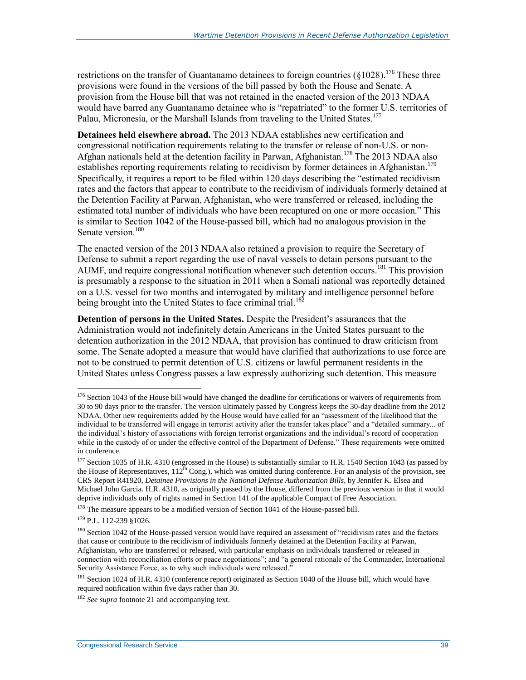restrictions on the transfer of Guantanamo detainees to foreign countries  $(\S 1028)^{176}$  These three provisions were found in the versions of the bill passed by both the House and Senate. A provision from the House bill that was not retained in the enacted version of the 2013 NDAA would have barred any Guantanamo detainee who is "repatriated" to the former U.S. territories of Palau, Micronesia, or the Marshall Islands from traveling to the United States.<sup>177</sup>

**Detainees held elsewhere abroad.** The 2013 NDAA establishes new certification and congressional notification requirements relating to the transfer or release of non-U.S. or non-Afghan nationals held at the detention facility in Parwan, Afghanistan.<sup>178</sup> The 2013 NDAA also establishes reporting requirements relating to recidivism by former detainees in Afghanistan.<sup>179</sup> Specifically, it requires a report to be filed within 120 days describing the "estimated recidivism rates and the factors that appear to contribute to the recidivism of individuals formerly detained at the Detention Facility at Parwan, Afghanistan, who were transferred or released, including the estimated total number of individuals who have been recaptured on one or more occasion." This is similar to Section 1042 of the House-passed bill, which had no analogous provision in the Senate version<sup>180</sup>

The enacted version of the 2013 NDAA also retained a provision to require the Secretary of Defense to submit a report regarding the use of naval vessels to detain persons pursuant to the AUMF, and require congressional notification whenever such detention occurs.<sup>181</sup> This provision is presumably a response to the situation in 2011 when a Somali national was reportedly detained on a U.S. vessel for two months and interrogated by military and intelligence personnel before being brought into the United States to face criminal trial.<sup>182</sup>

**Detention of persons in the United States.** Despite the President's assurances that the Administration would not indefinitely detain Americans in the United States pursuant to the detention authorization in the 2012 NDAA, that provision has continued to draw criticism from some. The Senate adopted a measure that would have clarified that authorizations to use force are not to be construed to permit detention of U.S. citizens or lawful permanent residents in the United States unless Congress passes a law expressly authorizing such detention. This measure

 $176$  Section 1043 of the House bill would have changed the deadline for certifications or waivers of requirements from 30 to 90 days prior to the transfer. The version ultimately passed by Congress keeps the 30-day deadline from the 2012 NDAA. Other new requirements added by the House would have called for an "assessment of the likelihood that the individual to be transferred will engage in terrorist activity after the transfer takes place" and a "detailed summary... of the individual's history of associations with foreign terrorist organizations and the individual's record of cooperation while in the custody of or under the effective control of the Department of Defense." These requirements were omitted in conference.

<sup>&</sup>lt;sup>177</sup> Section 1035 of H.R. 4310 (engrossed in the House) is substantially similar to H.R. 1540 Section 1043 (as passed by the House of Representatives,  $112<sup>th</sup>$  Cong.), which was omitted during conference. For an analysis of the provision, see CRS Report R41920, *Detainee Provisions in the National Defense Authorization Bills*, by Jennifer K. Elsea and Michael John Garcia*.* H.R. 4310, as originally passed by the House, differed from the previous version in that it would deprive individuals only of rights named in Section 141 of the applicable Compact of Free Association.

<sup>&</sup>lt;sup>178</sup> The measure appears to be a modified version of Section 1041 of the House-passed bill.

<sup>179</sup> P.L. 112-239 §1026.

<sup>&</sup>lt;sup>180</sup> Section 1042 of the House-passed version would have required an assessment of "recidivism rates and the factors" that cause or contribute to the recidivism of individuals formerly detained at the Detention Facility at Parwan, Afghanistan, who are transferred or released, with particular emphasis on individuals transferred or released in connection with reconciliation efforts or peace negotiations"; and "a general rationale of the Commander, International Security Assistance Force, as to why such individuals were released."

<sup>&</sup>lt;sup>181</sup> Section 1024 of H.R. 4310 (conference report) originated as Section 1040 of the House bill, which would have required notification within five days rather than 30.

<sup>&</sup>lt;sup>182</sup> *See supra* footnote [21](#page-8-0) and accompanying text.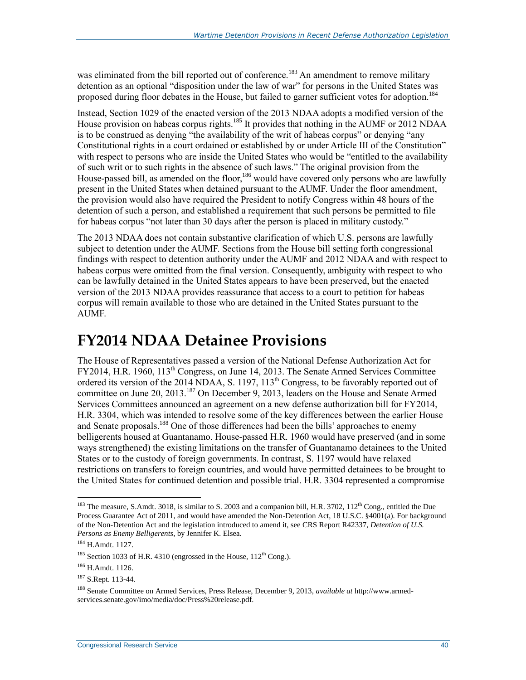was eliminated from the bill reported out of conference.<sup>183</sup> An amendment to remove military detention as an optional "disposition under the law of war" for persons in the United States was proposed during floor debates in the House, but failed to garner sufficient votes for adoption.<sup>184</sup>

Instead, Section 1029 of the enacted version of the 2013 NDAA adopts a modified version of the House provision on habeas corpus rights.<sup>185</sup> It provides that nothing in the AUMF or 2012 NDAA is to be construed as denying "the availability of the writ of habeas corpus" or denying "any Constitutional rights in a court ordained or established by or under Article III of the Constitution" with respect to persons who are inside the United States who would be "entitled to the availability of such writ or to such rights in the absence of such laws." The original provision from the House-passed bill, as amended on the floor,<sup>186</sup> would have covered only persons who are lawfully present in the United States when detained pursuant to the AUMF. Under the floor amendment, the provision would also have required the President to notify Congress within 48 hours of the detention of such a person, and established a requirement that such persons be permitted to file for habeas corpus "not later than 30 days after the person is placed in military custody."

The 2013 NDAA does not contain substantive clarification of which U.S. persons are lawfully subject to detention under the AUMF. Sections from the House bill setting forth congressional findings with respect to detention authority under the AUMF and 2012 NDAA and with respect to habeas corpus were omitted from the final version. Consequently, ambiguity with respect to who can be lawfully detained in the United States appears to have been preserved, but the enacted version of the 2013 NDAA provides reassurance that access to a court to petition for habeas corpus will remain available to those who are detained in the United States pursuant to the AUMF.

### <span id="page-42-0"></span>**FY2014 NDAA Detainee Provisions**

The House of Representatives passed a version of the National Defense Authorization Act for FY2014, H.R. 1960, 113<sup>th</sup> Congress, on June 14, 2013. The Senate Armed Services Committee ordered its version of the 2014 NDAA, S. 1197, 113<sup>th</sup> Congress, to be favorably reported out of committee on June 20, 2013.<sup>187</sup> On December 9, 2013, leaders on the House and Senate Armed Services Committees announced an agreement on a new defense authorization bill for FY2014, H.R. 3304, which was intended to resolve some of the key differences between the earlier House and Senate proposals.<sup>188</sup> One of those differences had been the bills' approaches to enemy belligerents housed at Guantanamo. House-passed H.R. 1960 would have preserved (and in some ways strengthened) the existing limitations on the transfer of Guantanamo detainees to the United States or to the custody of foreign governments. In contrast, S. 1197 would have relaxed restrictions on transfers to foreign countries, and would have permitted detainees to be brought to the United States for continued detention and possible trial. H.R. 3304 represented a compromise

<sup>&</sup>lt;sup>183</sup> The measure, S.Amdt. 3018, is similar to S. 2003 and a companion bill, H.R. 3702,  $112<sup>th</sup>$  Cong., entitled the Due Process Guarantee Act of 2011, and would have amended the Non-Detention Act, 18 U.S.C. §4001(a). For background of the Non-Detention Act and the legislation introduced to amend it, see CRS Report R42337, *Detention of U.S. Persons as Enemy Belligerents*, by Jennifer K. Elsea.

<sup>184</sup> H.Amdt. 1127.

<sup>&</sup>lt;sup>185</sup> Section 1033 of H.R. 4310 (engrossed in the House,  $112^{th}$  Cong.).

<sup>186</sup> H.Amdt. 1126.

<sup>187</sup> S.Rept. 113-44.

<sup>188</sup> Senate Committee on Armed Services, Press Release, December 9, 2013, *available at* http://www.armedservices.senate.gov/imo/media/doc/Press%20release.pdf.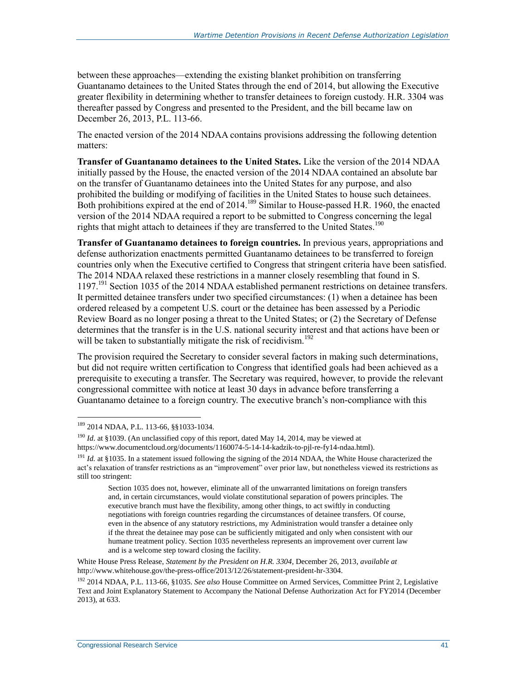between these approaches—extending the existing blanket prohibition on transferring Guantanamo detainees to the United States through the end of 2014, but allowing the Executive greater flexibility in determining whether to transfer detainees to foreign custody. H.R. 3304 was thereafter passed by Congress and presented to the President, and the bill became law on December 26, 2013, P.L. 113-66.

The enacted version of the 2014 NDAA contains provisions addressing the following detention matters:

**Transfer of Guantanamo detainees to the United States.** Like the version of the 2014 NDAA initially passed by the House, the enacted version of the 2014 NDAA contained an absolute bar on the transfer of Guantanamo detainees into the United States for any purpose, and also prohibited the building or modifying of facilities in the United States to house such detainees. Both prohibitions expired at the end of 2014.<sup>189</sup> Similar to House-passed H.R. 1960, the enacted version of the 2014 NDAA required a report to be submitted to Congress concerning the legal rights that might attach to detainees if they are transferred to the United States.<sup>190</sup>

**Transfer of Guantanamo detainees to foreign countries.** In previous years, appropriations and defense authorization enactments permitted Guantanamo detainees to be transferred to foreign countries only when the Executive certified to Congress that stringent criteria have been satisfied. The 2014 NDAA relaxed these restrictions in a manner closely resembling that found in S. 1197.<sup>191</sup> Section 1035 of the 2014 NDAA established permanent restrictions on detainee transfers. It permitted detainee transfers under two specified circumstances: (1) when a detainee has been ordered released by a competent U.S. court or the detainee has been assessed by a Periodic Review Board as no longer posing a threat to the United States; or (2) the Secretary of Defense determines that the transfer is in the U.S. national security interest and that actions have been or will be taken to substantially mitigate the risk of recidivism.<sup>192</sup>

The provision required the Secretary to consider several factors in making such determinations, but did not require written certification to Congress that identified goals had been achieved as a prerequisite to executing a transfer. The Secretary was required, however, to provide the relevant congressional committee with notice at least 30 days in advance before transferring a Guantanamo detainee to a foreign country. The executive branch's non-compliance with this

 $\overline{a}$ 

White House Press Release, *Statement by the President on H.R. 3304*, December 26, 2013, *available at* http://www.whitehouse.gov/the-press-office/2013/12/26/statement-president-hr-3304.

<sup>&</sup>lt;sup>189</sup> 2014 NDAA, P.L. 113-66, §§1033-1034.

<sup>&</sup>lt;sup>190</sup> *Id.* at §1039. (An unclassified copy of this report, dated May 14, 2014, may be viewed at https://www.documentcloud.org/documents/1160074-5-14-14-kadzik-to-pjl-re-fy14-ndaa.html).

<sup>&</sup>lt;sup>191</sup> *Id.* at §1035. In a statement issued following the signing of the 2014 NDAA, the White House characterized the act's relaxation of transfer restrictions as an "improvement" over prior law, but nonetheless viewed its restrictions as still too stringent:

Section 1035 does not, however, eliminate all of the unwarranted limitations on foreign transfers and, in certain circumstances, would violate constitutional separation of powers principles. The executive branch must have the flexibility, among other things, to act swiftly in conducting negotiations with foreign countries regarding the circumstances of detainee transfers. Of course, even in the absence of any statutory restrictions, my Administration would transfer a detainee only if the threat the detainee may pose can be sufficiently mitigated and only when consistent with our humane treatment policy. Section 1035 nevertheless represents an improvement over current law and is a welcome step toward closing the facility.

<sup>192</sup> 2014 NDAA, P.L. 113-66, §1035. *See also* House Committee on Armed Services, Committee Print 2, Legislative Text and Joint Explanatory Statement to Accompany the National Defense Authorization Act for FY2014 (December 2013), at 633.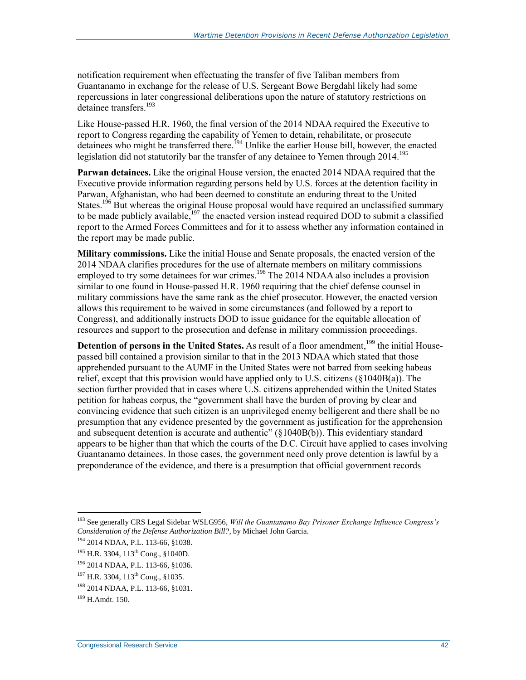notification requirement when effectuating the transfer of five Taliban members from Guantanamo in exchange for the release of U.S. Sergeant Bowe Bergdahl likely had some repercussions in later congressional deliberations upon the nature of statutory restrictions on detainee transfers.<sup>193</sup>

Like House-passed H.R. 1960, the final version of the 2014 NDAA required the Executive to report to Congress regarding the capability of Yemen to detain, rehabilitate, or prosecute detainees who might be transferred there.<sup>194</sup> Unlike the earlier House bill, however, the enacted legislation did not statutorily bar the transfer of any detainee to Yemen through 2014.<sup>195</sup>

**Parwan detainees.** Like the original House version, the enacted 2014 NDAA required that the Executive provide information regarding persons held by U.S. forces at the detention facility in Parwan, Afghanistan, who had been deemed to constitute an enduring threat to the United States.<sup>196</sup> But whereas the original House proposal would have required an unclassified summary to be made publicly available,<sup>197</sup> the enacted version instead required DOD to submit a classified report to the Armed Forces Committees and for it to assess whether any information contained in the report may be made public.

**Military commissions.** Like the initial House and Senate proposals, the enacted version of the 2014 NDAA clarifies procedures for the use of alternate members on military commissions employed to try some detainees for war crimes.<sup>198</sup> The 2014 NDAA also includes a provision similar to one found in House-passed H.R. 1960 requiring that the chief defense counsel in military commissions have the same rank as the chief prosecutor. However, the enacted version allows this requirement to be waived in some circumstances (and followed by a report to Congress), and additionally instructs DOD to issue guidance for the equitable allocation of resources and support to the prosecution and defense in military commission proceedings.

**Detention of persons in the United States.** As result of a floor amendment,<sup>199</sup> the initial Housepassed bill contained a provision similar to that in the 2013 NDAA which stated that those apprehended pursuant to the AUMF in the United States were not barred from seeking habeas relief, except that this provision would have applied only to U.S. citizens  $(\xi 1040B(a))$ . The section further provided that in cases where U.S. citizens apprehended within the United States petition for habeas corpus, the "government shall have the burden of proving by clear and convincing evidence that such citizen is an unprivileged enemy belligerent and there shall be no presumption that any evidence presented by the government as justification for the apprehension and subsequent detention is accurate and authentic" (§1040B(b)). This evidentiary standard appears to be higher than that which the courts of the D.C. Circuit have applied to cases involving Guantanamo detainees. In those cases, the government need only prove detention is lawful by a preponderance of the evidence, and there is a presumption that official government records

<sup>193</sup> See generally CRS Legal Sidebar WSLG956, *Will the Guantanamo Bay Prisoner Exchange Influence Congress's Consideration of the Defense Authorization Bill?*, by Michael John Garcia.

<sup>194</sup> 2014 NDAA, P.L. 113-66, §1038.

<sup>&</sup>lt;sup>195</sup> H.R. 3304, 113<sup>th</sup> Cong., §1040D.

<sup>196</sup> 2014 NDAA, P.L. 113-66, §1036.

<sup>&</sup>lt;sup>197</sup> H.R. 3304, 113<sup>th</sup> Cong., §1035.

<sup>198</sup> 2014 NDAA, P.L. 113-66, §1031.

 $199$  H Amdt. 150.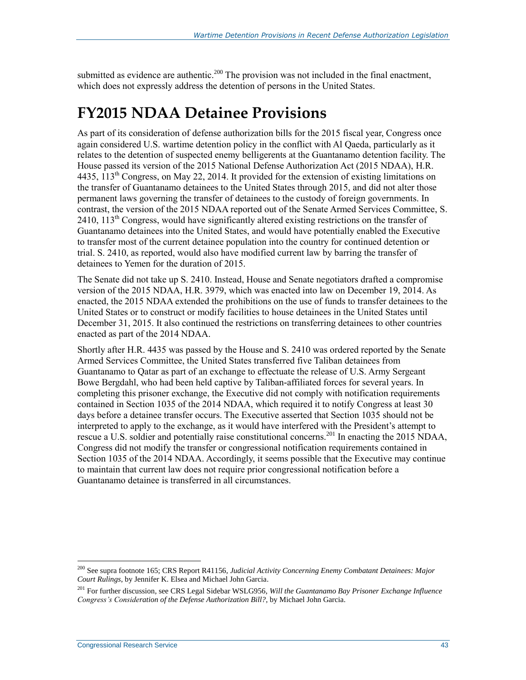submitted as evidence are authentic.<sup>200</sup> The provision was not included in the final enactment, which does not expressly address the detention of persons in the United States.

### **FY2015 NDAA Detainee Provisions**

As part of its consideration of defense authorization bills for the 2015 fiscal year, Congress once again considered U.S. wartime detention policy in the conflict with Al Qaeda, particularly as it relates to the detention of suspected enemy belligerents at the Guantanamo detention facility. The House passed its version of the 2015 National Defense Authorization Act (2015 NDAA), H.R. 4435,  $113^{th}$  Congress, on May 22, 2014. It provided for the extension of existing limitations on the transfer of Guantanamo detainees to the United States through 2015, and did not alter those permanent laws governing the transfer of detainees to the custody of foreign governments. In contrast, the version of the 2015 NDAA reported out of the Senate Armed Services Committee, S.  $2410$ ,  $113<sup>th</sup>$  Congress, would have significantly altered existing restrictions on the transfer of Guantanamo detainees into the United States, and would have potentially enabled the Executive to transfer most of the current detainee population into the country for continued detention or trial. S. 2410, as reported, would also have modified current law by barring the transfer of detainees to Yemen for the duration of 2015.

The Senate did not take up S. 2410. Instead, House and Senate negotiators drafted a compromise version of the 2015 NDAA, H.R. 3979, which was enacted into law on December 19, 2014. As enacted, the 2015 NDAA extended the prohibitions on the use of funds to transfer detainees to the United States or to construct or modify facilities to house detainees in the United States until December 31, 2015. It also continued the restrictions on transferring detainees to other countries enacted as part of the 2014 NDAA.

Shortly after H.R. 4435 was passed by the House and S. 2410 was ordered reported by the Senate Armed Services Committee, the United States transferred five Taliban detainees from Guantanamo to Qatar as part of an exchange to effectuate the release of U.S. Army Sergeant Bowe Bergdahl, who had been held captive by Taliban-affiliated forces for several years. In completing this prisoner exchange, the Executive did not comply with notification requirements contained in Section 1035 of the 2014 NDAA, which required it to notify Congress at least 30 days before a detainee transfer occurs. The Executive asserted that Section 1035 should not be interpreted to apply to the exchange, as it would have interfered with the President's attempt to rescue a U.S. soldier and potentially raise constitutional concerns.<sup>201</sup> In enacting the 2015 NDAA, Congress did not modify the transfer or congressional notification requirements contained in Section 1035 of the 2014 NDAA. Accordingly, it seems possible that the Executive may continue to maintain that current law does not require prior congressional notification before a Guantanamo detainee is transferred in all circumstances.

<sup>200</sup> See supra footnot[e 165;](#page-38-0) CRS Report R41156, *Judicial Activity Concerning Enemy Combatant Detainees: Major Court Rulings*, by Jennifer K. Elsea and Michael John Garcia.

<sup>201</sup> For further discussion, see CRS Legal Sidebar WSLG956, *Will the Guantanamo Bay Prisoner Exchange Influence Congress's Consideration of the Defense Authorization Bill?*, by Michael John Garcia.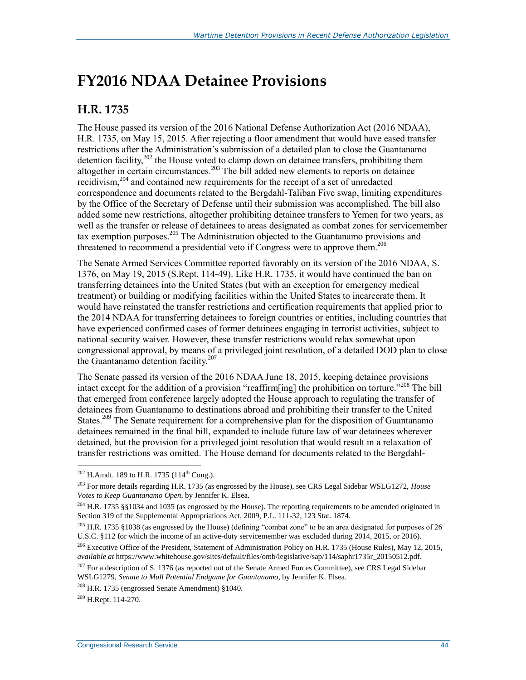### <span id="page-46-0"></span>**FY2016 NDAA Detainee Provisions**

#### **H.R. 1735**

The House passed its version of the 2016 National Defense Authorization Act (2016 NDAA), H.R. 1735, on May 15, 2015. After rejecting a floor amendment that would have eased transfer restrictions after the Administration's submission of a detailed plan to close the Guantanamo detention facility, $202$  the House voted to clamp down on detainee transfers, prohibiting them altogether in certain circumstances.<sup>203</sup> The bill added new elements to reports on detainee recidivism,<sup>204</sup> and contained new requirements for the receipt of a set of unredacted correspondence and documents related to the Bergdahl-Taliban Five swap, limiting expenditures by the Office of the Secretary of Defense until their submission was accomplished. The bill also added some new restrictions, altogether prohibiting detainee transfers to Yemen for two years, as well as the transfer or release of detainees to areas designated as combat zones for servicemember tax exemption purposes.<sup>205</sup> The Administration objected to the Guantanamo provisions and threatened to recommend a presidential veto if Congress were to approve them.<sup>206</sup>

The Senate Armed Services Committee reported favorably on its version of the 2016 NDAA, S. 1376, on May 19, 2015 (S.Rept. 114-49). Like H.R. 1735, it would have continued the ban on transferring detainees into the United States (but with an exception for emergency medical treatment) or building or modifying facilities within the United States to incarcerate them. It would have reinstated the transfer restrictions and certification requirements that applied prior to the 2014 NDAA for transferring detainees to foreign countries or entities, including countries that have experienced confirmed cases of former detainees engaging in terrorist activities, subject to national security waiver. However, these transfer restrictions would relax somewhat upon congressional approval, by means of a privileged joint resolution, of a detailed DOD plan to close the Guantanamo detention facility.<sup>207</sup>

The Senate passed its version of the 2016 NDAA June 18, 2015, keeping detainee provisions intact except for the addition of a provision "reaffirm[ing] the prohibition on torture."<sup>208</sup> The bill that emerged from conference largely adopted the House approach to regulating the transfer of detainees from Guantanamo to destinations abroad and prohibiting their transfer to the United States.<sup>209</sup> The Senate requirement for a comprehensive plan for the disposition of Guantanamo detainees remained in the final bill, expanded to include future law of war detainees wherever detained, but the provision for a privileged joint resolution that would result in a relaxation of transfer restrictions was omitted. The House demand for documents related to the Bergdahl-

<sup>209</sup> H.Rept. 114-270.

 $202$  H.Amdt. 189 to H.R. 1735 (114<sup>th</sup> Cong.).

<sup>203</sup> For more details regarding H.R. 1735 (as engrossed by the House), see CRS Legal Sidebar WSLG1272, *House Votes to Keep Guantanamo Open*, by Jennifer K. Elsea.

<sup>&</sup>lt;sup>204</sup> H.R. 1735 §§1034 and 1035 (as engrossed by the House). The reporting requirements to be amended originated in Section 319 of the Supplemental Appropriations Act, 2009, P.L. 111-32, 123 Stat. 1874.

<sup>&</sup>lt;sup>205</sup> H.R. 1735 §1038 (as engrossed by the House) (defining "combat zone" to be an area designated for purposes of 26 U.S.C. §112 for which the income of an active-duty servicemember was excluded during 2014, 2015, or 2016).

<sup>&</sup>lt;sup>206</sup> Executive Office of the President, Statement of Administration Policy on H.R. 1735 (House Rules), May 12, 2015, *available at* https://www.whitehouse.gov/sites/default/files/omb/legislative/sap/114/saphr1735r\_20150512.pdf.

<sup>&</sup>lt;sup>207</sup> For a description of S. 1376 (as reported out of the Senate Armed Forces Committee), see CRS Legal Sidebar WSLG1279, *Senate to Mull Potential Endgame for Guantanamo*, by Jennifer K. Elsea.

<sup>208</sup> H.R. 1735 (engrossed Senate Amendment) §1040.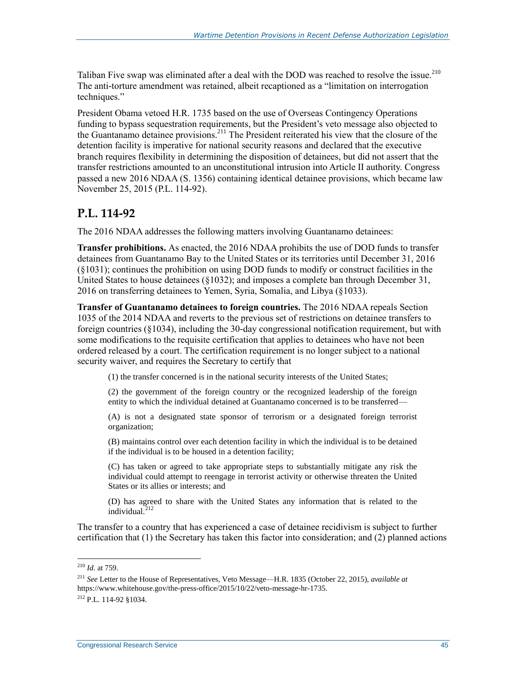Taliban Five swap was eliminated after a deal with the DOD was reached to resolve the issue.<sup>210</sup> The anti-torture amendment was retained, albeit recaptioned as a "limitation on interrogation techniques."

President Obama vetoed H.R. 1735 based on the use of Overseas Contingency Operations funding to bypass sequestration requirements, but the President's veto message also objected to the Guantanamo detainee provisions.<sup>211</sup> The President reiterated his view that the closure of the detention facility is imperative for national security reasons and declared that the executive branch requires flexibility in determining the disposition of detainees, but did not assert that the transfer restrictions amounted to an unconstitutional intrusion into Article II authority. Congress passed a new 2016 NDAA (S. 1356) containing identical detainee provisions, which became law November 25, 2015 (P.L. 114-92).

#### **P.L. 114-92**

The 2016 NDAA addresses the following matters involving Guantanamo detainees:

**Transfer prohibitions.** As enacted, the 2016 NDAA prohibits the use of DOD funds to transfer detainees from Guantanamo Bay to the United States or its territories until December 31, 2016 (§1031); continues the prohibition on using DOD funds to modify or construct facilities in the United States to house detainees (§1032); and imposes a complete ban through December 31, 2016 on transferring detainees to Yemen, Syria, Somalia, and Libya (§1033).

**Transfer of Guantanamo detainees to foreign countries.** The 2016 NDAA repeals Section 1035 of the 2014 NDAA and reverts to the previous set of restrictions on detainee transfers to foreign countries (§1034), including the 30-day congressional notification requirement, but with some modifications to the requisite certification that applies to detainees who have not been ordered released by a court. The certification requirement is no longer subject to a national security waiver, and requires the Secretary to certify that

(1) the transfer concerned is in the national security interests of the United States;

(2) the government of the foreign country or the recognized leadership of the foreign entity to which the individual detained at Guantanamo concerned is to be transferred—

(A) is not a designated state sponsor of terrorism or a designated foreign terrorist organization;

(B) maintains control over each detention facility in which the individual is to be detained if the individual is to be housed in a detention facility;

(C) has taken or agreed to take appropriate steps to substantially mitigate any risk the individual could attempt to reengage in terrorist activity or otherwise threaten the United States or its allies or interests; and

(D) has agreed to share with the United States any information that is related to the  $indivial.<sup>212</sup>$ 

The transfer to a country that has experienced a case of detainee recidivism is subject to further certification that (1) the Secretary has taken this factor into consideration; and (2) planned actions

<sup>210</sup> *Id*. at 759.

<sup>211</sup> *See* Letter to the House of Representatives, Veto Message—H.R. 1835 (October 22, 2015), *available at* https://www.whitehouse.gov/the-press-office/2015/10/22/veto-message-hr-1735. <sup>212</sup> P.L. 114-92 §1034.

Congressional Research Service 45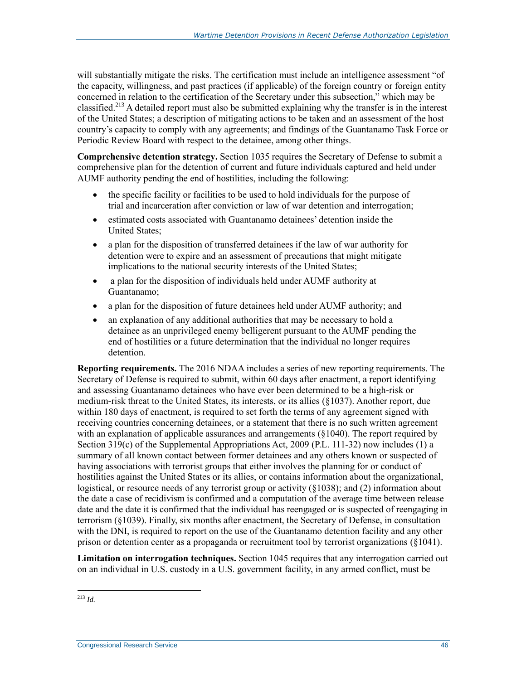will substantially mitigate the risks. The certification must include an intelligence assessment "of the capacity, willingness, and past practices (if applicable) of the foreign country or foreign entity concerned in relation to the certification of the Secretary under this subsection," which may be classified.<sup>213</sup> A detailed report must also be submitted explaining why the transfer is in the interest of the United States; a description of mitigating actions to be taken and an assessment of the host country's capacity to comply with any agreements; and findings of the Guantanamo Task Force or Periodic Review Board with respect to the detainee, among other things.

**Comprehensive detention strategy.** Section 1035 requires the Secretary of Defense to submit a comprehensive plan for the detention of current and future individuals captured and held under AUMF authority pending the end of hostilities, including the following:

- the specific facility or facilities to be used to hold individuals for the purpose of trial and incarceration after conviction or law of war detention and interrogation;
- estimated costs associated with Guantanamo detainees' detention inside the United States;
- a plan for the disposition of transferred detainees if the law of war authority for detention were to expire and an assessment of precautions that might mitigate implications to the national security interests of the United States;
- a plan for the disposition of individuals held under AUMF authority at Guantanamo;
- a plan for the disposition of future detainees held under AUMF authority; and
- an explanation of any additional authorities that may be necessary to hold a detainee as an unprivileged enemy belligerent pursuant to the AUMF pending the end of hostilities or a future determination that the individual no longer requires detention.

**Reporting requirements.** The 2016 NDAA includes a series of new reporting requirements. The Secretary of Defense is required to submit, within 60 days after enactment, a report identifying and assessing Guantanamo detainees who have ever been determined to be a high-risk or medium-risk threat to the United States, its interests, or its allies (§1037). Another report, due within 180 days of enactment, is required to set forth the terms of any agreement signed with receiving countries concerning detainees, or a statement that there is no such written agreement with an explanation of applicable assurances and arrangements  $(\S1040)$ . The report required by Section 319(c) of the Supplemental Appropriations Act, 2009 (P.L. 111-32) now includes (1) a summary of all known contact between former detainees and any others known or suspected of having associations with terrorist groups that either involves the planning for or conduct of hostilities against the United States or its allies, or contains information about the organizational, logistical, or resource needs of any terrorist group or activity (§1038); and (2) information about the date a case of recidivism is confirmed and a computation of the average time between release date and the date it is confirmed that the individual has reengaged or is suspected of reengaging in terrorism (§1039). Finally, six months after enactment, the Secretary of Defense, in consultation with the DNI, is required to report on the use of the Guantanamo detention facility and any other prison or detention center as a propaganda or recruitment tool by terrorist organizations (§1041).

**Limitation on interrogation techniques.** Section 1045 requires that any interrogation carried out on an individual in U.S. custody in a U.S. government facility, in any armed conflict, must be

 $\overline{a}$ <sup>213</sup> *Id.*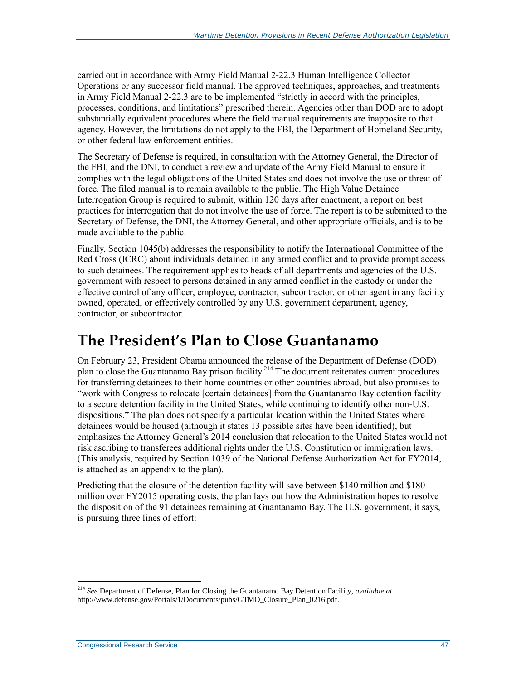carried out in accordance with Army Field Manual 2-22.3 Human Intelligence Collector Operations or any successor field manual. The approved techniques, approaches, and treatments in Army Field Manual 2-22.3 are to be implemented "strictly in accord with the principles, processes, conditions, and limitations" prescribed therein. Agencies other than DOD are to adopt substantially equivalent procedures where the field manual requirements are inapposite to that agency. However, the limitations do not apply to the FBI, the Department of Homeland Security, or other federal law enforcement entities.

The Secretary of Defense is required, in consultation with the Attorney General, the Director of the FBI, and the DNI, to conduct a review and update of the Army Field Manual to ensure it complies with the legal obligations of the United States and does not involve the use or threat of force. The filed manual is to remain available to the public. The High Value Detainee Interrogation Group is required to submit, within 120 days after enactment, a report on best practices for interrogation that do not involve the use of force. The report is to be submitted to the Secretary of Defense, the DNI, the Attorney General, and other appropriate officials, and is to be made available to the public.

Finally, Section 1045(b) addresses the responsibility to notify the International Committee of the Red Cross (ICRC) about individuals detained in any armed conflict and to provide prompt access to such detainees. The requirement applies to heads of all departments and agencies of the U.S. government with respect to persons detained in any armed conflict in the custody or under the effective control of any officer, employee, contractor, subcontractor, or other agent in any facility owned, operated, or effectively controlled by any U.S. government department, agency, contractor, or subcontractor.

### **The President's Plan to Close Guantanamo**

On February 23, President Obama announced the release of the Department of Defense (DOD) plan to close the Guantanamo Bay prison facility.<sup>214</sup> The document reiterates current procedures for transferring detainees to their home countries or other countries abroad, but also promises to "work with Congress to relocate [certain detainees] from the Guantanamo Bay detention facility to a secure detention facility in the United States, while continuing to identify other non-U.S. dispositions." The plan does not specify a particular location within the United States where detainees would be housed (although it states 13 possible sites have been identified), but emphasizes the Attorney General's 2014 conclusion that relocation to the United States would not risk ascribing to transferees additional rights under the U.S. Constitution or immigration laws. (This analysis, required by Section 1039 of the National Defense Authorization Act for FY2014, is attached as an appendix to the plan).

Predicting that the closure of the detention facility will save between \$140 million and \$180 million over FY2015 operating costs, the plan lays out how the Administration hopes to resolve the disposition of the 91 detainees remaining at Guantanamo Bay. The U.S. government, it says, is pursuing three lines of effort:

<sup>214</sup> *See* Department of Defense, Plan for Closing the Guantanamo Bay Detention Facility, *available at*  http://www.defense.gov/Portals/1/Documents/pubs/GTMO\_Closure\_Plan\_0216.pdf.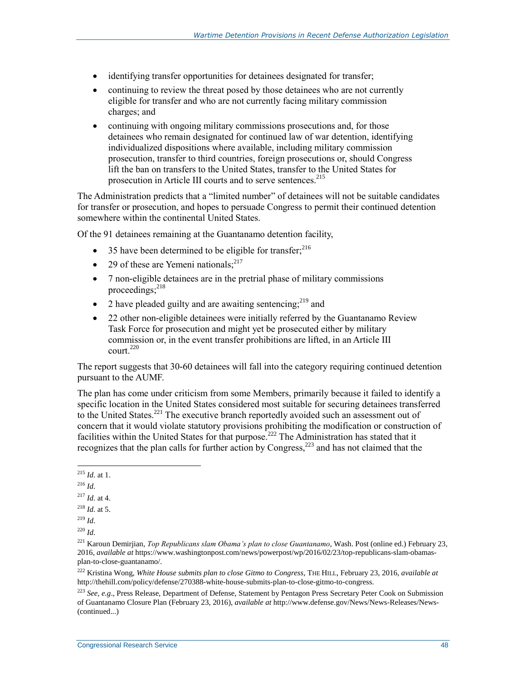- identifying transfer opportunities for detainees designated for transfer;
- continuing to review the threat posed by those detainees who are not currently eligible for transfer and who are not currently facing military commission charges; and
- continuing with ongoing military commissions prosecutions and, for those detainees who remain designated for continued law of war detention, identifying individualized dispositions where available, including military commission prosecution, transfer to third countries, foreign prosecutions or, should Congress lift the ban on transfers to the United States, transfer to the United States for prosecution in Article III courts and to serve sentences.<sup>215</sup>

The Administration predicts that a "limited number" of detainees will not be suitable candidates for transfer or prosecution, and hopes to persuade Congress to permit their continued detention somewhere within the continental United States.

Of the 91 detainees remaining at the Guantanamo detention facility,

- 35 have been determined to be eligible for transfer;  $2^{16}$
- 29 of these are Yemeni nationals; $^{217}$
- 7 non-eligible detainees are in the pretrial phase of military commissions proceedings; 218
- 2 have pleaded guilty and are awaiting sentencing; $^{219}$  and
- 22 other non-eligible detainees were initially referred by the Guantanamo Review Task Force for prosecution and might yet be prosecuted either by military commission or, in the event transfer prohibitions are lifted, in an Article III court. 220

The report suggests that 30-60 detainees will fall into the category requiring continued detention pursuant to the AUMF.

The plan has come under criticism from some Members, primarily because it failed to identify a specific location in the United States considered most suitable for securing detainees transferred to the United States.<sup>221</sup> The executive branch reportedly avoided such an assessment out of concern that it would violate statutory provisions prohibiting the modification or construction of facilities within the United States for that purpose.<sup>222</sup> The Administration has stated that it recognizes that the plan calls for further action by Congress, $^{223}$  and has not claimed that the

 $\overline{a}$ <sup>215</sup> *Id*. at 1.

<sup>216</sup> *Id*.

<sup>217</sup> *Id*. at 4.

<sup>218</sup> *Id*. at 5.

<sup>219</sup> *Id*.

<sup>220</sup> *Id*.

<sup>221</sup> Karoun Demirjian, *Top Republicans slam Obama's plan to close Guantanamo*, Wash. Post (online ed.) February 23, 2016, *available at* https://www.washingtonpost.com/news/powerpost/wp/2016/02/23/top-republicans-slam-obamasplan-to-close-guantanamo/.

<sup>222</sup> Kristina Wong, *White House submits plan to close Gitmo to Congress*, THE HILL, February 23, 2016, *available at* http://thehill.com/policy/defense/270388-white-house-submits-plan-to-close-gitmo-to-congress.

<sup>223</sup> *See, e.g*., Press Release, Department of Defense, Statement by Pentagon Press Secretary Peter Cook on Submission of Guantanamo Closure Plan (February 23, 2016), *available at* http://www.defense.gov/News/News-Releases/News- (continued...)